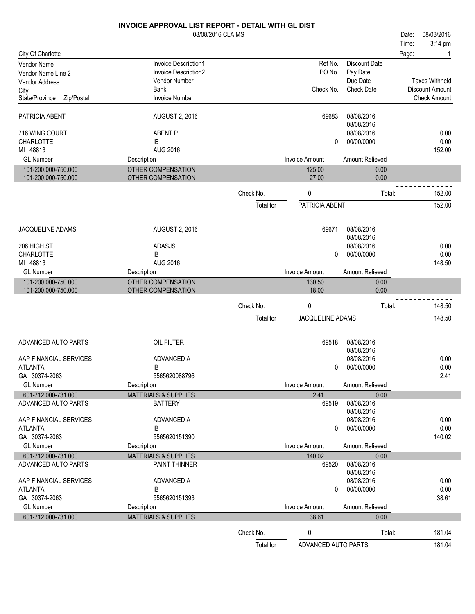|                                      | <b>INVOICE APPROVAL LIST REPORT - DETAIL WITH GL DIST</b> |           |                       |                          |       |                        |
|--------------------------------------|-----------------------------------------------------------|-----------|-----------------------|--------------------------|-------|------------------------|
|                                      | 08/08/2016 CLAIMS                                         |           |                       |                          | Date: | 08/03/2016             |
|                                      |                                                           |           |                       |                          | Time: | 3:14 pm                |
| City Of Charlotte                    |                                                           |           |                       |                          | Page: |                        |
| Vendor Name                          | Invoice Description1<br>Invoice Description2              |           | Ref No.<br>PO No.     | Discount Date            |       |                        |
| Vendor Name Line 2                   | Vendor Number                                             |           |                       | Pay Date<br>Due Date     |       | <b>Taxes Withheld</b>  |
| <b>Vendor Address</b>                | <b>Bank</b>                                               |           | Check No.             | <b>Check Date</b>        |       | <b>Discount Amount</b> |
| City<br>State/Province<br>Zip/Postal | <b>Invoice Number</b>                                     |           |                       |                          |       | <b>Check Amount</b>    |
|                                      |                                                           |           |                       |                          |       |                        |
| PATRICIA ABENT                       | <b>AUGUST 2, 2016</b>                                     |           | 69683                 | 08/08/2016<br>08/08/2016 |       |                        |
| 716 WING COURT                       | <b>ABENT P</b>                                            |           |                       | 08/08/2016               |       | 0.00                   |
| CHARLOTTE                            | IB                                                        |           | 0                     | 00/00/0000               |       | 0.00                   |
| MI 48813                             | <b>AUG 2016</b>                                           |           |                       |                          |       | 152.00                 |
| <b>GL Number</b>                     | Description                                               |           | <b>Invoice Amount</b> | Amount Relieved          |       |                        |
| 101-200.000-750.000                  | <b>OTHER COMPENSATION</b>                                 |           | 125.00                | 0.00                     |       |                        |
| 101-200.000-750.000                  | OTHER COMPENSATION                                        |           | 27.00                 | 0.00                     |       |                        |
|                                      |                                                           | Check No. | 0                     | Total:                   |       | 152.00                 |
|                                      |                                                           |           |                       |                          |       |                        |
|                                      |                                                           | Total for | PATRICIA ABENT        |                          |       | 152.00                 |
| JACQUELINE ADAMS                     | <b>AUGUST 2, 2016</b>                                     |           | 69671                 | 08/08/2016               |       |                        |
|                                      |                                                           |           |                       | 08/08/2016               |       |                        |
| 206 HIGH ST                          | <b>ADASJS</b>                                             |           |                       | 08/08/2016               |       | 0.00                   |
| <b>CHARLOTTE</b>                     | IB                                                        |           | 0                     | 00/00/0000               |       | 0.00                   |
| MI 48813                             | <b>AUG 2016</b>                                           |           |                       |                          |       | 148.50                 |
| <b>GL Number</b>                     | Description                                               |           | <b>Invoice Amount</b> | <b>Amount Relieved</b>   |       |                        |
| 101-200.000-750.000                  | OTHER COMPENSATION                                        |           | 130.50                | 0.00                     |       |                        |
| 101-200.000-750.000                  | OTHER COMPENSATION                                        |           | 18.00                 | 0.00                     |       |                        |
|                                      |                                                           | Check No. | 0                     | Total:                   |       | 148.50                 |
|                                      |                                                           | Total for | JACQUELINE ADAMS      |                          |       | 148.50                 |
|                                      |                                                           |           |                       |                          |       |                        |
| ADVANCED AUTO PARTS                  | OIL FILTER                                                |           | 69518                 | 08/08/2016               |       |                        |
|                                      |                                                           |           |                       | 08/08/2016               |       |                        |
| AAP FINANCIAL SERVICES               | ADVANCED A                                                |           |                       | 08/08/2016               |       | 0.00                   |
| ATLANTA                              | IB                                                        |           | 0                     | 00/00/0000               |       | 0.00                   |
| GA 30374-2063                        | 5565620088796                                             |           |                       |                          |       | 2.41                   |
| <b>GL Number</b>                     | Description                                               |           | <b>Invoice Amount</b> | Amount Relieved          |       |                        |
| 601-712.000-731.000                  | <b>MATERIALS &amp; SUPPLIES</b>                           |           | 2.41                  | 0.00                     |       |                        |
| ADVANCED AUTO PARTS                  | <b>BATTERY</b>                                            |           | 69519                 | 08/08/2016               |       |                        |
|                                      |                                                           |           |                       | 08/08/2016               |       |                        |
| AAP FINANCIAL SERVICES               | ADVANCED A                                                |           |                       | 08/08/2016               |       | 0.00                   |
| <b>ATLANTA</b>                       | IB                                                        |           | 0                     | 00/00/0000               |       | 0.00                   |
| GA 30374-2063                        | 5565620151390                                             |           |                       |                          |       | 140.02                 |
| <b>GL Number</b>                     | Description                                               |           | <b>Invoice Amount</b> | Amount Relieved          |       |                        |
| 601-712.000-731.000                  | <b>MATERIALS &amp; SUPPLIES</b>                           |           | 140.02                | 0.00                     |       |                        |
| ADVANCED AUTO PARTS                  | PAINT THINNER                                             |           | 69520                 | 08/08/2016               |       |                        |
| AAP FINANCIAL SERVICES               | ADVANCED A                                                |           |                       | 08/08/2016<br>08/08/2016 |       | 0.00                   |
| <b>ATLANTA</b>                       | IB                                                        |           | 0                     | 00/00/0000               |       | 0.00                   |
| GA 30374-2063                        | 5565620151393                                             |           |                       |                          |       | 38.61                  |
| <b>GL Number</b>                     | Description                                               |           | <b>Invoice Amount</b> | Amount Relieved          |       |                        |
| 601-712.000-731.000                  | <b>MATERIALS &amp; SUPPLIES</b>                           |           | 38.61                 | 0.00                     |       |                        |
|                                      |                                                           |           |                       |                          |       |                        |
|                                      |                                                           | Check No. | 0                     | Total:                   |       | 181.04                 |
|                                      |                                                           | Total for | ADVANCED AUTO PARTS   |                          |       | 181.04                 |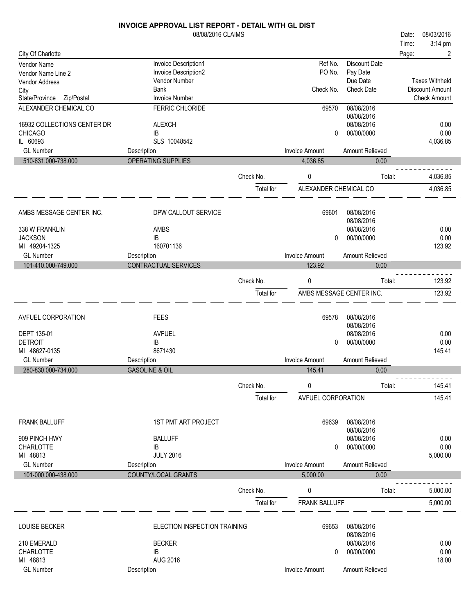|                                      | 08/08/2016 CLAIMS             |           |                           |                          | Date: | 08/03/2016                             |
|--------------------------------------|-------------------------------|-----------|---------------------------|--------------------------|-------|----------------------------------------|
|                                      |                               |           |                           |                          | Time: | 3:14 pm                                |
| City Of Charlotte                    |                               |           |                           |                          | Page: | $\overline{\mathbf{c}}$                |
| Vendor Name                          | Invoice Description1          |           | Ref No.                   | <b>Discount Date</b>     |       |                                        |
| Vendor Name Line 2                   | Invoice Description2          |           | PO No.                    | Pay Date                 |       |                                        |
| <b>Vendor Address</b>                | Vendor Number                 |           |                           | Due Date                 |       | <b>Taxes Withheld</b>                  |
| City<br>State/Province<br>Zip/Postal | Bank<br><b>Invoice Number</b> |           | Check No.                 | <b>Check Date</b>        |       | Discount Amount<br><b>Check Amount</b> |
| ALEXANDER CHEMICAL CO                | FERRIC CHLORIDE               |           | 69570                     | 08/08/2016               |       |                                        |
|                                      |                               |           |                           | 08/08/2016               |       |                                        |
| 16932 COLLECTIONS CENTER DR          | <b>ALEXCH</b>                 |           |                           | 08/08/2016               |       | 0.00                                   |
| <b>CHICAGO</b>                       | IB                            |           | 0                         | 00/00/0000               |       | 0.00                                   |
| IL 60693                             | SLS 10048542                  |           |                           |                          |       | 4,036.85                               |
| <b>GL Number</b>                     | Description                   |           | <b>Invoice Amount</b>     | Amount Relieved          |       |                                        |
| 510-631.000-738.000                  | OPERATING SUPPLIES            |           | 4,036.85                  | 0.00                     |       |                                        |
|                                      |                               |           |                           |                          |       |                                        |
|                                      |                               | Check No. | 0                         | Total:                   |       | 4,036.85                               |
|                                      |                               | Total for | ALEXANDER CHEMICAL CO     |                          |       | 4,036.85                               |
|                                      |                               |           |                           |                          |       |                                        |
|                                      |                               |           |                           | 08/08/2016               |       |                                        |
| AMBS MESSAGE CENTER INC.             | DPW CALLOUT SERVICE           |           | 69601                     | 08/08/2016               |       |                                        |
| 338 W FRANKLIN                       | AMBS                          |           |                           | 08/08/2016               |       | 0.00                                   |
| <b>JACKSON</b>                       | IB                            |           | 0                         | 00/00/0000               |       | 0.00                                   |
| MI 49204-1325                        | 160701136                     |           |                           |                          |       | 123.92                                 |
| <b>GL Number</b>                     | Description                   |           | <b>Invoice Amount</b>     | Amount Relieved          |       |                                        |
| 101-410.000-749.000                  | CONTRACTUAL SERVICES          |           | 123.92                    | 0.00                     |       |                                        |
|                                      |                               |           |                           |                          |       |                                        |
|                                      |                               | Check No. | 0                         | Total:                   |       | 123.92                                 |
|                                      |                               | Total for |                           | AMBS MESSAGE CENTER INC. |       | 123.92                                 |
|                                      |                               |           |                           |                          |       |                                        |
| AVFUEL CORPORATION                   | <b>FEES</b>                   |           | 69578                     | 08/08/2016               |       |                                        |
|                                      |                               |           |                           | 08/08/2016               |       |                                        |
| DEPT 135-01                          | <b>AVFUEL</b>                 |           |                           | 08/08/2016               |       | 0.00                                   |
| <b>DETROIT</b>                       | IB                            |           | 0                         | 00/00/0000               |       | 0.00                                   |
| MI 48627-0135                        | 8671430                       |           |                           |                          |       | 145.41                                 |
| <b>GL Number</b>                     | Description                   |           | <b>Invoice Amount</b>     | Amount Relieved          |       |                                        |
| 280-830.000-734.000                  | <b>GASOLINE &amp; OIL</b>     |           | 145.41                    | 0.00                     |       |                                        |
|                                      |                               | Check No. | 0                         | Total:                   |       | 145.41                                 |
|                                      |                               |           |                           |                          |       |                                        |
|                                      |                               | Total for | <b>AVFUEL CORPORATION</b> |                          |       | 145.41                                 |
|                                      |                               |           |                           |                          |       |                                        |
| <b>FRANK BALLUFF</b>                 | <b>1ST PMT ART PROJECT</b>    |           | 69639                     | 08/08/2016               |       |                                        |
|                                      |                               |           |                           | 08/08/2016               |       |                                        |
| 909 PINCH HWY                        | <b>BALLUFF</b>                |           |                           | 08/08/2016               |       | 0.00                                   |
| <b>CHARLOTTE</b>                     | IB                            |           | 0                         | 00/00/0000               |       | 0.00                                   |
| MI 48813                             | <b>JULY 2016</b>              |           |                           |                          |       | 5,000.00                               |
| <b>GL Number</b>                     | Description                   |           | <b>Invoice Amount</b>     | Amount Relieved          |       |                                        |
| 101-000.000-438.000                  | COUNTY/LOCAL GRANTS           |           | 5,000.00                  | 0.00                     |       |                                        |
|                                      |                               | Check No. | 0                         | Total:                   |       | 5,000.00                               |
|                                      |                               |           |                           |                          |       |                                        |
|                                      |                               | Total for | <b>FRANK BALLUFF</b>      |                          |       | 5,000.00                               |
|                                      |                               |           |                           |                          |       |                                        |
| LOUISE BECKER                        | ELECTION INSPECTION TRAINING  |           | 69653                     | 08/08/2016               |       |                                        |
|                                      |                               |           |                           | 08/08/2016               |       |                                        |
| 210 EMERALD                          | <b>BECKER</b>                 |           |                           | 08/08/2016               |       | 0.00                                   |
| <b>CHARLOTTE</b>                     | IB                            |           | 0                         | 00/00/0000               |       | 0.00                                   |
| MI 48813                             | <b>AUG 2016</b>               |           |                           |                          |       | 18.00                                  |
| <b>GL Number</b>                     | Description                   |           | Invoice Amount            | Amount Relieved          |       |                                        |

٦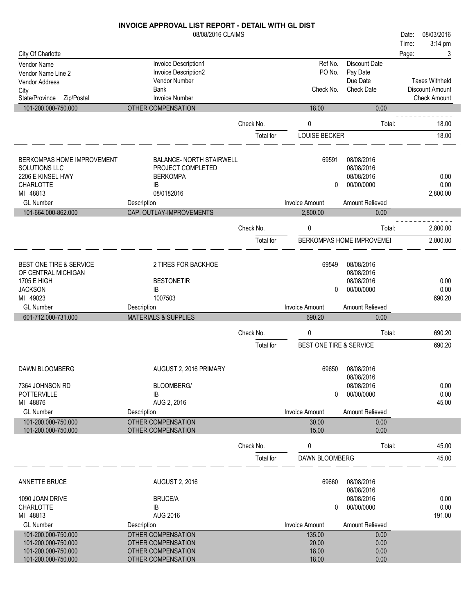|                                             | 08/08/2016 CLAIMS                            |           |                         |                                  | 08/03/2016<br>Date:   |
|---------------------------------------------|----------------------------------------------|-----------|-------------------------|----------------------------------|-----------------------|
|                                             |                                              |           |                         |                                  | 3:14 pm<br>Time:      |
| City Of Charlotte                           |                                              |           |                         |                                  | 3<br>Page:            |
| Vendor Name                                 | Invoice Description1<br>Invoice Description2 |           | Ref No.<br>PO No.       | <b>Discount Date</b><br>Pay Date |                       |
| Vendor Name Line 2<br><b>Vendor Address</b> | Vendor Number                                |           |                         | Due Date                         | <b>Taxes Withheld</b> |
| City                                        | <b>Bank</b>                                  |           | Check No.               | <b>Check Date</b>                | Discount Amount       |
| State/Province<br>Zip/Postal                | <b>Invoice Number</b>                        |           |                         |                                  | <b>Check Amount</b>   |
| 101-200.000-750.000                         | OTHER COMPENSATION                           |           | 18.00                   | 0.00                             |                       |
|                                             |                                              |           |                         |                                  |                       |
|                                             |                                              | Check No. | $\mathbf 0$             | Total:                           | 18.00                 |
|                                             |                                              | Total for | LOUISE BECKER           |                                  | 18.00                 |
|                                             |                                              |           |                         |                                  |                       |
| BERKOMPAS HOME IMPROVEMENT                  | <b>BALANCE- NORTH STAIRWELL</b>              |           | 69591                   | 08/08/2016                       |                       |
| <b>SOLUTIONS LLC</b>                        | PROJECT COMPLETED                            |           |                         | 08/08/2016                       |                       |
| 2206 E KINSEL HWY                           | <b>BERKOMPA</b>                              |           |                         | 08/08/2016                       | 0.00                  |
| CHARLOTTE                                   | IB                                           |           | 0                       | 00/00/0000                       | 0.00                  |
| MI 48813                                    | 08/0182016                                   |           |                         |                                  | 2,800.00              |
| <b>GL Number</b>                            | Description                                  |           | <b>Invoice Amount</b>   | Amount Relieved                  |                       |
| 101-664.000-862.000                         | CAP. OUTLAY-IMPROVEMENTS                     |           | 2,800.00                | 0.00                             |                       |
|                                             |                                              | Check No. | $\mathbf 0$             | Total:                           | 2,800.00              |
|                                             |                                              | Total for |                         | BERKOMPAS HOME IMPROVEMEI        | 2,800.00              |
|                                             |                                              |           |                         |                                  |                       |
| <b>BEST ONE TIRE &amp; SERVICE</b>          | 2 TIRES FOR BACKHOE                          |           | 69549                   | 08/08/2016                       |                       |
| OF CENTRAL MICHIGAN                         |                                              |           |                         | 08/08/2016                       |                       |
| 1705 E HIGH                                 | <b>BESTONETIR</b>                            |           |                         | 08/08/2016                       | 0.00                  |
| <b>JACKSON</b>                              | IB                                           |           | 0                       | 00/00/0000                       | 0.00                  |
| MI 49023                                    | 1007503                                      |           |                         |                                  | 690.20                |
| <b>GL Number</b>                            | Description                                  |           | <b>Invoice Amount</b>   | Amount Relieved                  |                       |
| 601-712.000-731.000                         | <b>MATERIALS &amp; SUPPLIES</b>              |           | 690.20                  | 0.00                             |                       |
|                                             |                                              | Check No. | $\mathbf 0$             | Total:                           | 690.20                |
|                                             |                                              | Total for | BEST ONE TIRE & SERVICE |                                  | 690.20                |
|                                             |                                              |           |                         |                                  |                       |
| DAWN BLOOMBERG                              | AUGUST 2, 2016 PRIMARY                       |           | 69650                   | 08/08/2016                       |                       |
|                                             |                                              |           |                         | 08/08/2016                       |                       |
| 7364 JOHNSON RD                             | BLOOMBERG/                                   |           |                         | 08/08/2016                       | 0.00                  |
| <b>POTTERVILLE</b>                          | IB                                           |           | 0                       | 00/00/0000                       | 0.00                  |
| MI 48876                                    | AUG 2, 2016                                  |           |                         |                                  | 45.00                 |
| <b>GL Number</b>                            | Description                                  |           | <b>Invoice Amount</b>   | Amount Relieved                  |                       |
| 101-200.000-750.000                         | <b>OTHER COMPENSATION</b>                    |           | 30.00                   | 0.00                             |                       |
| 101-200.000-750.000                         | OTHER COMPENSATION                           |           | 15.00                   | 0.00                             |                       |
|                                             |                                              | Check No. | 0                       | Total:                           | 45.00                 |
|                                             |                                              | Total for | DAWN BLOOMBERG          |                                  | 45.00                 |
|                                             |                                              |           |                         |                                  |                       |

| ANNETTE BRUCE       | <b>AUGUST 2, 2016</b> | 69660          | 08/08/2016<br>08/08/2016 |        |
|---------------------|-----------------------|----------------|--------------------------|--------|
| 1090 JOAN DRIVE     | <b>BRUCE/A</b>        |                | 08/08/2016               | 0.00   |
| <b>CHARLOTTE</b>    | IB                    | 0              | 00/00/0000               | 0.00   |
| MI 48813            | AUG 2016              |                |                          | 191.00 |
|                     |                       |                |                          |        |
| <b>GL Number</b>    | Description           | Invoice Amount | Amount Relieved          |        |
| 101-200.000-750.000 | OTHER COMPENSATION    | 135.00         | 0.00                     |        |
| 101-200.000-750.000 | OTHER COMPENSATION    | 20.00          | 0.00                     |        |
| 101-200.000-750.000 | OTHER COMPENSATION    | 18.00          | 0.00                     |        |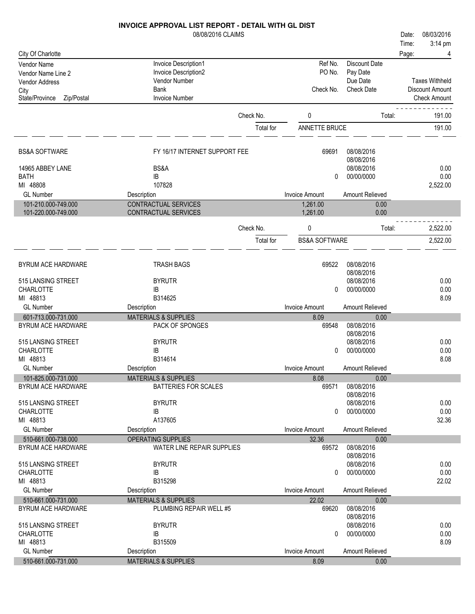|                              | 08/08/2016 CLAIMS               |           |                          |                          | 08/03/2016<br>Date:   |
|------------------------------|---------------------------------|-----------|--------------------------|--------------------------|-----------------------|
|                              |                                 |           |                          |                          | 3:14 pm<br>Time:      |
| City Of Charlotte            |                                 |           |                          |                          | Page:                 |
| Vendor Name                  | Invoice Description1            |           | Ref No.                  | <b>Discount Date</b>     |                       |
| Vendor Name Line 2           | Invoice Description2            |           | PO No.                   | Pay Date                 |                       |
| Vendor Address               | Vendor Number                   |           |                          | Due Date                 | <b>Taxes Withheld</b> |
| City                         | <b>Bank</b>                     |           | Check No.                | <b>Check Date</b>        | Discount Amount       |
| State/Province<br>Zip/Postal | <b>Invoice Number</b>           |           |                          |                          | <b>Check Amount</b>   |
|                              |                                 | Check No. |                          |                          |                       |
|                              |                                 |           | 0                        | Total:                   | 191.00                |
|                              |                                 | Total for | ANNETTE BRUCE            |                          | 191.00                |
| <b>BS&amp;A SOFTWARE</b>     | FY 16/17 INTERNET SUPPORT FEE   |           | 69691                    | 08/08/2016               |                       |
|                              |                                 |           |                          | 08/08/2016               |                       |
| 14965 ABBEY LANE             | BS&A                            |           |                          | 08/08/2016               | 0.00                  |
| <b>BATH</b>                  | IB                              |           | $\Omega$                 | 00/00/0000               | 0.00                  |
| MI 48808                     | 107828                          |           |                          |                          | 2,522.00              |
| <b>GL Number</b>             | Description                     |           | <b>Invoice Amount</b>    | Amount Relieved          |                       |
| 101-210.000-749.000          | CONTRACTUAL SERVICES            |           | 1,261.00                 | 0.00                     |                       |
| 101-220.000-749.000          | CONTRACTUAL SERVICES            |           | 1,261.00                 | 0.00                     |                       |
|                              |                                 | Check No. | 0                        | Total:                   | 2,522.00              |
|                              |                                 |           |                          |                          |                       |
|                              |                                 | Total for | <b>BS&amp;A SOFTWARE</b> |                          | 2,522.00              |
| <b>BYRUM ACE HARDWARE</b>    | <b>TRASH BAGS</b>               |           | 69522                    | 08/08/2016               |                       |
|                              |                                 |           |                          | 08/08/2016               |                       |
| 515 LANSING STREET           | <b>BYRUTR</b>                   |           |                          | 08/08/2016               | 0.00                  |
| <b>CHARLOTTE</b>             | IB                              |           | 0                        | 00/00/0000               | 0.00                  |
| MI 48813                     | B314625                         |           |                          |                          | 8.09                  |
| <b>GL Number</b>             | Description                     |           | <b>Invoice Amount</b>    | Amount Relieved          |                       |
| 601-713.000-731.000          | <b>MATERIALS &amp; SUPPLIES</b> |           | 8.09                     | 0.00                     |                       |
| BYRUM ACE HARDWARE           | PACK OF SPONGES                 |           | 69548                    | 08/08/2016               |                       |
| 515 LANSING STREET           | <b>BYRUTR</b>                   |           |                          | 08/08/2016<br>08/08/2016 | 0.00                  |
| <b>CHARLOTTE</b>             | IB                              |           | $\mathbf{0}$             | 00/00/0000               | 0.00                  |
| MI 48813                     | B314614                         |           |                          |                          | 8.08                  |
| <b>GL Number</b>             | Description                     |           | <b>Invoice Amount</b>    | Amount Relieved          |                       |
| 101-825.000-731.000          | <b>MATERIALS &amp; SUPPLIES</b> |           | 8.08                     | 0.00                     |                       |
| BYRUM ACE HARDWARE           | <b>BATTERIES FOR SCALES</b>     |           | 69571                    | 08/08/2016               |                       |
|                              |                                 |           |                          | 08/08/2016               |                       |
| 515 LANSING STREET           | <b>BYRUTR</b>                   |           |                          | 08/08/2016               | 0.00                  |
| CHARLOTTE                    | IB                              |           | $\Omega$                 | 00/00/0000               | 0.00                  |
| MI 48813                     | A137605                         |           |                          |                          | 32.36                 |
| <b>GL Number</b>             | Description                     |           | <b>Invoice Amount</b>    | Amount Relieved          |                       |
| 510-661.000-738.000          | OPERATING SUPPLIES              |           | 32.36                    | 0.00                     |                       |
| <b>BYRUM ACE HARDWARE</b>    | WATER LINE REPAIR SUPPLIES      |           | 69572                    | 08/08/2016               |                       |
| 515 LANSING STREET           | <b>BYRUTR</b>                   |           |                          | 08/08/2016<br>08/08/2016 | 0.00                  |
| CHARLOTTE                    | IB                              |           | $\Omega$                 | 00/00/0000               | 0.00                  |
| MI 48813                     | B315298                         |           |                          |                          | 22.02                 |
| <b>GL Number</b>             | Description                     |           | <b>Invoice Amount</b>    | Amount Relieved          |                       |
| 510-661.000-731.000          | <b>MATERIALS &amp; SUPPLIES</b> |           | 22.02                    | 0.00                     |                       |
| <b>BYRUM ACE HARDWARE</b>    | PLUMBING REPAIR WELL #5         |           | 69620                    | 08/08/2016               |                       |
|                              |                                 |           |                          | 08/08/2016               |                       |
| 515 LANSING STREET           | <b>BYRUTR</b>                   |           |                          | 08/08/2016               | 0.00                  |
| <b>CHARLOTTE</b>             | IB                              |           | $^{\circ}$               | 00/00/0000               | 0.00                  |
| MI 48813                     | B315509                         |           |                          |                          | 8.09                  |
| <b>GL Number</b>             | Description                     |           | <b>Invoice Amount</b>    | Amount Relieved          |                       |
| 510-661.000-731.000          | <b>MATERIALS &amp; SUPPLIES</b> |           | 8.09                     | 0.00                     |                       |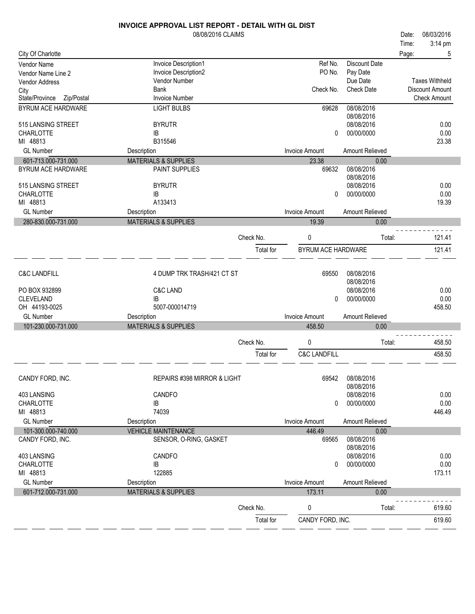|                              | <b>INVOICE APPROVAL LIST REPORT - DETAIL WITH GL DIST</b> |           |                         |                   |       |                       |
|------------------------------|-----------------------------------------------------------|-----------|-------------------------|-------------------|-------|-----------------------|
|                              | 08/08/2016 CLAIMS                                         |           |                         |                   | Date: | 08/03/2016            |
|                              |                                                           |           |                         |                   | Time: | 3:14 pm               |
| City Of Charlotte            |                                                           |           |                         |                   | Page: | 5                     |
| Vendor Name                  | Invoice Description1                                      |           | Ref No.                 | Discount Date     |       |                       |
| Vendor Name Line 2           | Invoice Description2                                      |           | PO No.                  | Pay Date          |       |                       |
| Vendor Address               | Vendor Number                                             |           |                         | Due Date          |       | <b>Taxes Withheld</b> |
| City                         | <b>Bank</b>                                               |           | Check No.               | <b>Check Date</b> |       | Discount Amount       |
| State/Province<br>Zip/Postal | <b>Invoice Number</b>                                     |           |                         |                   |       | <b>Check Amount</b>   |
| BYRUM ACE HARDWARE           | <b>LIGHT BULBS</b>                                        |           | 69628                   | 08/08/2016        |       |                       |
|                              |                                                           |           |                         | 08/08/2016        |       |                       |
| 515 LANSING STREET           | <b>BYRUTR</b>                                             |           |                         | 08/08/2016        |       | 0.00                  |
| CHARLOTTE                    | IB                                                        |           | 0                       | 00/00/0000        |       | 0.00                  |
| MI 48813                     | B315546                                                   |           |                         |                   |       | 23.38                 |
| <b>GL Number</b>             |                                                           |           |                         |                   |       |                       |
|                              | Description                                               |           | <b>Invoice Amount</b>   | Amount Relieved   |       |                       |
| 601-713.000-731.000          | <b>MATERIALS &amp; SUPPLIES</b>                           |           | 23.38                   | 0.00              |       |                       |
| BYRUM ACE HARDWARE           | PAINT SUPPLIES                                            |           | 69632                   | 08/08/2016        |       |                       |
|                              |                                                           |           |                         | 08/08/2016        |       |                       |
| 515 LANSING STREET           | <b>BYRUTR</b>                                             |           |                         | 08/08/2016        |       | 0.00                  |
| <b>CHARLOTTE</b>             | IB                                                        |           | $\Omega$                | 00/00/0000        |       | 0.00                  |
| MI 48813                     | A133413                                                   |           |                         |                   |       | 19.39                 |
| <b>GL Number</b>             | Description                                               |           | <b>Invoice Amount</b>   | Amount Relieved   |       |                       |
| 280-830.000-731.000          | <b>MATERIALS &amp; SUPPLIES</b>                           |           | 19.39                   | 0.00              |       |                       |
|                              |                                                           | Check No. |                         |                   |       | 121.41                |
|                              |                                                           |           | 0                       | Total:            |       |                       |
|                              |                                                           | Total for | BYRUM ACE HARDWARE      |                   |       | 121.41                |
|                              |                                                           |           |                         |                   |       |                       |
| <b>C&amp;C LANDFILL</b>      | 4 DUMP TRK TRASH/421 CT ST                                |           | 69550                   | 08/08/2016        |       |                       |
|                              |                                                           |           |                         | 08/08/2016        |       |                       |
| PO BOX 932899                | <b>C&amp;C LAND</b>                                       |           |                         | 08/08/2016        |       | 0.00                  |
| <b>CLEVELAND</b>             | IB                                                        |           | 0                       | 00/00/0000        |       | 0.00                  |
| OH 44193-0025                | 5007-000014719                                            |           |                         |                   |       | 458.50                |
|                              |                                                           |           |                         |                   |       |                       |
| <b>GL Number</b>             | Description                                               |           | <b>Invoice Amount</b>   | Amount Relieved   |       |                       |
| 101-230.000-731.000          | <b>MATERIALS &amp; SUPPLIES</b>                           |           | 458.50                  | 0.00              |       |                       |
|                              |                                                           | Check No. | 0                       | Total:            |       | 458.50                |
|                              |                                                           | Total for | <b>C&amp;C LANDFILL</b> |                   |       | 458.50                |
|                              |                                                           |           |                         |                   |       |                       |
|                              |                                                           |           |                         |                   |       |                       |
| CANDY FORD, INC.             | REPAIRS #398 MIRROR & LIGHT                               |           | 69542                   | 08/08/2016        |       |                       |
|                              |                                                           |           |                         | 08/08/2016        |       |                       |
| 403 LANSING                  | <b>CANDFO</b>                                             |           |                         | 08/08/2016        |       | 0.00                  |
| CHARLOTTE                    | IB                                                        |           | 0                       | 00/00/0000        |       | 0.00                  |
| MI 48813                     | 74039                                                     |           |                         |                   |       | 446.49                |
| <b>GL Number</b>             | Description                                               |           | <b>Invoice Amount</b>   | Amount Relieved   |       |                       |
| 101-300.000-740.000          | <b>VEHICLE MAINTENANCE</b>                                |           | 446.49                  | 0.00              |       |                       |
| CANDY FORD, INC.             | SENSOR, O-RING, GASKET                                    |           | 69565                   | 08/08/2016        |       |                       |
|                              |                                                           |           |                         | 08/08/2016        |       |                       |
| 403 LANSING                  | <b>CANDFO</b>                                             |           |                         | 08/08/2016        |       | 0.00                  |
| <b>CHARLOTTE</b>             | IB                                                        |           | 0                       | 00/00/0000        |       | 0.00                  |
| MI 48813                     | 122885                                                    |           |                         |                   |       | 173.11                |
| <b>GL Number</b>             | Description                                               |           | <b>Invoice Amount</b>   | Amount Relieved   |       |                       |
| 601-712.000-731.000          | <b>MATERIALS &amp; SUPPLIES</b>                           |           | 173.11                  | 0.00              |       |                       |
|                              |                                                           | Check No. | 0                       | Total:            |       | 619.60                |
|                              |                                                           |           |                         |                   |       |                       |
|                              |                                                           | Total for | CANDY FORD, INC.        |                   |       | 619.60                |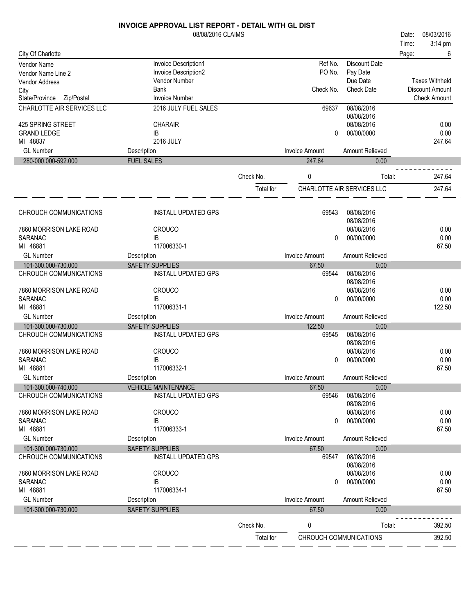|                                   | 08/08/2016 CLAIMS          |           |                       |                            | 08/03/2016<br>Date:    |
|-----------------------------------|----------------------------|-----------|-----------------------|----------------------------|------------------------|
|                                   |                            |           |                       |                            | 3:14 pm<br>Time:       |
| City Of Charlotte                 |                            |           |                       |                            | Page:<br>6             |
| Vendor Name                       | Invoice Description1       |           | Ref No.               | <b>Discount Date</b>       |                        |
| Vendor Name Line 2                | Invoice Description2       |           | PO No.                | Pay Date                   |                        |
| Vendor Address                    | Vendor Number              |           |                       | Due Date                   | <b>Taxes Withheld</b>  |
| City                              | <b>Bank</b>                |           | Check No.             | <b>Check Date</b>          | <b>Discount Amount</b> |
| State/Province<br>Zip/Postal      | <b>Invoice Number</b>      |           |                       |                            | <b>Check Amount</b>    |
| <b>CHARLOTTE AIR SERVICES LLC</b> | 2016 JULY FUEL SALES       |           | 69637                 | 08/08/2016                 |                        |
|                                   |                            |           |                       | 08/08/2016                 |                        |
| 425 SPRING STREET                 | <b>CHARAIR</b>             |           |                       | 08/08/2016                 | 0.00                   |
| <b>GRAND LEDGE</b>                | IB                         |           | 0                     | 00/00/0000                 | 0.00                   |
| MI 48837                          | 2016 JULY                  |           |                       |                            | 247.64                 |
| <b>GL Number</b>                  | Description                |           | <b>Invoice Amount</b> | Amount Relieved            |                        |
| 280-000.000-592.000               | <b>FUEL SALES</b>          |           | 247.64                | 0.00                       |                        |
|                                   |                            |           |                       |                            |                        |
|                                   |                            | Check No. | 0                     | Total:                     | 247.64                 |
|                                   |                            | Total for |                       | CHARLOTTE AIR SERVICES LLC | 247.64                 |
|                                   |                            |           |                       |                            |                        |
|                                   |                            |           |                       |                            |                        |
| CHROUCH COMMUNICATIONS            | <b>INSTALL UPDATED GPS</b> |           | 69543                 | 08/08/2016                 |                        |
|                                   |                            |           |                       | 08/08/2016                 |                        |
| 7860 MORRISON LAKE ROAD           | <b>CROUCO</b>              |           |                       | 08/08/2016                 | 0.00                   |
| <b>SARANAC</b>                    | IB                         |           | 0                     | 00/00/0000                 | 0.00                   |
| MI 48881                          | 117006330-1                |           |                       |                            | 67.50                  |
| <b>GL Number</b>                  | Description                |           | <b>Invoice Amount</b> | Amount Relieved            |                        |
| 101-300.000-730.000               | <b>SAFETY SUPPLIES</b>     |           | 67.50                 | 0.00                       |                        |
| CHROUCH COMMUNICATIONS            | <b>INSTALL UPDATED GPS</b> |           | 69544                 | 08/08/2016                 |                        |
|                                   |                            |           |                       | 08/08/2016                 |                        |
| 7860 MORRISON LAKE ROAD           | <b>CROUCO</b>              |           |                       | 08/08/2016                 | 0.00                   |
| SARANAC                           | IB                         |           | 0                     | 00/00/0000                 | 0.00                   |
| MI 48881                          | 117006331-1                |           |                       |                            | 122.50                 |
| <b>GL Number</b>                  | Description                |           | <b>Invoice Amount</b> | Amount Relieved            |                        |
| 101-300.000-730.000               | <b>SAFETY SUPPLIES</b>     |           | 122.50                | 0.00                       |                        |
| CHROUCH COMMUNICATIONS            | <b>INSTALL UPDATED GPS</b> |           | 69545                 | 08/08/2016                 |                        |
|                                   |                            |           |                       | 08/08/2016                 |                        |
| 7860 MORRISON LAKE ROAD           | <b>CROUCO</b>              |           |                       | 08/08/2016                 | 0.00                   |
| SARANAC                           | IB                         |           | 0                     | 00/00/0000                 | 0.00                   |
| MI 48881                          | 117006332-1                |           |                       |                            | 67.50                  |
| <b>GL Number</b>                  | Description                |           | Invoice Amount        | Amount Relieved            |                        |
| 101-300.000-740.000               | <b>VEHICLE MAINTENANCE</b> |           | 67.50                 | 0.00                       |                        |
| CHROUCH COMMUNICATIONS            | <b>INSTALL UPDATED GPS</b> |           | 69546                 | 08/08/2016                 |                        |
|                                   |                            |           |                       | 08/08/2016                 |                        |
| 7860 MORRISON LAKE ROAD           | <b>CROUCO</b>              |           |                       | 08/08/2016                 | 0.00                   |
| <b>SARANAC</b>                    | IB                         |           | 0                     | 00/00/0000                 | 0.00                   |
| MI 48881                          | 117006333-1                |           |                       |                            | 67.50                  |
| <b>GL Number</b>                  | Description                |           | <b>Invoice Amount</b> | Amount Relieved            |                        |
| 101-300.000-730.000               | <b>SAFETY SUPPLIES</b>     |           | 67.50                 | 0.00                       |                        |
| CHROUCH COMMUNICATIONS            | <b>INSTALL UPDATED GPS</b> |           | 69547                 | 08/08/2016                 |                        |
|                                   |                            |           |                       | 08/08/2016                 |                        |
| 7860 MORRISON LAKE ROAD           | <b>CROUCO</b>              |           |                       | 08/08/2016                 | 0.00                   |
| SARANAC                           | IB                         |           | 0                     | 00/00/0000                 | 0.00                   |
| MI 48881                          | 117006334-1                |           |                       |                            | 67.50                  |
| <b>GL Number</b>                  | Description                |           | <b>Invoice Amount</b> | Amount Relieved            |                        |
| 101-300.000-730.000               | SAFETY SUPPLIES            |           | 67.50                 | 0.00                       |                        |
|                                   |                            |           |                       |                            |                        |
|                                   |                            | Check No. | 0                     | Total:                     | 392.50                 |
|                                   |                            | Total for |                       | CHROUCH COMMUNICATIONS     | 392.50                 |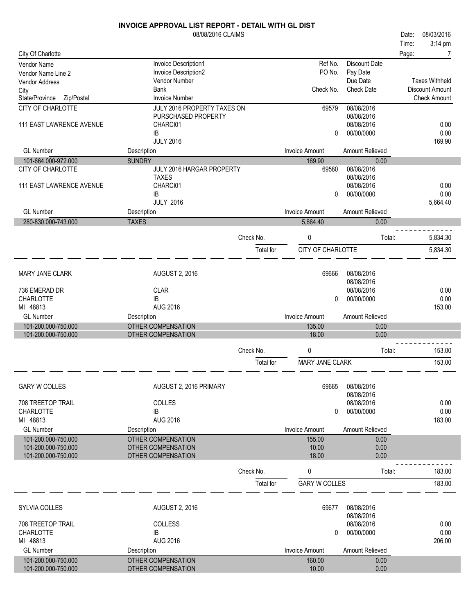|                                            | <b>INVOICE APPROVAL LIST REPORT - DETAIL WITH GL DIST</b> |           |                        |                        |       |                       |
|--------------------------------------------|-----------------------------------------------------------|-----------|------------------------|------------------------|-------|-----------------------|
|                                            | 08/08/2016 CLAIMS                                         |           |                        |                        | Date: | 08/03/2016            |
|                                            |                                                           |           |                        |                        | Time: | 3:14 pm               |
| City Of Charlotte                          |                                                           |           |                        |                        | Page: |                       |
| <b>Vendor Name</b>                         | Invoice Description1                                      |           | Ref No.                | Discount Date          |       |                       |
| Vendor Name Line 2                         | Invoice Description2                                      |           | PO No.                 | Pay Date               |       |                       |
| Vendor Address                             | Vendor Number                                             |           |                        | Due Date               |       | <b>Taxes Withheld</b> |
| City                                       | <b>Bank</b>                                               |           | Check No.              | <b>Check Date</b>      |       | Discount Amount       |
| State/Province<br>Zip/Postal               | <b>Invoice Number</b>                                     |           |                        |                        |       | <b>Check Amount</b>   |
| CITY OF CHARLOTTE                          | JULY 2016 PROPERTY TAXES ON                               |           | 69579                  | 08/08/2016             |       |                       |
|                                            | PURSCHASED PROPERTY                                       |           |                        | 08/08/2016             |       |                       |
| 111 EAST LAWRENCE AVENUE                   | CHARCI01                                                  |           |                        | 08/08/2016             |       | 0.00                  |
|                                            | IB                                                        |           | 0                      | 00/00/0000             |       | 0.00                  |
|                                            | <b>JULY 2016</b>                                          |           |                        |                        |       | 169.90                |
| <b>GL Number</b>                           | Description                                               |           | <b>Invoice Amount</b>  | Amount Relieved        |       |                       |
| 101-664.000-972.000                        | <b>SUNDRY</b>                                             |           | 169.90                 | 0.00                   |       |                       |
| <b>CITY OF CHARLOTTE</b>                   | JULY 2016 HARGAR PROPERTY                                 |           | 69580                  | 08/08/2016             |       |                       |
|                                            | <b>TAXES</b>                                              |           |                        | 08/08/2016             |       |                       |
| 111 EAST LAWRENCE AVENUE                   | CHARCI01                                                  |           |                        | 08/08/2016             |       | 0.00                  |
|                                            | IB                                                        |           | 0                      | 00/00/0000             |       | 0.00                  |
|                                            | <b>JULY 2016</b>                                          |           |                        |                        |       | 5,664.40              |
| <b>GL Number</b>                           | Description                                               |           | <b>Invoice Amount</b>  | <b>Amount Relieved</b> |       |                       |
| 280-830.000-743.000                        | <b>TAXES</b>                                              |           | 5,664.40               | 0.00                   |       |                       |
|                                            |                                                           |           |                        |                        |       |                       |
|                                            |                                                           | Check No. | 0                      | Total:                 |       | 5,834.30              |
|                                            |                                                           | Total for | CITY OF CHARLOTTE      |                        |       | 5,834.30              |
|                                            |                                                           |           |                        |                        |       |                       |
|                                            |                                                           |           |                        |                        |       |                       |
| <b>MARY JANE CLARK</b>                     | <b>AUGUST 2, 2016</b>                                     |           | 69666                  | 08/08/2016             |       |                       |
|                                            |                                                           |           |                        | 08/08/2016             |       |                       |
| 736 EMERAD DR                              | <b>CLAR</b>                                               |           |                        | 08/08/2016             |       | 0.00                  |
| <b>CHARLOTTE</b>                           | <b>IB</b>                                                 |           | $\mathbf{0}$           | 00/00/0000             |       | 0.00                  |
| MI 48813                                   | <b>AUG 2016</b>                                           |           |                        |                        |       | 153.00                |
| <b>GL Number</b>                           | Description                                               |           | <b>Invoice Amount</b>  | Amount Relieved        |       |                       |
| 101-200.000-750.000                        | <b>OTHER COMPENSATION</b>                                 |           | 135.00                 | 0.00                   |       |                       |
| 101-200.000-750.000                        | OTHER COMPENSATION                                        |           | 18.00                  | 0.00                   |       |                       |
|                                            |                                                           |           |                        |                        |       |                       |
|                                            |                                                           | Check No. | 0                      | Total:                 |       | 153.00                |
|                                            |                                                           | Total for | <b>MARY JANE CLARK</b> |                        |       | 153.00                |
|                                            |                                                           |           |                        |                        |       |                       |
|                                            |                                                           |           |                        |                        |       |                       |
| <b>GARY W COLLES</b>                       | AUGUST 2, 2016 PRIMARY                                    |           | 69665                  | 08/08/2016             |       |                       |
|                                            |                                                           |           |                        | 08/08/2016             |       |                       |
| 708 TREETOP TRAIL                          | COLLES                                                    |           |                        | 08/08/2016             |       | 0.00                  |
| <b>CHARLOTTE</b>                           | IB                                                        |           | $\mathbf{0}$           | 00/00/0000             |       | 0.00                  |
| MI 48813                                   | AUG 2016                                                  |           |                        |                        |       | 183.00                |
| <b>GL Number</b>                           | Description                                               |           | <b>Invoice Amount</b>  | Amount Relieved        |       |                       |
| 101-200.000-750.000                        | <b>OTHER COMPENSATION</b>                                 |           | 155.00                 | 0.00                   |       |                       |
| 101-200.000-750.000                        | <b>OTHER COMPENSATION</b>                                 |           | 10.00                  | 0.00                   |       |                       |
| 101-200.000-750.000                        | OTHER COMPENSATION                                        |           | 18.00                  | 0.00                   |       |                       |
|                                            |                                                           | Check No. | 0                      | Total:                 |       | 183.00                |
|                                            |                                                           |           |                        |                        |       |                       |
|                                            |                                                           | Total for | <b>GARY W COLLES</b>   |                        |       | 183.00                |
|                                            |                                                           |           |                        |                        |       |                       |
| SYLVIA COLLES                              | <b>AUGUST 2, 2016</b>                                     |           | 69677                  | 08/08/2016             |       |                       |
|                                            |                                                           |           |                        | 08/08/2016             |       |                       |
| 708 TREETOP TRAIL                          | COLLESS                                                   |           |                        | 08/08/2016             |       | 0.00                  |
| <b>CHARLOTTE</b>                           | IB                                                        |           | 0                      | 00/00/0000             |       | 0.00                  |
| MI 48813                                   | <b>AUG 2016</b>                                           |           |                        |                        |       | 206.00                |
| <b>GL Number</b>                           | Description                                               |           | <b>Invoice Amount</b>  | Amount Relieved        |       |                       |
|                                            | OTHER COMPENSATION                                        |           |                        |                        |       |                       |
| 101-200.000-750.000<br>101-200.000-750.000 | OTHER COMPENSATION                                        |           | 160.00<br>10.00        | 0.00<br>0.00           |       |                       |
|                                            |                                                           |           |                        |                        |       |                       |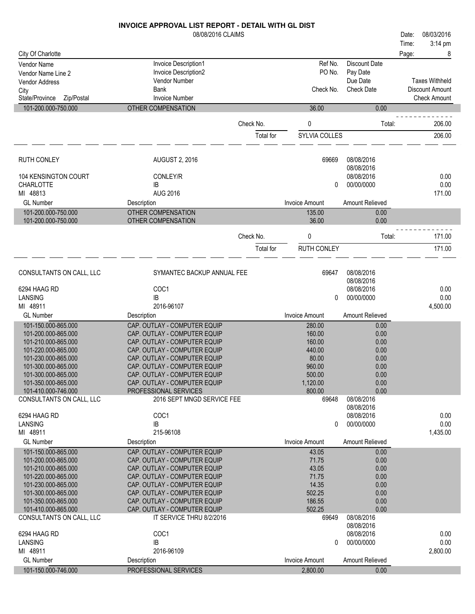|                                                     | 08/08/2016 CLAIMS                                            |           |                       |                          | Date: | 08/03/2016             |
|-----------------------------------------------------|--------------------------------------------------------------|-----------|-----------------------|--------------------------|-------|------------------------|
|                                                     |                                                              |           |                       |                          | Time: | 3:14 pm                |
| City Of Charlotte                                   |                                                              |           |                       |                          | Page: | 8                      |
| Vendor Name                                         | Invoice Description1                                         |           | Ref No.               | <b>Discount Date</b>     |       |                        |
| Vendor Name Line 2                                  | Invoice Description2                                         |           | PO No.                | Pay Date                 |       |                        |
| <b>Vendor Address</b>                               | Vendor Number                                                |           |                       | Due Date                 |       | <b>Taxes Withheld</b>  |
| City                                                | Bank<br><b>Invoice Number</b>                                |           | Check No.             | <b>Check Date</b>        |       | <b>Discount Amount</b> |
| Zip/Postal<br>State/Province<br>101-200.000-750.000 | OTHER COMPENSATION                                           |           | 36.00                 | 0.00                     |       | <b>Check Amount</b>    |
|                                                     |                                                              |           |                       |                          |       |                        |
|                                                     |                                                              | Check No. | 0                     | Total:                   |       | 206.00                 |
|                                                     |                                                              | Total for | SYLVIA COLLES         |                          |       | 206.00                 |
| <b>RUTH CONLEY</b>                                  | <b>AUGUST 2, 2016</b>                                        |           | 69669                 | 08/08/2016               |       |                        |
|                                                     |                                                              |           |                       | 08/08/2016               |       |                        |
| 104 KENSINGTON COURT                                | CONLEY/R                                                     |           |                       | 08/08/2016               |       | 0.00                   |
| <b>CHARLOTTE</b>                                    | IB                                                           |           | 0                     | 00/00/0000               |       | 0.00                   |
| MI 48813<br><b>GL Number</b>                        | <b>AUG 2016</b>                                              |           | <b>Invoice Amount</b> | Amount Relieved          |       | 171.00                 |
| 101-200.000-750.000                                 | Description<br><b>OTHER COMPENSATION</b>                     |           | 135.00                | 0.00                     |       |                        |
| 101-200.000-750.000                                 | OTHER COMPENSATION                                           |           | 36.00                 | 0.00                     |       |                        |
|                                                     |                                                              | Check No. | 0                     | Total:                   |       | 171.00                 |
|                                                     |                                                              | Total for | RUTH CONLEY           |                          |       | 171.00                 |
| CONSULTANTS ON CALL, LLC                            | SYMANTEC BACKUP ANNUAL FEE                                   |           | 69647                 | 08/08/2016               |       |                        |
|                                                     |                                                              |           |                       | 08/08/2016               |       |                        |
| 6294 HAAG RD                                        | COC1                                                         |           |                       | 08/08/2016               |       | 0.00                   |
| LANSING                                             | IB                                                           |           | 0                     | 00/00/0000               |       | 0.00                   |
| MI 48911                                            | 2016-96107                                                   |           |                       |                          |       | 4,500.00               |
| <b>GL Number</b>                                    | Description                                                  |           | <b>Invoice Amount</b> | Amount Relieved          |       |                        |
| 101-150.000-865.000                                 | CAP. OUTLAY - COMPUTER EQUIP                                 |           | 280.00                | 0.00                     |       |                        |
| 101-200.000-865.000<br>101-210.000-865.000          | CAP. OUTLAY - COMPUTER EQUIP<br>CAP. OUTLAY - COMPUTER EQUIP |           | 160.00<br>160.00      | 0.00<br>0.00             |       |                        |
| 101-220.000-865.000                                 | CAP. OUTLAY - COMPUTER EQUIP                                 |           | 440.00                | 0.00                     |       |                        |
| 101-230.000-865.000                                 | CAP. OUTLAY - COMPUTER EQUIP                                 |           | 80.00                 | 0.00                     |       |                        |
| 101-300.000-865.000                                 | CAP. OUTLAY - COMPUTER EQUIP                                 |           | 960.00                | 0.00                     |       |                        |
| 101-300.000-865.000                                 | CAP. OUTLAY - COMPUTER EQUIP                                 |           | 500.00                | 0.00                     |       |                        |
| 101-350.000-865.000                                 | CAP. OUTLAY - COMPUTER EQUIP                                 |           | 1,120.00              | 0.00                     |       |                        |
| 101-410.000-746.000<br>CONSULTANTS ON CALL, LLC     | PROFESSIONAL SERVICES<br>2016 SEPT MNGD SERVICE FEE          |           | 800.00<br>69648       | 0.00<br>08/08/2016       |       |                        |
|                                                     |                                                              |           |                       | 08/08/2016               |       |                        |
| 6294 HAAG RD                                        | COC1                                                         |           |                       | 08/08/2016               |       | 0.00                   |
| LANSING                                             | IB                                                           |           | 0                     | 00/00/0000               |       | 0.00                   |
| MI 48911                                            | 215-96108                                                    |           |                       |                          |       | 1,435.00               |
| <b>GL Number</b>                                    | Description                                                  |           | <b>Invoice Amount</b> | Amount Relieved          |       |                        |
| 101-150.000-865.000                                 | CAP. OUTLAY - COMPUTER EQUIP                                 |           | 43.05                 | 0.00                     |       |                        |
| 101-200.000-865.000                                 | CAP. OUTLAY - COMPUTER EQUIP                                 |           | 71.75                 | 0.00                     |       |                        |
| 101-210.000-865.000                                 | CAP. OUTLAY - COMPUTER EQUIP                                 |           | 43.05                 | 0.00                     |       |                        |
| 101-220.000-865.000<br>101-230.000-865.000          | CAP. OUTLAY - COMPUTER EQUIP<br>CAP. OUTLAY - COMPUTER EQUIP |           | 71.75<br>14.35        | 0.00<br>0.00             |       |                        |
| 101-300.000-865.000                                 | CAP. OUTLAY - COMPUTER EQUIP                                 |           | 502.25                | 0.00                     |       |                        |
| 101-350.000-865.000                                 | CAP. OUTLAY - COMPUTER EQUIP                                 |           | 186.55                | 0.00                     |       |                        |
| 101-410.000-865.000                                 | CAP. OUTLAY - COMPUTER EQUIP                                 |           | 502.25                | 0.00                     |       |                        |
| CONSULTANTS ON CALL, LLC                            | IT SERVICE THRU 8/2/2016                                     |           | 69649                 | 08/08/2016               |       |                        |
| 6294 HAAG RD                                        | COC1                                                         |           |                       | 08/08/2016<br>08/08/2016 |       | 0.00                   |
| <b>LANSING</b>                                      | IB                                                           |           | 0                     | 00/00/0000               |       | 0.00                   |
| MI 48911                                            | 2016-96109                                                   |           |                       |                          |       | 2,800.00               |
| <b>GL Number</b>                                    | Description                                                  |           | <b>Invoice Amount</b> | <b>Amount Relieved</b>   |       |                        |
| 101-150.000-746.000                                 | PROFESSIONAL SERVICES                                        |           | 2,800.00              | 0.00                     |       |                        |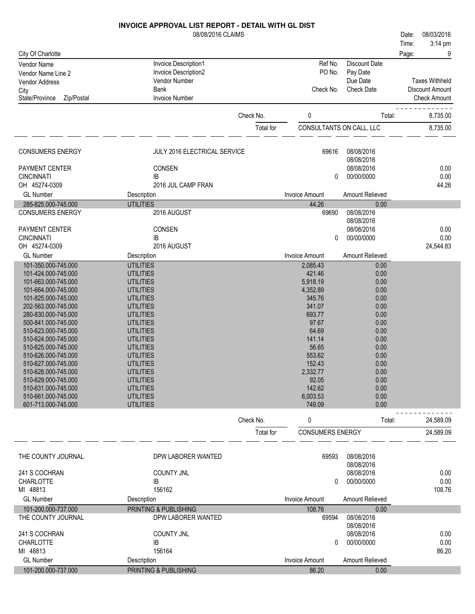08/08/2016 CLAIMS

|                                            | 08/08/2016 CLAIMS                    |           |                          |                          | 08/03/2016<br>Date:   |
|--------------------------------------------|--------------------------------------|-----------|--------------------------|--------------------------|-----------------------|
|                                            |                                      |           |                          |                          | 3:14 pm<br>Time:      |
| City Of Charlotte                          |                                      |           |                          |                          | Page:<br>9            |
| Vendor Name                                | Invoice Description1                 |           | Ref No.                  | Discount Date            |                       |
| Vendor Name Line 2                         | Invoice Description2                 |           | PO No.                   | Pay Date                 |                       |
| <b>Vendor Address</b>                      | Vendor Number                        |           |                          | Due Date                 | <b>Taxes Withheld</b> |
| City                                       | Bank                                 |           | Check No.                | <b>Check Date</b>        | Discount Amount       |
| Zip/Postal<br>State/Province               | <b>Invoice Number</b>                |           |                          |                          | <b>Check Amount</b>   |
|                                            |                                      | Check No. | 0                        | Total:                   | 8,735.00              |
|                                            |                                      |           |                          |                          |                       |
|                                            |                                      | Total for | CONSULTANTS ON CALL, LLC |                          | 8,735.00              |
| <b>CONSUMERS ENERGY</b>                    | JULY 2016 ELECTRICAL SERVICE         |           | 69616                    | 08/08/2016               |                       |
|                                            |                                      |           |                          | 08/08/2016               |                       |
| PAYMENT CENTER                             | CONSEN                               |           |                          | 08/08/2016               | 0.00                  |
| <b>CINCINNATI</b>                          | <b>IB</b>                            |           | 0                        | 00/00/0000               | 0.00                  |
| OH 45274-0309                              | 2016 JUL CAMP FRAN                   |           |                          |                          | 44.26                 |
| <b>GL Number</b>                           | Description                          |           | <b>Invoice Amount</b>    | Amount Relieved          |                       |
| 285-825.000-745.000                        | <b>UTILITIES</b>                     |           | 44.26                    | 0.00                     |                       |
| <b>CONSUMERS ENERGY</b>                    | 2016 AUGUST                          |           | 69690                    | 08/08/2016               |                       |
| PAYMENT CENTER                             | CONSEN                               |           |                          | 08/08/2016<br>08/08/2016 | 0.00                  |
| <b>CINCINNATI</b>                          | <b>IB</b>                            |           | 0                        | 00/00/0000               | 0.00                  |
| OH 45274-0309                              | 2016 AUGUST                          |           |                          |                          | 24,544.83             |
| <b>GL Number</b>                           | Description                          |           | <b>Invoice Amount</b>    | Amount Relieved          |                       |
| 101-350.000-745.000                        | <b>UTILITIES</b>                     |           | 2,085.43                 | 0.00                     |                       |
| 101-424.000-745.000                        | <b>UTILITIES</b>                     |           | 421.46                   | 0.00                     |                       |
| 101-663.000-745.000                        | <b>UTILITIES</b>                     |           | 5,918.19                 | 0.00                     |                       |
| 101-664.000-745.000                        | <b>UTILITIES</b>                     |           | 4,352.89                 | 0.00                     |                       |
| 101-825.000-745.000                        | <b>UTILITIES</b>                     |           | 345.76                   | 0.00                     |                       |
| 202-563.000-745.000                        | <b>UTILITIES</b>                     |           | 341.07                   | 0.00                     |                       |
| 280-830.000-745.000                        | <b>UTILITIES</b>                     |           | 693.77                   | 0.00                     |                       |
| 500-841.000-745.000                        | <b>UTILITIES</b>                     |           | 97.67                    | 0.00                     |                       |
| 510-623.000-745.000<br>510-624.000-745.000 | <b>UTILITIES</b><br><b>UTILITIES</b> |           | 64.69<br>141.14          | 0.00<br>0.00             |                       |
| 510-625.000-745.000                        | <b>UTILITIES</b>                     |           | 56.65                    | 0.00                     |                       |
| 510-626.000-745.000                        | <b>UTILITIES</b>                     |           | 553.62                   | 0.00                     |                       |
| 510-627.000-745.000                        | <b>UTILITIES</b>                     |           | 152.43                   | 0.00                     |                       |
| 510-628.000-745.000                        | <b>UTILITIES</b>                     |           | 2,332.77                 | 0.00                     |                       |
| 510-629.000-745.000                        | <b>UTILITIES</b>                     |           | 92.05                    | 0.00                     |                       |
| 510-631.000-745.000                        | <b>UTILITIES</b>                     |           | 142.62                   | 0.00                     |                       |
| 510-661.000-745.000                        | <b>UTILITIES</b>                     |           | 6,003.53                 | 0.00                     |                       |
| 601-713.000-745.000                        | <b>UTILITIES</b>                     |           | 749.09                   | 0.00                     |                       |
|                                            |                                      | Check No. | 0                        | Total:                   | 24,589.09             |
|                                            |                                      | Total for | <b>CONSUMERS ENERGY</b>  |                          | 24,589.09             |
| THE COUNTY JOURNAL                         | DPW LABORER WANTED                   |           | 69593                    | 08/08/2016<br>08/08/2016 |                       |
| 241 S COCHRAN                              | <b>COUNTY JNL</b>                    |           |                          | 08/08/2016               | 0.00                  |
| <b>CHARLOTTE</b>                           | IB                                   |           | 0                        | 00/00/0000               | 0.00                  |
| MI 48813                                   | 156162                               |           |                          |                          | 108.76                |
| <b>GL Number</b>                           | Description                          |           | <b>Invoice Amount</b>    | Amount Relieved          |                       |
| 101-200.000-737.000                        | PRINTING & PUBLISHING                |           | 108.76                   | 0.00                     |                       |
| THE COUNTY JOURNAL                         | DPW LABORER WANTED                   |           | 69594                    | 08/08/2016<br>08/08/2016 |                       |
| 241 S COCHRAN                              | <b>COUNTY JNL</b>                    |           |                          | 08/08/2016               | 0.00                  |
| <b>CHARLOTTE</b>                           | IB                                   |           | $\Omega$                 | 00/00/0000               | 0.00                  |
| MI 48813                                   | 156164                               |           |                          |                          | 86.20                 |
| <b>GL Number</b>                           | Description                          |           | <b>Invoice Amount</b>    | <b>Amount Relieved</b>   |                       |
| 101-200.000-737.000                        | PRINTING & PUBLISHING                |           | 86.20                    | 0.00                     |                       |
|                                            |                                      |           |                          |                          |                       |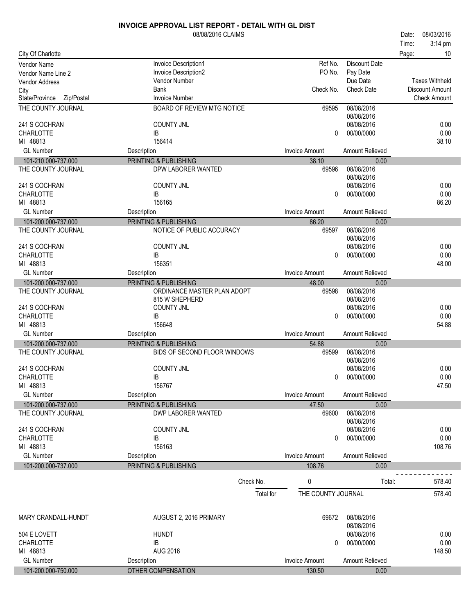|                                           | 08/08/2016 CLAIMS            |                       |                          | 08/03/2016<br>Date:    |
|-------------------------------------------|------------------------------|-----------------------|--------------------------|------------------------|
|                                           |                              |                       |                          | 3:14 pm<br>Time:       |
| City Of Charlotte                         |                              |                       |                          | Page:<br>10            |
| Vendor Name                               | Invoice Description1         | Ref No.               | <b>Discount Date</b>     |                        |
| Vendor Name Line 2                        | Invoice Description2         | PO No.                | Pay Date                 |                        |
| <b>Vendor Address</b>                     | Vendor Number                |                       | Due Date                 | <b>Taxes Withheld</b>  |
| City                                      | Bank                         | Check No.             | <b>Check Date</b>        | <b>Discount Amount</b> |
| State/Province Zip/Postal                 | <b>Invoice Number</b>        |                       |                          | <b>Check Amount</b>    |
| THE COUNTY JOURNAL                        | BOARD OF REVIEW MTG NOTICE   | 69595                 | 08/08/2016<br>08/08/2016 |                        |
| 241 S COCHRAN                             | <b>COUNTY JNL</b>            |                       | 08/08/2016               | 0.00                   |
| <b>CHARLOTTE</b>                          | IB                           | 0                     | 00/00/0000               | 0.00                   |
| MI 48813                                  | 156414                       |                       |                          | 38.10                  |
| <b>GL Number</b>                          | Description                  | <b>Invoice Amount</b> | Amount Relieved          |                        |
| 101-210.000-737.000                       | PRINTING & PUBLISHING        | 38.10                 | 0.00                     |                        |
| THE COUNTY JOURNAL                        | DPW LABORER WANTED           | 69596                 | 08/08/2016               |                        |
|                                           |                              |                       | 08/08/2016               |                        |
| 241 S COCHRAN                             | <b>COUNTY JNL</b>            |                       | 08/08/2016<br>00/00/0000 | 0.00                   |
| <b>CHARLOTTE</b><br>MI 48813              | IB<br>156165                 | 0                     |                          | 0.00<br>86.20          |
| <b>GL Number</b>                          |                              | <b>Invoice Amount</b> | Amount Relieved          |                        |
|                                           | Description                  |                       |                          |                        |
| 101-200.000-737.000<br>THE COUNTY JOURNAL | PRINTING & PUBLISHING        | 86.20<br>69597        | 0.00<br>08/08/2016       |                        |
|                                           | NOTICE OF PUBLIC ACCURACY    |                       | 08/08/2016               |                        |
| 241 S COCHRAN                             | <b>COUNTY JNL</b>            |                       | 08/08/2016               | 0.00                   |
| <b>CHARLOTTE</b>                          | IB                           | $\Omega$              | 00/00/0000               | 0.00                   |
| MI 48813                                  | 156351                       |                       |                          | 48.00                  |
| <b>GL Number</b>                          | Description                  | <b>Invoice Amount</b> | Amount Relieved          |                        |
| 101-200.000-737.000                       | PRINTING & PUBLISHING        | 48.00                 | 0.00                     |                        |
| THE COUNTY JOURNAL                        | ORDINANCE MASTER PLAN ADOPT  | 69598                 | 08/08/2016               |                        |
|                                           | 815 W SHEPHERD               |                       | 08/08/2016               |                        |
| 241 S COCHRAN                             | <b>COUNTY JNL</b>            |                       | 08/08/2016               | 0.00                   |
| <b>CHARLOTTE</b>                          | IB                           | 0                     | 00/00/0000               | 0.00                   |
| MI 48813                                  | 156648                       |                       |                          | 54.88                  |
| <b>GL Number</b>                          | Description                  | <b>Invoice Amount</b> | Amount Relieved          |                        |
| 101-200.000-737.000                       | PRINTING & PUBLISHING        | 54.88                 | 0.00                     |                        |
| THE COUNTY JOURNAL                        | BIDS OF SECOND FLOOR WINDOWS | 69599                 | 08/08/2016               |                        |
|                                           |                              |                       | 08/08/2016               |                        |
| 241 S COCHRAN                             | <b>COUNTY JNL</b>            |                       | 08/08/2016               | 0.00                   |
| CHARLOTTE                                 | IB                           |                       | 0 00/00/0000             | 0.00                   |
| MI 48813                                  | 156767                       |                       |                          | 47.50                  |
| <b>GL Number</b>                          | Description                  | Invoice Amount        | Amount Relieved          |                        |
| 101-200.000-737.000                       | PRINTING & PUBLISHING        | 47.50                 | 0.00                     |                        |
| THE COUNTY JOURNAL                        | DWP LABORER WANTED           | 69600                 | 08/08/2016               |                        |
|                                           |                              |                       | 08/08/2016               |                        |
| 241 S COCHRAN                             | <b>COUNTY JNL</b>            |                       | 08/08/2016               | 0.00                   |
| <b>CHARLOTTE</b>                          | IB                           | $\Omega$              | 00/00/0000               | 0.00                   |
| MI 48813                                  | 156163                       |                       |                          | 108.76                 |
| <b>GL Number</b>                          | Description                  | <b>Invoice Amount</b> | Amount Relieved          |                        |
| 101-200.000-737.000                       | PRINTING & PUBLISHING        | 108.76                | 0.00                     |                        |
|                                           |                              |                       |                          |                        |
|                                           | Check No.                    | 0                     | Total:                   | 578.40                 |
|                                           | Total for                    | THE COUNTY JOURNAL    |                          | 578.40                 |
|                                           |                              |                       |                          |                        |
| MARY CRANDALL-HUNDT                       | AUGUST 2, 2016 PRIMARY       | 69672                 | 08/08/2016               |                        |
|                                           |                              |                       | 08/08/2016               |                        |
| 504 E LOVETT                              | <b>HUNDT</b>                 |                       | 08/08/2016               | 0.00                   |
| <b>CHARLOTTE</b>                          | IB                           | 0                     | 00/00/0000               | 0.00                   |
| MI 48813                                  | <b>AUG 2016</b>              |                       |                          | 148.50                 |
| <b>GL Number</b>                          | Description                  | <b>Invoice Amount</b> | Amount Relieved          |                        |
| 101-200.000-750.000                       | OTHER COMPENSATION           | 130.50                | 0.00                     |                        |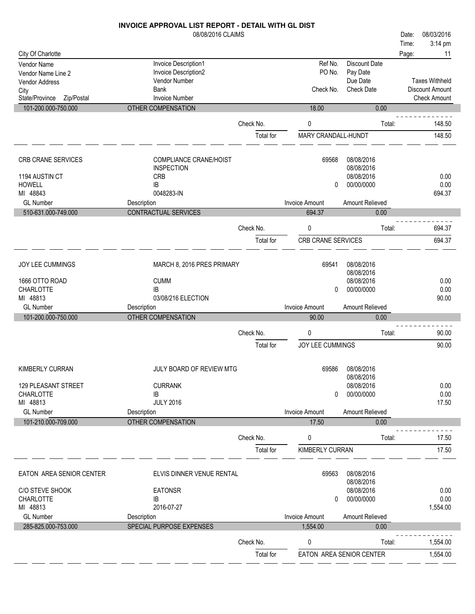|                                         | 08/08/2016 CLAIMS                            |           |                           |                          | Date: | 08/03/2016            |
|-----------------------------------------|----------------------------------------------|-----------|---------------------------|--------------------------|-------|-----------------------|
|                                         |                                              |           |                           |                          | Time: | 3:14 pm               |
| City Of Charlotte                       |                                              |           | Ref No.                   | <b>Discount Date</b>     | Page: | 11                    |
| Vendor Name                             | Invoice Description1<br>Invoice Description2 |           | PO No.                    | Pay Date                 |       |                       |
| Vendor Name Line 2                      | Vendor Number                                |           |                           | Due Date                 |       | <b>Taxes Withheld</b> |
| <b>Vendor Address</b>                   | <b>Bank</b>                                  |           | Check No.                 | <b>Check Date</b>        |       | Discount Amount       |
| City<br>State/Province<br>Zip/Postal    | <b>Invoice Number</b>                        |           |                           |                          |       | <b>Check Amount</b>   |
| 101-200.000-750.000                     | OTHER COMPENSATION                           |           | 18.00                     | 0.00                     |       |                       |
|                                         |                                              | Check No. | 0                         | Total:                   |       | 148.50                |
|                                         |                                              | Total for | MARY CRANDALL-HUNDT       |                          |       | 148.50                |
| CRB CRANE SERVICES                      | COMPLIANCE CRANE/HOIST                       |           | 69568                     | 08/08/2016               |       |                       |
|                                         | <b>INSPECTION</b>                            |           |                           | 08/08/2016               |       |                       |
| 1194 AUSTIN CT                          | <b>CRB</b>                                   |           |                           | 08/08/2016               |       | 0.00                  |
| <b>HOWELL</b>                           | IB                                           |           | 0                         | 00/00/0000               |       | 0.00                  |
| MI 48843                                | 0048283-IN                                   |           |                           |                          |       | 694.37                |
| <b>GL Number</b>                        | Description                                  |           | <b>Invoice Amount</b>     | Amount Relieved          |       |                       |
| 510-631.000-749.000                     | CONTRACTUAL SERVICES                         |           | 694.37                    | 0.00                     |       |                       |
|                                         |                                              | Check No. | 0                         | Total:                   |       | 694.37                |
|                                         |                                              | Total for | <b>CRB CRANE SERVICES</b> |                          |       | 694.37                |
| JOY LEE CUMMINGS                        | MARCH 8, 2016 PRES PRIMARY                   |           | 69541                     | 08/08/2016               |       |                       |
|                                         |                                              |           |                           | 08/08/2016               |       |                       |
| 1666 OTTO ROAD                          | <b>CUMM</b>                                  |           |                           | 08/08/2016               |       | 0.00                  |
| <b>CHARLOTTE</b>                        | IB                                           |           | 0                         | 00/00/0000               |       | 0.00                  |
| MI 48813<br><b>GL Number</b>            | 03/08/216 ELECTION                           |           | <b>Invoice Amount</b>     |                          |       | 90.00                 |
| 101-200.000-750.000                     | Description<br>OTHER COMPENSATION            |           | 90.00                     | Amount Relieved<br>0.00  |       |                       |
|                                         |                                              |           |                           |                          |       |                       |
|                                         |                                              | Check No. | 0                         | Total:                   |       | 90.00                 |
|                                         |                                              | Total for | JOY LEE CUMMINGS          |                          |       | 90.00                 |
| KIMBERLY CURRAN                         | JULY BOARD OF REVIEW MTG                     |           | 69586                     | 08/08/2016               |       |                       |
|                                         |                                              |           |                           | 08/08/2016               |       |                       |
| 129 PLEASANT STREET<br><b>CHARLOTTE</b> | <b>CURRANK</b><br>IB                         |           | 0                         | 08/08/2016<br>00/00/0000 |       | 0.00<br>0.00          |
| MI 48813                                | <b>JULY 2016</b>                             |           |                           |                          |       | 17.50                 |
| <b>GL Number</b>                        | Description                                  |           | <b>Invoice Amount</b>     | Amount Relieved          |       |                       |
| 101-210.000-709.000                     | OTHER COMPENSATION                           |           | 17.50                     | 0.00                     |       |                       |
|                                         |                                              |           |                           |                          |       |                       |
|                                         |                                              | Check No. | 0                         | Total:                   |       | 17.50                 |
|                                         |                                              |           |                           |                          |       |                       |

П

П

П

| <b>UL INUITIUGI</b>      | Description               |           | <b>IIIVUILE AIIIUUIIL</b> | <b>AUVULLINGIIGVGU</b>   |          |
|--------------------------|---------------------------|-----------|---------------------------|--------------------------|----------|
| 101-210.000-709.000      | <b>OTHER COMPENSATION</b> |           | 17.50                     | 0.00                     |          |
|                          |                           | Check No. | 0                         | Total:                   | 17.50    |
|                          |                           | Total for | <b>KIMBERLY CURRAN</b>    |                          | 17.50    |
| EATON AREA SENIOR CENTER | ELVIS DINNER VENUE RENTAL |           | 69563                     | 08/08/2016<br>08/08/2016 |          |
| C/O STEVE SHOOK          | <b>EATONSR</b>            |           |                           | 08/08/2016               | 0.00     |
| <b>CHARLOTTE</b>         | IB                        |           | 0                         | 00/00/0000               | 0.00     |
| MI 48813                 | 2016-07-27                |           |                           |                          | 1,554.00 |
| <b>GL Number</b>         | Description               |           | <b>Invoice Amount</b>     | Amount Relieved          |          |
| 285-825.000-753.000      | SPECIAL PURPOSE EXPENSES  |           | 1.554.00                  | 0.00                     |          |
|                          |                           | Check No. | 0                         | Total:                   | 1,554.00 |
|                          |                           | Total for |                           | EATON AREA SENIOR CENTER | 1.554.00 |
|                          |                           |           |                           |                          |          |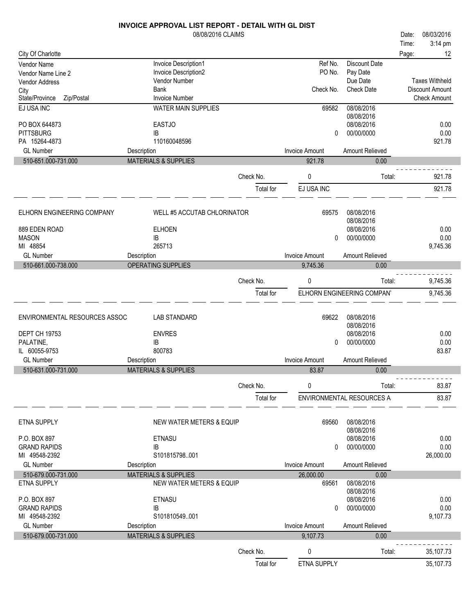|                                          | INVOICE APPROVAL LIST REPORT - DETAIL WITH GL DIST |           |                       |                            |                       |
|------------------------------------------|----------------------------------------------------|-----------|-----------------------|----------------------------|-----------------------|
|                                          | 08/08/2016 CLAIMS                                  |           |                       |                            | 08/03/2016<br>Date:   |
|                                          |                                                    |           |                       |                            | 3:14 pm<br>Time:      |
| City Of Charlotte                        |                                                    |           |                       | <b>Discount Date</b>       | Page:<br>12           |
| <b>Vendor Name</b><br>Vendor Name Line 2 | Invoice Description1<br>Invoice Description2       |           | Ref No.<br>PO No.     | Pay Date                   |                       |
| Vendor Address                           | Vendor Number                                      |           |                       | Due Date                   | <b>Taxes Withheld</b> |
| City                                     | <b>Bank</b>                                        |           | Check No.             | <b>Check Date</b>          | Discount Amount       |
| State/Province<br>Zip/Postal             | <b>Invoice Number</b>                              |           |                       |                            | <b>Check Amount</b>   |
| EJ USA INC                               | <b>WATER MAIN SUPPLIES</b>                         |           | 69582                 | 08/08/2016                 |                       |
|                                          |                                                    |           |                       | 08/08/2016                 |                       |
| PO BOX 644873                            | <b>EASTJO</b>                                      |           |                       | 08/08/2016                 | 0.00                  |
| <b>PITTSBURG</b><br>PA 15264-4873        | ΙB                                                 |           | 0                     | 00/00/0000                 | 0.00                  |
| <b>GL Number</b>                         | 110160048596                                       |           | <b>Invoice Amount</b> | Amount Relieved            | 921.78                |
| 510-651.000-731.000                      | Description<br><b>MATERIALS &amp; SUPPLIES</b>     |           | 921.78                | 0.00                       |                       |
|                                          |                                                    |           |                       |                            |                       |
|                                          |                                                    | Check No. | 0                     | Total:                     | 921.78                |
|                                          |                                                    | Total for | EJ USA INC            |                            | 921.78                |
|                                          |                                                    |           |                       |                            |                       |
| ELHORN ENGINEERING COMPANY               | WELL #5 ACCUTAB CHLORINATOR                        |           | 69575                 | 08/08/2016                 |                       |
|                                          |                                                    |           |                       | 08/08/2016                 |                       |
| 889 EDEN ROAD                            | <b>ELHOEN</b>                                      |           |                       | 08/08/2016                 | 0.00                  |
| <b>MASON</b>                             | IB                                                 |           | $\mathbf{0}$          | 00/00/0000                 | 0.00                  |
| MI 48854                                 | 265713                                             |           |                       |                            | 9,745.36              |
| <b>GL Number</b>                         | Description                                        |           | <b>Invoice Amount</b> | Amount Relieved            |                       |
| 510-661.000-738.000                      | OPERATING SUPPLIES                                 |           | 9,745.36              | 0.00                       |                       |
|                                          |                                                    | Check No. | 0                     | Total:                     | 9,745.36              |
|                                          |                                                    |           |                       |                            |                       |
|                                          |                                                    | Total for |                       | ELHORN ENGINEERING COMPAN' | 9,745.36              |
|                                          |                                                    |           |                       |                            |                       |
| ENVIRONMENTAL RESOURCES ASSOC            | <b>LAB STANDARD</b>                                |           | 69622                 | 08/08/2016                 |                       |
|                                          |                                                    |           |                       | 08/08/2016                 |                       |
| <b>DEPT CH 19753</b>                     | <b>ENVRES</b>                                      |           |                       | 08/08/2016                 | 0.00                  |
| PALATINE,<br>IL 60055-9753               | IB<br>800783                                       |           | 0                     | 00/00/0000                 | 0.00<br>83.87         |
| <b>GL Number</b>                         | Description                                        |           | <b>Invoice Amount</b> | Amount Relieved            |                       |
| 510-631.000-731.000                      | <b>MATERIALS &amp; SUPPLIES</b>                    |           | 83.87                 | 0.00                       |                       |
|                                          |                                                    |           |                       |                            |                       |
|                                          |                                                    | Check No. | 0                     | Total:                     | 83.87                 |
|                                          |                                                    | Total for |                       | ENVIRONMENTAL RESOURCES A  | 83.87                 |
|                                          |                                                    |           |                       |                            |                       |
| <b>ETNA SUPPLY</b>                       | NEW WATER METERS & EQUIP                           |           | 69560                 | 08/08/2016                 |                       |
|                                          |                                                    |           |                       | 08/08/2016                 |                       |
| P.O. BOX 897                             | <b>ETNASU</b>                                      |           |                       | 08/08/2016                 | 0.00                  |
| <b>GRAND RAPIDS</b>                      | IB                                                 |           | 0                     | 00/00/0000                 | 0.00                  |
| MI 49548-2392                            | S101815798001                                      |           |                       |                            | 26,000.00             |
| <b>GL Number</b>                         | Description                                        |           | <b>Invoice Amount</b> | Amount Relieved            |                       |
| 510-679.000-731.000                      | <b>MATERIALS &amp; SUPPLIES</b>                    |           | 26,000.00             | 0.00                       |                       |
| ETNA SUPPLY                              | NEW WATER METERS & EQUIP                           |           | 69561                 | 08/08/2016                 |                       |
|                                          |                                                    |           |                       | 08/08/2016                 |                       |
| P.O. BOX 897                             | ETNASU<br>ΙB                                       |           |                       | 08/08/2016<br>00/00/0000   | 0.00                  |
| <b>GRAND RAPIDS</b><br>MI 49548-2392     | S101810549001                                      |           | 0                     |                            | 0.00<br>9,107.73      |
| <b>GL Number</b>                         | Description                                        |           | <b>Invoice Amount</b> | Amount Relieved            |                       |
| 510-679.000-731.000                      | <b>MATERIALS &amp; SUPPLIES</b>                    |           | 9,107.73              | 0.00                       |                       |
|                                          |                                                    |           |                       |                            |                       |
|                                          |                                                    | Check No. | 0                     | Total:                     | 35,107.73             |
|                                          |                                                    | Total for | ETNA SUPPLY           |                            | 35,107.73             |
|                                          |                                                    |           |                       |                            |                       |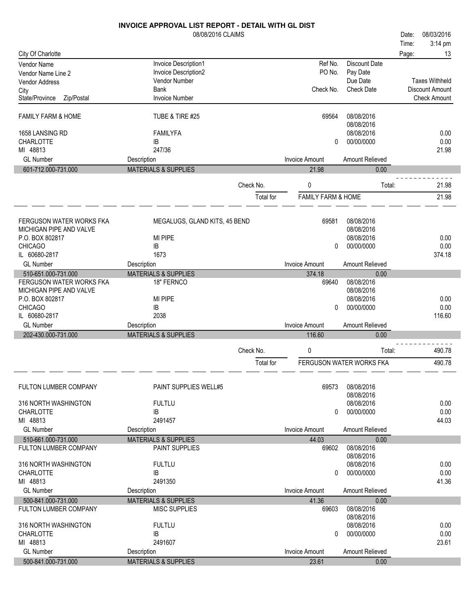|                               | <b>INVOICE APPROVAL LIST REPORT - DETAIL WITH GL DIST</b> |           |                               |                          |       |                       |
|-------------------------------|-----------------------------------------------------------|-----------|-------------------------------|--------------------------|-------|-----------------------|
|                               | 08/08/2016 CLAIMS                                         |           |                               |                          | Date: | 08/03/2016            |
|                               |                                                           |           |                               |                          | Time: | 3:14 pm               |
| City Of Charlotte             |                                                           |           |                               |                          | Page: | 13                    |
| <b>Vendor Name</b>            | Invoice Description1                                      |           | Ref No.                       | <b>Discount Date</b>     |       |                       |
| Vendor Name Line 2            | Invoice Description2                                      |           | PO No.                        | Pay Date                 |       |                       |
| Vendor Address                | Vendor Number                                             |           |                               | Due Date                 |       | <b>Taxes Withheld</b> |
| City                          | <b>Bank</b>                                               |           | Check No.                     | <b>Check Date</b>        |       | Discount Amount       |
| State/Province<br>Zip/Postal  | <b>Invoice Number</b>                                     |           |                               |                          |       | <b>Check Amount</b>   |
| <b>FAMILY FARM &amp; HOME</b> | TUBE & TIRE #25                                           |           | 69564                         | 08/08/2016<br>08/08/2016 |       |                       |
| 1658 LANSING RD               | <b>FAMILYFA</b>                                           |           |                               | 08/08/2016               |       | 0.00                  |
| <b>CHARLOTTE</b>              | IB                                                        |           | 0                             | 00/00/0000               |       | 0.00                  |
| MI 48813                      | 247/36                                                    |           |                               |                          |       | 21.98                 |
| <b>GL Number</b>              | Description                                               |           | <b>Invoice Amount</b>         | Amount Relieved          |       |                       |
| 601-712.000-731.000           | <b>MATERIALS &amp; SUPPLIES</b>                           |           | 21.98                         | 0.00                     |       |                       |
|                               |                                                           |           |                               |                          |       |                       |
|                               |                                                           | Check No. | 0                             | Total:                   |       | 21.98                 |
|                               |                                                           | Total for | <b>FAMILY FARM &amp; HOME</b> |                          |       | 21.98                 |
| FERGUSON WATER WORKS FKA      | MEGALUGS, GLAND KITS, 45 BEND                             |           | 69581                         | 08/08/2016               |       |                       |
| MICHIGAN PIPE AND VALVE       |                                                           |           |                               | 08/08/2016               |       |                       |
| P.O. BOX 802817               | MI PIPE                                                   |           |                               | 08/08/2016               |       | 0.00                  |
| <b>CHICAGO</b>                | IB                                                        |           | 0                             | 00/00/0000               |       | 0.00                  |
| IL 60680-2817                 | 1673                                                      |           |                               |                          |       | 374.18                |
| <b>GL Number</b>              | Description                                               |           | <b>Invoice Amount</b>         | Amount Relieved          |       |                       |
| 510-651.000-731.000           | <b>MATERIALS &amp; SUPPLIES</b>                           |           | 374.18                        | 0.00                     |       |                       |
| FERGUSON WATER WORKS FKA      | 18" FERNCO                                                |           | 69640                         | 08/08/2016               |       |                       |
| MICHIGAN PIPE AND VALVE       |                                                           |           |                               | 08/08/2016               |       |                       |
| P.O. BOX 802817               | MI PIPE                                                   |           |                               | 08/08/2016               |       | 0.00                  |
| <b>CHICAGO</b>                | IB                                                        |           | 0                             | 00/00/0000               |       | 0.00                  |
| IL 60680-2817                 | 2038                                                      |           |                               |                          |       | 116.60                |
| <b>GL Number</b>              | Description                                               |           | <b>Invoice Amount</b>         | Amount Relieved          |       |                       |
| 202-430.000-731.000           | <b>MATERIALS &amp; SUPPLIES</b>                           |           | 116.60                        | 0.00                     |       |                       |
|                               |                                                           | Check No. | 0                             | Total:                   |       | 490.78                |
|                               |                                                           | Total for |                               | FERGUSON WATER WORKS FKA |       | 490.78                |
|                               |                                                           |           |                               |                          |       |                       |
| <b>FULTON LUMBER COMPANY</b>  | <b>PAINT SUPPLIES WELL#5</b>                              |           | 69573                         | 08/08/2016<br>08/08/2016 |       |                       |
| 316 NORTH WASHINGTON          | <b>FULTLU</b>                                             |           |                               | 08/08/2016               |       | 0.00                  |
| <b>CHARLOTTE</b>              | IB                                                        |           | $\Omega$                      | 00/00/0000               |       | 0.00                  |
| MI 48813                      | 2491457                                                   |           |                               |                          |       | 44.03                 |
| <b>GL Number</b>              | Description                                               |           | <b>Invoice Amount</b>         | Amount Relieved          |       |                       |
| 510-661.000-731.000           | <b>MATERIALS &amp; SUPPLIES</b>                           |           | 44.03                         | 0.00                     |       |                       |
| <b>FULTON LUMBER COMPANY</b>  | PAINT SUPPLIES                                            |           | 69602                         | 08/08/2016               |       |                       |
|                               |                                                           |           |                               | 08/08/2016               |       |                       |
| 316 NORTH WASHINGTON          | <b>FULTLU</b>                                             |           |                               | 08/08/2016               |       | 0.00                  |
| <b>CHARLOTTE</b>              | IB                                                        |           | 0                             | 00/00/0000               |       | 0.00                  |
| MI 48813                      | 2491350                                                   |           |                               |                          |       | 41.36                 |
| <b>GL Number</b>              | Description                                               |           | Invoice Amount                | Amount Relieved          |       |                       |
| 500-841.000-731.000           | <b>MATERIALS &amp; SUPPLIES</b>                           |           | 41.36                         | 0.00                     |       |                       |
| <b>FULTON LUMBER COMPANY</b>  | <b>MISC SUPPLIES</b>                                      |           | 69603                         | 08/08/2016               |       |                       |
|                               |                                                           |           |                               | 08/08/2016               |       |                       |
| 316 NORTH WASHINGTON          | <b>FULTLU</b>                                             |           |                               | 08/08/2016               |       | 0.00                  |
| <b>CHARLOTTE</b>              | IB                                                        |           | $\Omega$                      | 00/00/0000               |       | 0.00                  |
| MI 48813                      | 2491607                                                   |           |                               |                          |       | 23.61                 |
| <b>GL Number</b>              | Description                                               |           | <b>Invoice Amount</b>         | <b>Amount Relieved</b>   |       |                       |
| 500-841.000-731.000           | <b>MATERIALS &amp; SUPPLIES</b>                           |           | 23.61                         | 0.00                     |       |                       |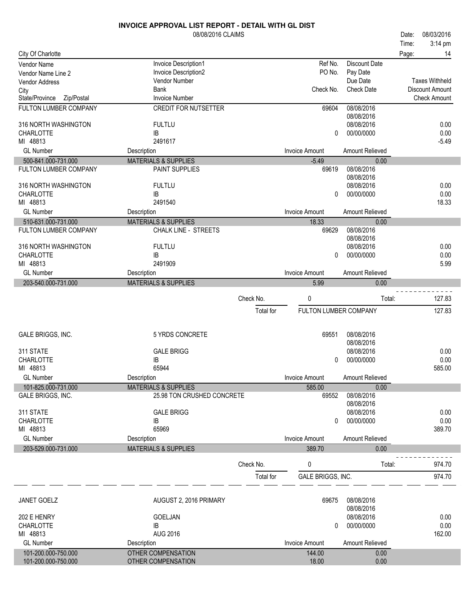|                                      | 08/08/2016 CLAIMS               |           |                       |                               | Date: | 08/03/2016                             |
|--------------------------------------|---------------------------------|-----------|-----------------------|-------------------------------|-------|----------------------------------------|
|                                      |                                 |           |                       |                               | Time: | 3:14 pm                                |
| City Of Charlotte                    |                                 |           |                       |                               | Page: | 14                                     |
| <b>Vendor Name</b>                   | Invoice Description1            |           | Ref No.               | <b>Discount Date</b>          |       |                                        |
| Vendor Name Line 2                   | Invoice Description2            |           | PO No.                | Pay Date                      |       |                                        |
| <b>Vendor Address</b>                | Vendor Number<br>Bank           |           | Check No.             | Due Date<br><b>Check Date</b> |       | <b>Taxes Withheld</b>                  |
| City<br>State/Province<br>Zip/Postal | <b>Invoice Number</b>           |           |                       |                               |       | Discount Amount<br><b>Check Amount</b> |
| FULTON LUMBER COMPANY                | <b>CREDIT FOR NUTSETTER</b>     |           | 69604                 | 08/08/2016                    |       |                                        |
|                                      |                                 |           |                       | 08/08/2016                    |       |                                        |
| 316 NORTH WASHINGTON                 | <b>FULTLU</b>                   |           |                       | 08/08/2016                    |       | 0.00                                   |
| <b>CHARLOTTE</b>                     | IB                              |           | 0                     | 00/00/0000                    |       | 0.00                                   |
| MI 48813                             | 2491617                         |           |                       |                               |       | $-5.49$                                |
| <b>GL Number</b>                     | Description                     |           | <b>Invoice Amount</b> | Amount Relieved               |       |                                        |
| 500-841.000-731.000                  | <b>MATERIALS &amp; SUPPLIES</b> |           | $-5.49$               | 0.00                          |       |                                        |
| FULTON LUMBER COMPANY                | PAINT SUPPLIES                  |           | 69619                 | 08/08/2016                    |       |                                        |
|                                      |                                 |           |                       | 08/08/2016                    |       |                                        |
| 316 NORTH WASHINGTON<br>CHARLOTTE    | <b>FULTLU</b><br>IB             |           | $\Omega$              | 08/08/2016<br>00/00/0000      |       | 0.00<br>0.00                           |
| MI 48813                             | 2491540                         |           |                       |                               |       | 18.33                                  |
| <b>GL Number</b>                     | Description                     |           | <b>Invoice Amount</b> | Amount Relieved               |       |                                        |
| 510-631.000-731.000                  | <b>MATERIALS &amp; SUPPLIES</b> |           | 18.33                 | 0.00                          |       |                                        |
| FULTON LUMBER COMPANY                | <b>CHALK LINE - STREETS</b>     |           | 69629                 | 08/08/2016                    |       |                                        |
|                                      |                                 |           |                       | 08/08/2016                    |       |                                        |
| 316 NORTH WASHINGTON                 | <b>FULTLU</b>                   |           |                       | 08/08/2016                    |       | 0.00                                   |
| <b>CHARLOTTE</b>                     | IB                              |           | 0                     | 00/00/0000                    |       | 0.00                                   |
| MI 48813                             | 2491909                         |           |                       |                               |       | 5.99                                   |
| <b>GL Number</b>                     | Description                     |           | <b>Invoice Amount</b> | Amount Relieved               |       |                                        |
| 203-540.000-731.000                  | <b>MATERIALS &amp; SUPPLIES</b> |           | 5.99                  | 0.00                          |       |                                        |
|                                      |                                 | Check No. | 0                     | Total:                        |       | 127.83                                 |
|                                      |                                 | Total for | FULTON LUMBER COMPANY |                               |       | 127.83                                 |
|                                      |                                 |           |                       |                               |       |                                        |
|                                      |                                 |           |                       |                               |       |                                        |
| GALE BRIGGS, INC.                    | 5 YRDS CONCRETE                 |           | 69551                 | 08/08/2016                    |       |                                        |
| 311 STATE                            |                                 |           |                       | 08/08/2016                    |       |                                        |
| <b>CHARLOTTE</b>                     | <b>GALE BRIGG</b><br>IB         |           | $\Omega$              | 08/08/2016<br>00/00/0000      |       | 0.00<br>0.00                           |
| MI 48813                             | 65944                           |           |                       |                               |       | 585.00                                 |
| <b>GL Number</b>                     | Description                     |           | <b>Invoice Amount</b> | Amount Relieved               |       |                                        |
| 101-825.000-731.000                  | <b>MATERIALS &amp; SUPPLIES</b> |           | 585.00                | 0.00                          |       |                                        |
| GALE BRIGGS, INC.                    | 25.98 TON CRUSHED CONCRETE      |           | 69552                 | 08/08/2016                    |       |                                        |
|                                      |                                 |           |                       | 08/08/2016                    |       |                                        |
| 311 STATE                            | <b>GALE BRIGG</b>               |           |                       | 08/08/2016                    |       | 0.00                                   |
| <b>CHARLOTTE</b>                     | IB                              |           | $\Omega$              | 00/00/0000                    |       | 0.00                                   |
| MI 48813                             | 65969                           |           |                       |                               |       | 389.70                                 |
| <b>GL Number</b>                     | Description                     |           | <b>Invoice Amount</b> | Amount Relieved               |       |                                        |
| 203-529.000-731.000                  | <b>MATERIALS &amp; SUPPLIES</b> |           | 389.70                | 0.00                          |       |                                        |
|                                      |                                 | Check No. | 0                     | Total:                        |       | 974.70                                 |
|                                      |                                 | Total for | GALE BRIGGS, INC.     |                               |       | 974.70                                 |
|                                      |                                 |           |                       |                               |       |                                        |
|                                      |                                 |           |                       |                               |       |                                        |
| <b>JANET GOELZ</b>                   | AUGUST 2, 2016 PRIMARY          |           | 69675                 | 08/08/2016                    |       |                                        |
|                                      |                                 |           |                       | 08/08/2016                    |       |                                        |
| 202 E HENRY                          | GOELJAN                         |           |                       | 08/08/2016                    |       | 0.00<br>0.00                           |
| <b>CHARLOTTE</b><br>MI 48813         | IB<br><b>AUG 2016</b>           |           | 0                     | 00/00/0000                    |       | 162.00                                 |
| <b>GL Number</b>                     | Description                     |           | <b>Invoice Amount</b> | Amount Relieved               |       |                                        |
| 101-200.000-750.000                  | OTHER COMPENSATION              |           | 144.00                | 0.00                          |       |                                        |
| 101-200.000-750.000                  | OTHER COMPENSATION              |           | 18.00                 | 0.00                          |       |                                        |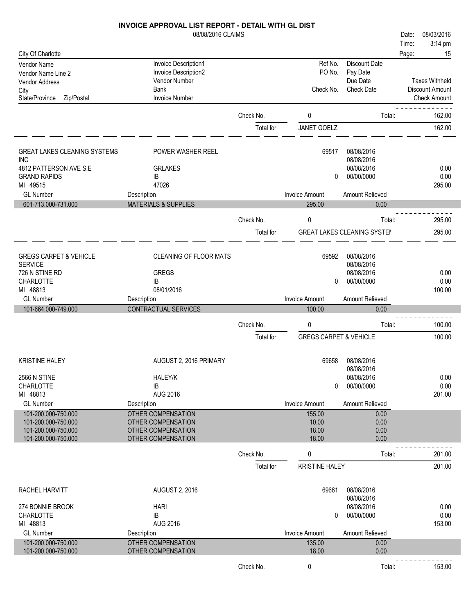# 08/08/2016 CLAIMS **INVOICE APPROVAL LIST REPORT - DETAIL WITH GL DIST** Date: 08/03/2016

|                                                   |                                 |           |                                   |                                    | Time: | $3:14 \text{ pm}$     |
|---------------------------------------------------|---------------------------------|-----------|-----------------------------------|------------------------------------|-------|-----------------------|
| City Of Charlotte                                 |                                 |           |                                   |                                    | Page: | 15                    |
| Vendor Name                                       | Invoice Description1            |           | Ref No.                           | <b>Discount Date</b>               |       |                       |
| Vendor Name Line 2                                | Invoice Description2            |           | PO No.                            | Pay Date                           |       |                       |
| Vendor Address                                    | <b>Vendor Number</b>            |           |                                   | Due Date                           |       | <b>Taxes Withheld</b> |
| City                                              | Bank                            |           | Check No.                         | <b>Check Date</b>                  |       | Discount Amount       |
| State/Province<br>Zip/Postal                      | <b>Invoice Number</b>           |           |                                   |                                    |       | <b>Check Amount</b>   |
|                                                   |                                 | Check No. | 0                                 | Total:                             |       | 162.00                |
|                                                   |                                 | Total for | <b>JANET GOELZ</b>                |                                    |       | 162.00                |
|                                                   |                                 |           |                                   |                                    |       |                       |
|                                                   |                                 |           |                                   |                                    |       |                       |
| <b>GREAT LAKES CLEANING SYSTEMS</b><br><b>INC</b> | POWER WASHER REEL               |           | 69517                             | 08/08/2016<br>08/08/2016           |       |                       |
| 4812 PATTERSON AVE S.E                            | <b>GRLAKES</b>                  |           |                                   | 08/08/2016                         |       | 0.00                  |
| <b>GRAND RAPIDS</b>                               | IB                              |           | 0                                 | 00/00/0000                         |       | 0.00                  |
| MI 49515                                          | 47026                           |           |                                   |                                    |       | 295.00                |
| <b>GL Number</b>                                  | Description                     |           | <b>Invoice Amount</b>             | Amount Relieved                    |       |                       |
| 601-713.000-731.000                               | <b>MATERIALS &amp; SUPPLIES</b> |           | 295.00                            | 0.00                               |       |                       |
|                                                   |                                 | Check No. | 0                                 | Total:                             |       | 295.00                |
|                                                   |                                 |           |                                   |                                    |       |                       |
|                                                   |                                 | Total for |                                   | <b>GREAT LAKES CLEANING SYSTEM</b> |       | 295.00                |
|                                                   |                                 |           |                                   |                                    |       |                       |
| <b>GREGS CARPET &amp; VEHICLE</b>                 | <b>CLEANING OF FLOOR MATS</b>   |           | 69592                             | 08/08/2016<br>08/08/2016           |       |                       |
| <b>SERVICE</b><br>726 N STINE RD                  | <b>GREGS</b>                    |           |                                   | 08/08/2016                         |       | 0.00                  |
| CHARLOTTE                                         | IB                              |           | 0                                 | 00/00/0000                         |       | 0.00                  |
| MI 48813                                          | 08/01/2016                      |           |                                   |                                    |       | 100.00                |
| <b>GL Number</b>                                  | Description                     |           | <b>Invoice Amount</b>             | Amount Relieved                    |       |                       |
| 101-664.000-749.000                               | CONTRACTUAL SERVICES            |           | 100.00                            | 0.00                               |       |                       |
|                                                   |                                 |           |                                   |                                    |       |                       |
|                                                   |                                 | Check No. | 0                                 | Total:                             |       | 100.00                |
|                                                   |                                 | Total for | <b>GREGS CARPET &amp; VEHICLE</b> |                                    |       | 100.00                |
|                                                   |                                 |           |                                   |                                    |       |                       |
| <b>KRISTINE HALEY</b>                             | AUGUST 2, 2016 PRIMARY          |           | 69658                             | 08/08/2016                         |       |                       |
|                                                   |                                 |           |                                   | 08/08/2016                         |       |                       |
| <b>2566 N STINE</b>                               | HALEY/K                         |           |                                   | 08/08/2016                         |       | 0.00                  |
| CHARLOTTE<br>MI 48813                             | IB<br><b>AUG 2016</b>           |           | 0                                 | 00/00/0000                         |       | 0.00<br>201.00        |
| <b>GL Number</b>                                  | Description                     |           | <b>Invoice Amount</b>             | Amount Relieved                    |       |                       |
| 101-200.000-750.000                               | <b>OTHER COMPENSATION</b>       |           | 155.00                            | 0.00                               |       |                       |
| 101-200.000-750.000                               | OTHER COMPENSATION              |           | 10.00                             | 0.00                               |       |                       |
| 101-200.000-750.000                               | OTHER COMPENSATION              |           | 18.00                             | 0.00                               |       |                       |
| 101-200.000-750.000                               | OTHER COMPENSATION              |           | 18.00                             | 0.00                               |       |                       |
|                                                   |                                 |           |                                   |                                    |       |                       |
|                                                   |                                 | Check No. | 0                                 | Total:                             |       | 201.00                |
|                                                   |                                 | Total for | <b>KRISTINE HALEY</b>             |                                    |       | 201.00                |
|                                                   |                                 |           |                                   |                                    |       |                       |
| RACHEL HARVITT                                    | <b>AUGUST 2, 2016</b>           |           | 69661                             | 08/08/2016                         |       |                       |
|                                                   |                                 |           |                                   | 08/08/2016                         |       |                       |
| 274 BONNIE BROOK                                  | <b>HARI</b>                     |           |                                   | 08/08/2016                         |       | 0.00                  |
| <b>CHARLOTTE</b><br>MI 48813                      | IB<br><b>AUG 2016</b>           |           | 0                                 | 00/00/0000                         |       | 0.00<br>153.00        |
| <b>GL Number</b>                                  | Description                     |           | <b>Invoice Amount</b>             | Amount Relieved                    |       |                       |
| 101-200.000-750.000                               | OTHER COMPENSATION              |           | 135.00                            | 0.00                               |       |                       |
| 101-200.000-750.000                               |                                 |           |                                   |                                    |       |                       |
|                                                   | OTHER COMPENSATION              |           | 18.00                             | 0.00                               |       |                       |
|                                                   |                                 | Check No. | 0                                 | Total:                             |       | 153.00                |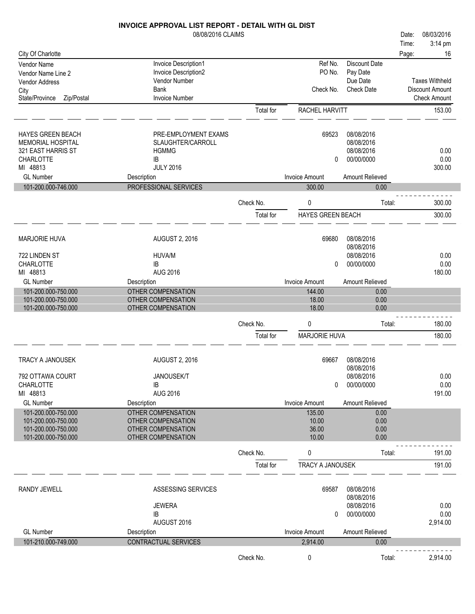|                              | INVOICE APPROVAL LIST REPORT - DETAIL WITH GL DIST |           |                          |                   |       |                       |
|------------------------------|----------------------------------------------------|-----------|--------------------------|-------------------|-------|-----------------------|
|                              | 08/08/2016 CLAIMS                                  |           |                          |                   | Date: | 08/03/2016            |
|                              |                                                    |           |                          |                   | Time: | 3:14 pm               |
| City Of Charlotte            |                                                    |           |                          |                   | Page: | 16                    |
| Vendor Name                  | Invoice Description1                               |           | Ref No.                  | Discount Date     |       |                       |
| Vendor Name Line 2           | Invoice Description2                               |           | PO No.                   | Pay Date          |       |                       |
| Vendor Address               | Vendor Number                                      |           |                          | Due Date          |       | <b>Taxes Withheld</b> |
| City                         | <b>Bank</b>                                        |           | Check No.                | <b>Check Date</b> |       | Discount Amount       |
| State/Province<br>Zip/Postal | <b>Invoice Number</b>                              |           |                          |                   |       | <b>Check Amount</b>   |
|                              |                                                    | Total for | RACHEL HARVITT           |                   |       | 153.00                |
|                              |                                                    |           |                          |                   |       |                       |
| <b>HAYES GREEN BEACH</b>     | PRE-EMPLOYMENT EXAMS                               |           | 69523                    | 08/08/2016        |       |                       |
| MEMORIAL HOSPITAL            | SLAUGHTER/CARROLL                                  |           |                          | 08/08/2016        |       |                       |
| 321 EAST HARRIS ST           | <b>HGMMG</b>                                       |           |                          | 08/08/2016        |       | 0.00                  |
| <b>CHARLOTTE</b>             | IB                                                 |           | 0                        | 00/00/0000        |       | 0.00                  |
| MI 48813                     | <b>JULY 2016</b>                                   |           |                          |                   |       | 300.00                |
| <b>GL Number</b>             | Description                                        |           | <b>Invoice Amount</b>    | Amount Relieved   |       |                       |
| 101-200.000-746.000          | PROFESSIONAL SERVICES                              |           | 300.00                   | 0.00              |       |                       |
|                              |                                                    |           |                          |                   |       |                       |
|                              |                                                    | Check No. | 0                        | Total:            |       | 300.00                |
|                              |                                                    | Total for | <b>HAYES GREEN BEACH</b> |                   |       | 300.00                |
| <b>MARJORIE HUVA</b>         | <b>AUGUST 2, 2016</b>                              |           | 69680                    | 08/08/2016        |       |                       |
|                              |                                                    |           |                          | 08/08/2016        |       |                       |
| 722 LINDEN ST                | HUVA/M                                             |           |                          | 08/08/2016        |       | 0.00                  |
| <b>CHARLOTTE</b>             | IB                                                 |           | 0                        | 00/00/0000        |       | 0.00                  |
| MI 48813                     | <b>AUG 2016</b>                                    |           |                          |                   |       | 180.00                |
| <b>GL Number</b>             | Description                                        |           | <b>Invoice Amount</b>    | Amount Relieved   |       |                       |
| 101-200.000-750.000          | OTHER COMPENSATION                                 |           | 144.00                   | 0.00              |       |                       |
| 101-200.000-750.000          | OTHER COMPENSATION                                 |           | 18.00                    | 0.00              |       |                       |
| 101-200.000-750.000          | OTHER COMPENSATION                                 |           | 18.00                    | 0.00              |       |                       |
|                              |                                                    |           |                          |                   |       |                       |
|                              |                                                    | Check No. | 0                        | Total:            |       | 180.00                |
|                              |                                                    | Total for | MARJORIE HUVA            |                   |       | 180.00                |
| TRACY A JANOUSEK             |                                                    |           |                          | 08/08/2016        |       |                       |
|                              | <b>AUGUST 2, 2016</b>                              |           | 69667                    | 08/08/2016        |       |                       |
| 792 OTTAWA COURT             | <b>JANOUSEK/T</b>                                  |           |                          | 08/08/2016        |       | 0.00                  |
| <b>CHARLOTTE</b>             | IB                                                 |           | 0                        | 00/00/0000        |       | 0.00                  |
|                              | <b>AUG 2016</b>                                    |           |                          |                   |       | 191.00                |
| MI 48813                     |                                                    |           |                          |                   |       |                       |
| <b>GL Number</b>             | Description                                        |           | <b>Invoice Amount</b>    | Amount Relieved   |       |                       |
| 101-200.000-750.000          | <b>OTHER COMPENSATION</b>                          |           | 135.00                   | 0.00              |       |                       |
| 101-200.000-750.000          | <b>OTHER COMPENSATION</b>                          |           | 10.00                    | 0.00              |       |                       |
| 101-200.000-750.000          | OTHER COMPENSATION                                 |           | 36.00                    | 0.00              |       |                       |
| 101-200.000-750.000          | OTHER COMPENSATION                                 |           | 10.00                    | 0.00              |       |                       |
|                              |                                                    | Check No. | 0                        | Total:            |       | 191.00                |
|                              |                                                    | Total for | TRACY A JANOUSEK         |                   |       | 191.00                |
| <b>RANDY JEWELL</b>          | ASSESSING SERVICES                                 |           | 69587                    | 08/08/2016        |       |                       |
|                              |                                                    |           |                          | 08/08/2016        |       |                       |
|                              | <b>JEWERA</b>                                      |           |                          | 08/08/2016        |       | 0.00                  |
|                              | IB                                                 |           | 0                        | 00/00/0000        |       | 0.00                  |
|                              | AUGUST 2016                                        |           |                          |                   |       | 2,914.00              |
| <b>GL Number</b>             | Description                                        |           | <b>Invoice Amount</b>    | Amount Relieved   |       |                       |
| 101-210.000-749.000          | CONTRACTUAL SERVICES                               |           | 2,914.00                 | 0.00              |       |                       |
|                              |                                                    | Check No. | 0                        | Total:            |       | 2,914.00              |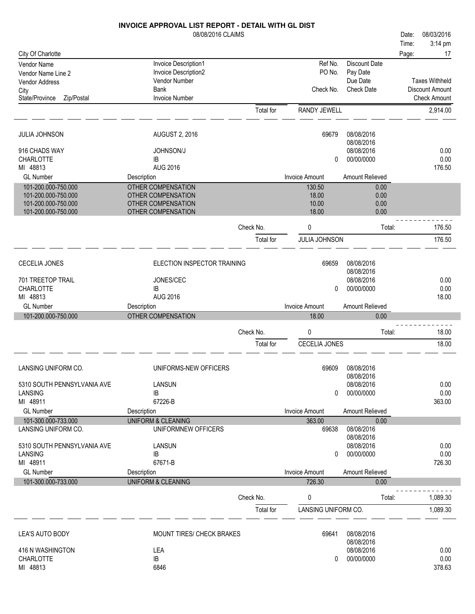|                              | <b>INVOICE APPROVAL LIST REPORT - DETAIL WITH GL DIST</b> |           |                       |                   |       |                        |
|------------------------------|-----------------------------------------------------------|-----------|-----------------------|-------------------|-------|------------------------|
|                              | 08/08/2016 CLAIMS                                         |           |                       |                   | Date: | 08/03/2016             |
|                              |                                                           |           |                       |                   | Time: | 3:14 pm                |
| City Of Charlotte            |                                                           |           |                       |                   | Page: | 17                     |
| Vendor Name                  | Invoice Description1                                      |           | Ref No.               | Discount Date     |       |                        |
| Vendor Name Line 2           | Invoice Description2                                      |           | PO No.                | Pay Date          |       |                        |
| Vendor Address               | Vendor Number                                             |           |                       | Due Date          |       | <b>Taxes Withheld</b>  |
| City                         | <b>Bank</b>                                               |           | Check No.             | <b>Check Date</b> |       | <b>Discount Amount</b> |
| State/Province<br>Zip/Postal | <b>Invoice Number</b>                                     |           |                       |                   |       | <b>Check Amount</b>    |
|                              |                                                           | Total for | RANDY JEWELL          |                   |       | 2,914.00               |
| <b>JULIA JOHNSON</b>         | <b>AUGUST 2, 2016</b>                                     |           | 69679                 | 08/08/2016        |       |                        |
|                              |                                                           |           |                       | 08/08/2016        |       |                        |
| 916 CHADS WAY                | <b>JOHNSON/J</b>                                          |           |                       | 08/08/2016        |       | 0.00                   |
| <b>CHARLOTTE</b>             | IB                                                        |           | 0                     | 00/00/0000        |       | 0.00                   |
| MI 48813                     | <b>AUG 2016</b>                                           |           |                       |                   |       | 176.50                 |
| <b>GL Number</b>             | Description                                               |           | <b>Invoice Amount</b> | Amount Relieved   |       |                        |
| 101-200.000-750.000          | OTHER COMPENSATION                                        |           | 130.50                | 0.00              |       |                        |
| 101-200.000-750.000          | OTHER COMPENSATION                                        |           | 18.00                 | 0.00              |       |                        |
| 101-200.000-750.000          | OTHER COMPENSATION                                        |           | 10.00                 | 0.00              |       |                        |
| 101-200.000-750.000          | OTHER COMPENSATION                                        |           | 18.00                 | 0.00              |       |                        |
|                              |                                                           | Check No. | 0                     | Total:            |       | 176.50                 |
|                              |                                                           | Total for | JULIA JOHNSON         |                   |       | 176.50                 |
|                              |                                                           |           |                       |                   |       |                        |
| <b>CECELIA JONES</b>         | ELECTION INSPECTOR TRAINING                               |           | 69659                 | 08/08/2016        |       |                        |
|                              |                                                           |           |                       | 08/08/2016        |       |                        |
| 701 TREETOP TRAIL            | JONES/CEC                                                 |           |                       | 08/08/2016        |       | 0.00                   |
| <b>CHARLOTTE</b><br>MI 48813 | IB<br><b>AUG 2016</b>                                     |           | 0                     | 00/00/0000        |       | 0.00                   |
|                              |                                                           |           |                       |                   |       | 18.00                  |
| <b>GL Number</b>             | Description                                               |           | <b>Invoice Amount</b> | Amount Relieved   |       |                        |
| 101-200.000-750.000          | OTHER COMPENSATION                                        |           | 18.00                 | 0.00              |       |                        |
|                              |                                                           | Check No. | 0                     | Total:            |       | 18.00                  |
|                              |                                                           | Total for | CECELIA JONES         |                   |       | 18.00                  |
|                              |                                                           |           |                       |                   |       |                        |
| LANSING UNIFORM CO.          | UNIFORMS-NEW OFFICERS                                     |           | 69609                 | 08/08/2016        |       |                        |
|                              |                                                           |           |                       | 08/08/2016        |       |                        |
| 5310 SOUTH PENNSYLVANIA AVE  | LANSUN                                                    |           |                       | 08/08/2016        |       | 0.00                   |
| LANSING                      | IB                                                        |           | 0                     | 00/00/0000        |       | 0.00                   |
| MI 48911                     | 67226-B                                                   |           |                       |                   |       | 363.00                 |
| <b>GL Number</b>             | Description                                               |           | <b>Invoice Amount</b> | Amount Relieved   |       |                        |
| 101-300.000-733.000          | <b>UNIFORM &amp; CLEANING</b>                             |           | 363.00                | 0.00              |       |                        |
| LANSING UNIFORM CO.          | UNIFORMNEW OFFICERS                                       |           | 69638                 | 08/08/2016        |       |                        |
|                              |                                                           |           |                       | 08/08/2016        |       |                        |
| 5310 SOUTH PENNSYLVANIA AVE  | <b>LANSUN</b>                                             |           |                       | 08/08/2016        |       | 0.00                   |
| <b>LANSING</b>               | IB                                                        |           | 0                     | 00/00/0000        |       | 0.00                   |
| MI 48911                     | 67671-B                                                   |           |                       |                   |       | 726.30                 |
| <b>GL Number</b>             | Description                                               |           | <b>Invoice Amount</b> | Amount Relieved   |       |                        |
| 101-300.000-733.000          | <b>UNIFORM &amp; CLEANING</b>                             |           | 726.30                | 0.00              |       |                        |
|                              |                                                           | Check No. | 0                     | Total:            |       | 1,089.30               |
|                              |                                                           | Total for | LANSING UNIFORM CO.   |                   |       | 1,089.30               |
|                              |                                                           |           |                       |                   |       |                        |
| LEA'S AUTO BODY              | MOUNT TIRES/ CHECK BRAKES                                 |           | 69641                 | 08/08/2016        |       |                        |
|                              |                                                           |           |                       | 08/08/2016        |       |                        |
| 416 N WASHINGTON             | LEA                                                       |           |                       | 08/08/2016        |       | 0.00                   |
| CHARLOTTE<br>MI 48813        | IB<br>6846                                                |           | 0                     | 00/00/0000        |       | 0.00                   |
|                              |                                                           |           |                       |                   |       | 378.63                 |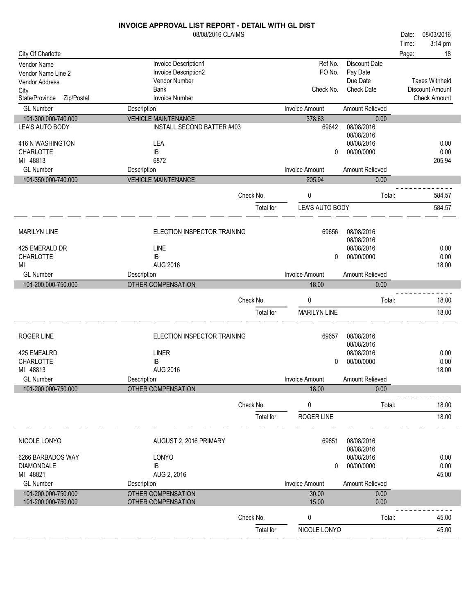|                                            | <b>INVOICE APPROVAL LIST REPORT - DETAIL WITH GL DIST</b> |                        |                       |                        |       |                        |
|--------------------------------------------|-----------------------------------------------------------|------------------------|-----------------------|------------------------|-------|------------------------|
|                                            | 08/08/2016 CLAIMS                                         |                        |                       |                        | Date: | 08/03/2016             |
|                                            |                                                           |                        |                       |                        | Time: | 3:14 pm                |
| City Of Charlotte                          |                                                           |                        |                       |                        | Page: | 18                     |
| Vendor Name                                | Invoice Description1                                      |                        | Ref No.               | Discount Date          |       |                        |
| Vendor Name Line 2                         | Invoice Description2                                      |                        | PO No.                | Pay Date               |       |                        |
| Vendor Address                             | Vendor Number                                             |                        |                       | Due Date               |       | <b>Taxes Withheld</b>  |
| City                                       | <b>Bank</b>                                               |                        | Check No.             | <b>Check Date</b>      |       | <b>Discount Amount</b> |
| Zip/Postal<br>State/Province               | <b>Invoice Number</b>                                     |                        |                       |                        |       | <b>Check Amount</b>    |
| <b>GL Number</b>                           | Description                                               |                        | <b>Invoice Amount</b> | Amount Relieved        |       |                        |
| 101-300.000-740.000                        | <b>VEHICLE MAINTENANCE</b>                                |                        | 378.63                |                        |       |                        |
| LEA'S AUTO BODY                            | <b>INSTALL SECOND BATTER #403</b>                         |                        | 69642                 | 0.00<br>08/08/2016     |       |                        |
|                                            |                                                           |                        |                       | 08/08/2016             |       |                        |
| 416 N WASHINGTON                           | LEA                                                       |                        |                       | 08/08/2016             |       | 0.00                   |
| CHARLOTTE                                  | IB                                                        |                        | 0                     | 00/00/0000             |       | 0.00                   |
| MI 48813                                   | 6872                                                      |                        |                       |                        |       | 205.94                 |
| <b>GL Number</b>                           | Description                                               |                        | <b>Invoice Amount</b> | <b>Amount Relieved</b> |       |                        |
| 101-350.000-740.000                        | <b>VEHICLE MAINTENANCE</b>                                |                        |                       | 0.00                   |       |                        |
|                                            |                                                           |                        | 205.94                |                        |       |                        |
|                                            |                                                           | Check No.              | 0                     | Total:                 |       | 584.57                 |
|                                            |                                                           | Total for              | LEA'S AUTO BODY       |                        |       | 584.57                 |
|                                            |                                                           |                        |                       |                        |       |                        |
| <b>MARILYN LINE</b>                        | ELECTION INSPECTOR TRAINING                               |                        | 69656                 | 08/08/2016             |       |                        |
|                                            |                                                           |                        |                       | 08/08/2016             |       |                        |
| 425 EMERALD DR                             | LINE                                                      |                        |                       | 08/08/2016             |       | 0.00                   |
| CHARLOTTE                                  | <b>IB</b>                                                 |                        | 0                     | 00/00/0000             |       | 0.00                   |
| МI                                         | <b>AUG 2016</b>                                           |                        |                       |                        |       | 18.00                  |
| <b>GL Number</b>                           | Description                                               |                        | <b>Invoice Amount</b> | Amount Relieved        |       |                        |
|                                            |                                                           |                        |                       |                        |       |                        |
| 101-200.000-750.000                        | OTHER COMPENSATION                                        |                        | 18.00                 | 0.00                   |       |                        |
|                                            |                                                           |                        |                       |                        |       |                        |
|                                            |                                                           | Check No.              | 0                     | Total:                 |       | 18.00                  |
|                                            |                                                           | Total for              | <b>MARILYN LINE</b>   |                        |       | 18.00                  |
|                                            |                                                           |                        |                       |                        |       |                        |
| ROGER LINE                                 | ELECTION INSPECTOR TRAINING                               |                        | 69657                 | 08/08/2016             |       |                        |
|                                            |                                                           |                        |                       | 08/08/2016             |       |                        |
| 425 EMEALRD                                | <b>LINER</b>                                              |                        |                       | 08/08/2016             |       | 0.00                   |
| <b>CHARLOTTE</b>                           | IB                                                        |                        | $\Omega$              | 00/00/0000             |       | 0.00                   |
| MI 48813                                   | <b>AUG 2016</b>                                           |                        |                       |                        |       | 18.00                  |
| <b>GL Number</b>                           | Description                                               |                        | <b>Invoice Amount</b> | Amount Relieved        |       |                        |
| 101-200.000-750.000                        | OTHER COMPENSATION                                        |                        | 18.00                 | 0.00                   |       |                        |
|                                            |                                                           |                        |                       |                        |       |                        |
|                                            |                                                           | Check No.              | 0                     | Total:                 |       | 18.00                  |
|                                            |                                                           | Total for              | ROGER LINE            |                        |       | 18.00                  |
|                                            |                                                           |                        |                       |                        |       |                        |
| NICOLE LONYO                               | AUGUST 2, 2016 PRIMARY                                    |                        | 69651                 | 08/08/2016             |       |                        |
|                                            |                                                           |                        |                       | 08/08/2016             |       |                        |
| 6266 BARBADOS WAY                          | LONYO                                                     |                        |                       | 08/08/2016             |       | 0.00                   |
| <b>DIAMONDALE</b>                          | IB                                                        |                        | 0                     | 00/00/0000             |       | 0.00                   |
| MI 48821                                   | AUG 2, 2016                                               |                        |                       |                        |       | 45.00                  |
| <b>GL Number</b>                           | Description                                               |                        | <b>Invoice Amount</b> | Amount Relieved        |       |                        |
| 101-200.000-750.000<br>101-200.000-750.000 | OTHER COMPENSATION<br>OTHER COMPENSATION                  |                        | 30.00<br>15.00        | 0.00<br>0.00           |       |                        |
|                                            |                                                           |                        |                       |                        |       |                        |
|                                            |                                                           | Check No.<br>Total for | 0<br>NICOLE LONYO     | Total:                 |       | 45.00<br>45.00         |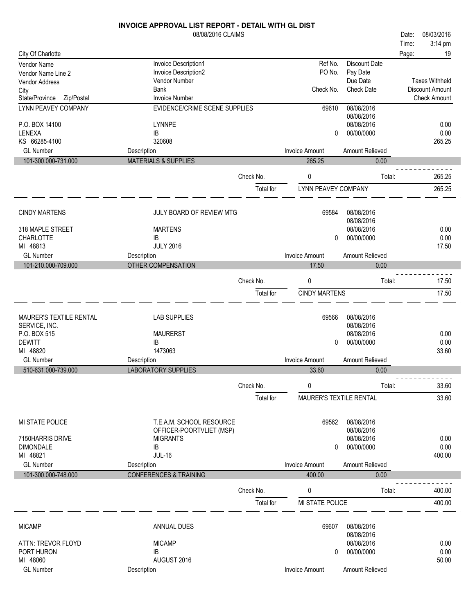|                              | 08/08/2016 CLAIMS                 |           |                         |                          | 08/03/2016<br>Date:   |
|------------------------------|-----------------------------------|-----------|-------------------------|--------------------------|-----------------------|
|                              |                                   |           |                         |                          | 3:14 pm<br>Time:      |
| City Of Charlotte            |                                   |           |                         |                          | 19<br>Page:           |
| <b>Vendor Name</b>           | Invoice Description1              |           | Ref No.                 | <b>Discount Date</b>     |                       |
| Vendor Name Line 2           | Invoice Description2              |           | PO No.                  | Pay Date                 |                       |
| <b>Vendor Address</b>        | Vendor Number                     |           |                         | Due Date                 | <b>Taxes Withheld</b> |
| City                         | Bank                              |           | Check No.               | <b>Check Date</b>        | Discount Amount       |
| State/Province<br>Zip/Postal | <b>Invoice Number</b>             |           |                         |                          | <b>Check Amount</b>   |
| <b>LYNN PEAVEY COMPANY</b>   | EVIDENCE/CRIME SCENE SUPPLIES     |           | 69610                   | 08/08/2016<br>08/08/2016 |                       |
| P.O. BOX 14100               | <b>LYNNPE</b>                     |           |                         | 08/08/2016               | 0.00                  |
| LENEXA                       | IB                                |           | 0                       | 00/00/0000               | 0.00                  |
| KS 66285-4100                | 320608                            |           |                         |                          | 265.25                |
| <b>GL Number</b>             | Description                       |           | <b>Invoice Amount</b>   | Amount Relieved          |                       |
| 101-300.000-731.000          | <b>MATERIALS &amp; SUPPLIES</b>   |           | 265.25                  | 0.00                     |                       |
|                              |                                   | Check No. | 0                       | Total:                   | 265.25                |
|                              |                                   | Total for | LYNN PEAVEY COMPANY     |                          | 265.25                |
|                              |                                   |           |                         |                          |                       |
| <b>CINDY MARTENS</b>         | JULY BOARD OF REVIEW MTG          |           | 69584                   | 08/08/2016               |                       |
|                              |                                   |           |                         | 08/08/2016               |                       |
| 318 MAPLE STREET             | <b>MARTENS</b>                    |           |                         | 08/08/2016               | 0.00                  |
| <b>CHARLOTTE</b>             | <b>IB</b>                         |           | 0                       | 00/00/0000               | 0.00                  |
| MI 48813                     | <b>JULY 2016</b>                  |           |                         |                          | 17.50                 |
| <b>GL Number</b>             | Description                       |           | <b>Invoice Amount</b>   | Amount Relieved          |                       |
| 101-210.000-709.000          | <b>OTHER COMPENSATION</b>         |           | 17.50                   | 0.00                     |                       |
|                              |                                   | Check No. | 0                       | Total:                   | 17.50                 |
|                              |                                   | Total for | <b>CINDY MARTENS</b>    |                          | 17.50                 |
|                              |                                   |           |                         |                          |                       |
| MAURER'S TEXTILE RENTAL      | <b>LAB SUPPLIES</b>               |           | 69566                   | 08/08/2016               |                       |
| SERVICE, INC.                |                                   |           |                         | 08/08/2016               |                       |
| P.O. BOX 515                 | <b>MAURERST</b>                   |           |                         | 08/08/2016               | 0.00                  |
| <b>DEWITT</b>                | IB                                |           | 0                       | 00/00/0000               | 0.00                  |
| MI 48820                     | 1473063                           |           |                         |                          | 33.60                 |
| <b>GL Number</b>             | Description                       |           | <b>Invoice Amount</b>   | Amount Relieved          |                       |
| 510-631.000-739.000          | <b>LABORATORY SUPPLIES</b>        |           | 33.60                   | 0.00                     |                       |
|                              |                                   | Check No. | 0                       | Total:                   | 33.60                 |
|                              |                                   | Total for | MAURER'S TEXTILE RENTAL |                          | 33.60                 |
|                              |                                   |           |                         |                          |                       |
| MI STATE POLICE              | T.E.A.M. SCHOOL RESOURCE          |           | 69562                   | 08/08/2016               |                       |
|                              | OFFICER-POORTVLIET (MSP)          |           |                         | 08/08/2016               |                       |
| 7150HARRIS DRIVE             | <b>MIGRANTS</b>                   |           |                         | 08/08/2016               | 0.00                  |
| <b>DIMONDALE</b>             | IB                                |           | 0                       | 00/00/0000               | 0.00                  |
| MI 48821                     | <b>JUL-16</b>                     |           |                         |                          | 400.00                |
| <b>GL Number</b>             | Description                       |           | <b>Invoice Amount</b>   | Amount Relieved          |                       |
| 101-300.000-748.000          | <b>CONFERENCES &amp; TRAINING</b> |           | 400.00                  | 0.00                     |                       |
|                              |                                   |           |                         |                          |                       |
|                              |                                   | Check No. | 0                       | Total:                   | 400.00                |
|                              |                                   | Total for | MI STATE POLICE         |                          | 400.00                |
|                              |                                   |           |                         |                          |                       |
| <b>MICAMP</b>                | <b>ANNUAL DUES</b>                |           | 69607                   | 08/08/2016<br>08/08/2016 |                       |
| ATTN: TREVOR FLOYD           | <b>MICAMP</b>                     |           |                         | 08/08/2016               | 0.00                  |
| PORT HURON                   | IB                                |           | 0                       | 00/00/0000               | 0.00                  |
| MI 48060                     | AUGUST 2016                       |           |                         |                          | 50.00                 |
| <b>GL Number</b>             | Description                       |           | <b>Invoice Amount</b>   | Amount Relieved          |                       |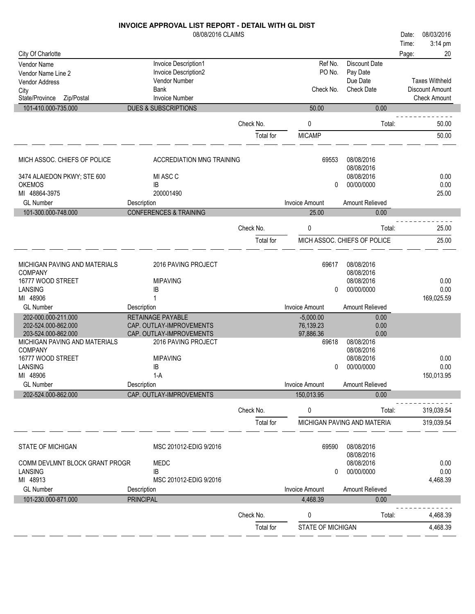08/08/2016 CLAIMS **INVOICE APPROVAL LIST REPORT - DETAIL WITH GL DIST** City Of Charlotte Time: Date: 08/03/2016 Page: 20 Vendor Name Invoice Description 1 March 2012 12:30 March 2013 12:30 March 2014 12:30 March 2014 12:30 March 20<br>
Vendor Name Line 2 March 2013 12:30 March 2013 12:30 March 2013 12:30 March 2014 12:30 March 2014 12:30 March Vendor Name Line 2 **Invoice Description2** PO No. Pay Date PO No. Pay Date<br>Due Date

3:14 pm

| <b>Vendor Address</b><br>City<br>State/Province Zip/Postal | Vendor Number<br><b>Bank</b><br><b>Invoice Number</b> |           | Check No.                | Due Date<br><b>Check Date</b> | <b>Taxes Withheld</b><br>Discount Amount<br><b>Check Amount</b> |
|------------------------------------------------------------|-------------------------------------------------------|-----------|--------------------------|-------------------------------|-----------------------------------------------------------------|
| 101-410.000-735.000                                        | <b>DUES &amp; SUBSCRIPTIONS</b>                       |           | 50.00                    | 0.00                          |                                                                 |
|                                                            |                                                       | Check No. | 0                        | Total:                        | 50.00                                                           |
|                                                            |                                                       | Total for | <b>MICAMP</b>            |                               | 50.00                                                           |
| MICH ASSOC. CHIEFS OF POLICE                               | <b>ACCREDIATION MNG TRAINING</b>                      |           | 69553                    | 08/08/2016                    |                                                                 |
|                                                            |                                                       |           |                          | 08/08/2016                    |                                                                 |
| 3474 ALAIEDON PKWY; STE 600                                | MI ASC C                                              |           |                          | 08/08/2016                    | 0.00                                                            |
| <b>OKEMOS</b>                                              | IB                                                    |           | $\Omega$                 | 00/00/0000                    | 0.00                                                            |
| MI 48864-3975<br><b>GL Number</b>                          | 200001490<br>Description                              |           | <b>Invoice Amount</b>    | <b>Amount Relieved</b>        | 25.00                                                           |
| 101-300.000-748.000                                        | <b>CONFERENCES &amp; TRAINING</b>                     |           | 25.00                    | 0.00                          |                                                                 |
|                                                            |                                                       |           |                          |                               |                                                                 |
|                                                            |                                                       | Check No. | 0                        | Total:                        | 25.00                                                           |
|                                                            |                                                       | Total for |                          | MICH ASSOC. CHIEFS OF POLICE  | 25.00                                                           |
| MICHIGAN PAVING AND MATERIALS                              | 2016 PAVING PROJECT                                   |           | 69617                    | 08/08/2016                    |                                                                 |
| <b>COMPANY</b>                                             |                                                       |           |                          | 08/08/2016                    |                                                                 |
| 16777 WOOD STREET                                          | <b>MIPAVING</b>                                       |           |                          | 08/08/2016                    | 0.00                                                            |
| LANSING                                                    | IB                                                    |           | $\Omega$                 | 00/00/0000                    | 0.00                                                            |
| MI 48906                                                   | $\mathbf{1}$                                          |           |                          |                               | 169,025.59                                                      |
| <b>GL Number</b>                                           | Description                                           |           | <b>Invoice Amount</b>    | <b>Amount Relieved</b>        |                                                                 |
| 202-000.000-211.000<br>202-524.000-862.000                 | RETAINAGE PAYABLE<br>CAP. OUTLAY-IMPROVEMENTS         |           | $-5,000.00$<br>76,139.23 | 0.00<br>0.00                  |                                                                 |
| 203-524.000-862.000                                        | CAP. OUTLAY-IMPROVEMENTS                              |           | 97,886.36                | 0.00                          |                                                                 |
| MICHIGAN PAVING AND MATERIALS                              | 2016 PAVING PROJECT                                   |           | 69618                    | 08/08/2016                    |                                                                 |
| <b>COMPANY</b>                                             |                                                       |           |                          | 08/08/2016                    |                                                                 |
| 16777 WOOD STREET                                          | <b>MIPAVING</b>                                       |           |                          | 08/08/2016                    | 0.00                                                            |
| LANSING                                                    | IB                                                    |           | 0                        | 00/00/0000                    | 0.00                                                            |
| MI 48906                                                   | $1-A$                                                 |           |                          |                               | 150,013.95                                                      |
| <b>GL Number</b>                                           | Description                                           |           | <b>Invoice Amount</b>    | Amount Relieved               |                                                                 |
| 202-524.000-862.000                                        | CAP. OUTLAY-IMPROVEMENTS                              |           | 150,013.95               | 0.00                          |                                                                 |
|                                                            |                                                       | Check No. | 0                        | Total:                        | 319,039.54                                                      |
|                                                            |                                                       | Total for |                          | MICHIGAN PAVING AND MATERIAL  | 319,039.54                                                      |
| STATE OF MICHIGAN                                          | MSC 201012-EDIG 9/2016                                |           | 69590                    | 08/08/2016                    |                                                                 |
| COMM DEVLMNT BLOCK GRANT PROGR                             | <b>MEDC</b>                                           |           |                          | 08/08/2016<br>08/08/2016      | 0.00                                                            |
| I ANSING                                                   | IR.                                                   |           |                          | 0.0000000                     | n nn                                                            |

| LANSING             | ΙB                     |           |                   | 00/00/0000      | 0.00     |
|---------------------|------------------------|-----------|-------------------|-----------------|----------|
| MI 48913            | MSC 201012-EDIG 9/2016 |           |                   |                 | 4,468.39 |
| <b>GL Number</b>    | <b>Description</b>     |           | Invoice Amount    | Amount Relieved |          |
| 101-230.000-871.000 | <b>PRINCIPAL</b>       |           | 4,468.39          | 0.00            |          |
|                     |                        | Check No. |                   | Total:          | 4,468.39 |
|                     |                        | Total for | STATE OF MICHIGAN |                 | 4,468.39 |
|                     |                        |           |                   |                 |          |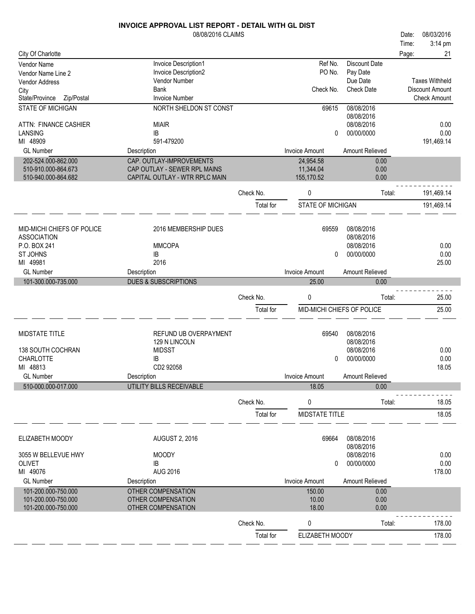|                                            | 08/08/2016 CLAIMS                        |           |                                |                          | Date: | 08/03/2016             |
|--------------------------------------------|------------------------------------------|-----------|--------------------------------|--------------------------|-------|------------------------|
|                                            |                                          |           |                                |                          | Time: | 3:14 pm                |
| City Of Charlotte                          |                                          |           |                                |                          | Page: | 21                     |
| Vendor Name                                | Invoice Description1                     |           | Ref No.                        | <b>Discount Date</b>     |       |                        |
| Vendor Name Line 2                         | Invoice Description2                     |           | PO No.                         | Pay Date                 |       |                        |
| Vendor Address                             | Vendor Number                            |           |                                | Due Date                 |       | <b>Taxes Withheld</b>  |
| City                                       | <b>Bank</b><br><b>Invoice Number</b>     |           | Check No.                      | <b>Check Date</b>        |       | <b>Discount Amount</b> |
| State/Province<br>Zip/Postal               |                                          |           |                                |                          |       | <b>Check Amount</b>    |
| <b>STATE OF MICHIGAN</b>                   | NORTH SHELDON ST CONST                   |           | 69615                          | 08/08/2016<br>08/08/2016 |       |                        |
| ATTN: FINANCE CASHIER                      | <b>MIAIR</b>                             |           |                                | 08/08/2016               |       | 0.00                   |
| LANSING                                    | IB                                       |           | 0                              | 00/00/0000               |       | 0.00                   |
| MI 48909                                   | 591-479200                               |           |                                |                          |       | 191,469.14             |
| <b>GL Number</b>                           | Description                              |           | <b>Invoice Amount</b>          | Amount Relieved          |       |                        |
| 202-524.000-862.000                        | CAP. OUTLAY-IMPROVEMENTS                 |           | 24,954.58                      | 0.00                     |       |                        |
| 510-910.000-864.673                        | CAP OUTLAY - SEWER RPL MAINS             |           | 11,344.04                      | 0.00                     |       |                        |
| 510-940.000-864.682                        | CAPITAL OUTLAY - WTR RPLC MAIN           |           | 155,170.52                     | 0.00                     |       |                        |
|                                            |                                          | Check No. | 0                              | Total:                   |       | 191,469.14             |
|                                            |                                          | Total for | STATE OF MICHIGAN              |                          |       | 191,469.14             |
|                                            |                                          |           |                                |                          |       |                        |
| MID-MICHI CHIEFS OF POLICE                 | 2016 MEMBERSHIP DUES                     |           | 69559                          | 08/08/2016               |       |                        |
| <b>ASSOCIATION</b>                         |                                          |           |                                | 08/08/2016               |       |                        |
| P.O. BOX 241                               | <b>MMCOPA</b>                            |           |                                | 08/08/2016               |       | 0.00                   |
| ST JOHNS                                   | IB                                       |           | 0                              | 00/00/0000               |       | 0.00                   |
| MI 49981                                   | 2016                                     |           |                                |                          |       | 25.00                  |
| <b>GL Number</b>                           | Description                              |           | <b>Invoice Amount</b>          | Amount Relieved          |       |                        |
| 101-300.000-735.000                        | <b>DUES &amp; SUBSCRIPTIONS</b>          |           | 25.00                          | 0.00                     |       |                        |
|                                            |                                          | Check No. | 0                              | Total:                   |       | 25.00                  |
|                                            |                                          | Total for | MID-MICHI CHIEFS OF POLICE     |                          |       | 25.00                  |
|                                            |                                          |           |                                |                          |       |                        |
|                                            |                                          |           |                                |                          |       |                        |
|                                            |                                          |           |                                |                          |       |                        |
| <b>MIDSTATE TITLE</b>                      | REFUND UB OVERPAYMENT                    |           | 69540                          | 08/08/2016               |       |                        |
|                                            | 129 N LINCOLN                            |           |                                | 08/08/2016               |       |                        |
| 138 SOUTH COCHRAN                          | <b>MIDSST</b>                            |           |                                | 08/08/2016               |       | 0.00                   |
| <b>CHARLOTTE</b>                           | IB                                       |           | 0                              | 00/00/0000               |       | 0.00                   |
| MI 48813                                   | CD2 92058                                |           |                                |                          |       | 18.05                  |
| <b>GL Number</b>                           | Description                              |           | <b>Invoice Amount</b><br>18.05 | Amount Relieved<br>0.00  |       |                        |
| 510-000.000-017.000                        | UTILITY BILLS RECEIVABLE                 |           |                                |                          |       |                        |
|                                            |                                          | Check No. | 0                              | Total:                   |       | 18.05                  |
|                                            |                                          | Total for | MIDSTATE TITLE                 |                          |       | 18.05                  |
|                                            |                                          |           |                                |                          |       |                        |
| ELIZABETH MOODY                            | <b>AUGUST 2, 2016</b>                    |           | 69664                          | 08/08/2016               |       |                        |
|                                            |                                          |           |                                | 08/08/2016               |       |                        |
| 3055 W BELLEVUE HWY                        | <b>MOODY</b>                             |           |                                | 08/08/2016               |       | 0.00                   |
| <b>OLIVET</b>                              | IB                                       |           | 0                              | 00/00/0000               |       | 0.00                   |
| MI 49076                                   | <b>AUG 2016</b>                          |           |                                |                          |       | 178.00                 |
| <b>GL Number</b>                           | Description                              |           | Invoice Amount                 | Amount Relieved          |       |                        |
| 101-200.000-750.000<br>101-200.000-750.000 | OTHER COMPENSATION<br>OTHER COMPENSATION |           | 150.00<br>10.00                | 0.00<br>0.00             |       |                        |
| 101-200.000-750.000                        | OTHER COMPENSATION                       |           | 18.00                          | 0.00                     |       |                        |
|                                            |                                          | Check No. | 0                              | Total:                   |       | 178.00                 |
|                                            |                                          | Total for | ELIZABETH MOODY                |                          |       | 178.00                 |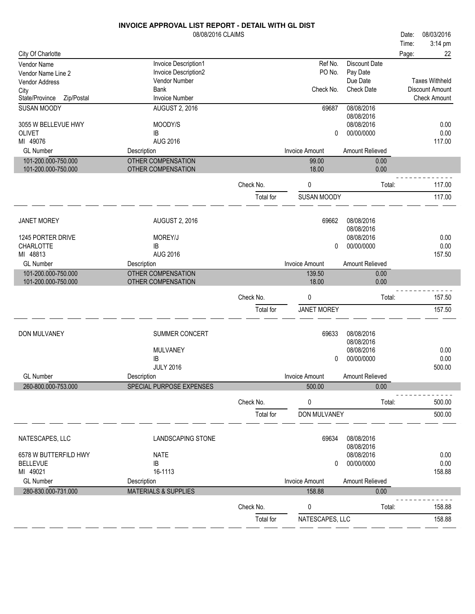|                              | INVOICE APPROVAL LIST REPORT - DETAIL WITH GL DIST |           |                       |                          |       |                       |
|------------------------------|----------------------------------------------------|-----------|-----------------------|--------------------------|-------|-----------------------|
|                              | 08/08/2016 CLAIMS                                  |           |                       |                          | Date: | 08/03/2016            |
|                              |                                                    |           |                       |                          | Time: | 3:14 pm               |
| City Of Charlotte            |                                                    |           |                       |                          | Page: | 22                    |
| Vendor Name                  | Invoice Description1                               |           | Ref No.               | Discount Date            |       |                       |
| Vendor Name Line 2           | Invoice Description2                               |           | PO No.                | Pay Date                 |       |                       |
| Vendor Address               | Vendor Number                                      |           |                       | Due Date                 |       | <b>Taxes Withheld</b> |
| City                         | <b>Bank</b>                                        |           | Check No.             | <b>Check Date</b>        |       | Discount Amount       |
| State/Province<br>Zip/Postal | <b>Invoice Number</b>                              |           |                       |                          |       | <b>Check Amount</b>   |
| <b>SUSAN MOODY</b>           | <b>AUGUST 2, 2016</b>                              |           | 69687                 | 08/08/2016               |       |                       |
|                              |                                                    |           |                       | 08/08/2016               |       |                       |
| 3055 W BELLEVUE HWY          | MOODY/S                                            |           |                       | 08/08/2016               |       | 0.00                  |
| <b>OLIVET</b><br>MI 49076    | IB<br><b>AUG 2016</b>                              |           | 0                     | 00/00/0000               |       | 0.00<br>117.00        |
|                              |                                                    |           |                       |                          |       |                       |
| <b>GL Number</b>             | Description                                        |           | <b>Invoice Amount</b> | Amount Relieved          |       |                       |
| 101-200.000-750.000          | OTHER COMPENSATION                                 |           | 99.00<br>18.00        | 0.00<br>0.00             |       |                       |
| 101-200.000-750.000          | OTHER COMPENSATION                                 |           |                       |                          |       |                       |
|                              |                                                    | Check No. | 0                     | Total:                   |       | 117.00                |
|                              |                                                    |           |                       |                          |       |                       |
|                              |                                                    | Total for | SUSAN MOODY           |                          |       | 117.00                |
|                              |                                                    |           |                       |                          |       |                       |
| <b>JANET MOREY</b>           | <b>AUGUST 2, 2016</b>                              |           | 69662                 | 08/08/2016               |       |                       |
| 1245 PORTER DRIVE            | MOREY/J                                            |           |                       | 08/08/2016<br>08/08/2016 |       | 0.00                  |
| <b>CHARLOTTE</b>             | IB                                                 |           | 0                     | 00/00/0000               |       | 0.00                  |
| MI 48813                     | <b>AUG 2016</b>                                    |           |                       |                          |       | 157.50                |
| <b>GL Number</b>             | Description                                        |           | <b>Invoice Amount</b> | Amount Relieved          |       |                       |
| 101-200.000-750.000          | OTHER COMPENSATION                                 |           | 139.50                | 0.00                     |       |                       |
| 101-200.000-750.000          | OTHER COMPENSATION                                 |           | 18.00                 | 0.00                     |       |                       |
|                              |                                                    | Check No. | 0                     | Total:                   |       | 157.50                |
|                              |                                                    |           |                       |                          |       |                       |
|                              |                                                    | Total for | <b>JANET MOREY</b>    |                          |       | 157.50                |
|                              |                                                    |           |                       |                          |       |                       |
| DON MULVANEY                 | SUMMER CONCERT                                     |           | 69633                 | 08/08/2016<br>08/08/2016 |       |                       |
|                              | <b>MULVANEY</b>                                    |           |                       | 08/08/2016               |       | 0.00                  |
|                              | IB                                                 |           | 0                     | 00/00/0000               |       | 0.00                  |
|                              | <b>JULY 2016</b>                                   |           |                       |                          |       | 500.00                |
| <b>GL Number</b>             | Description                                        |           | Invoice Amount        | Amount Relieved          |       |                       |
| 260-800.000-753.000          | SPECIAL PURPOSE EXPENSES                           |           | 500.00                | 0.00                     |       |                       |
|                              |                                                    | Check No. | 0                     | Total:                   |       | 500.00                |
|                              |                                                    | Total for | DON MULVANEY          |                          |       | 500.00                |
|                              |                                                    |           |                       |                          |       |                       |
| NATESCAPES, LLC              | <b>LANDSCAPING STONE</b>                           |           | 69634                 | 08/08/2016               |       |                       |
|                              |                                                    |           |                       | 08/08/2016               |       |                       |
| 6578 W BUTTERFILD HWY        | <b>NATE</b>                                        |           |                       | 08/08/2016               |       | 0.00                  |
| <b>BELLEVUE</b>              | IB                                                 |           | 0                     | 00/00/0000               |       | 0.00                  |
| MI 49021                     | 16-1113                                            |           |                       |                          |       | 158.88                |
| <b>GL Number</b>             | Description                                        |           | <b>Invoice Amount</b> | Amount Relieved          |       |                       |
| 280-830.000-731.000          | <b>MATERIALS &amp; SUPPLIES</b>                    |           | 158.88                | 0.00                     |       |                       |
|                              |                                                    | Check No. | 0                     | Total:                   |       | 158.88                |
|                              |                                                    |           |                       |                          |       |                       |
|                              |                                                    | Total for | NATESCAPES, LLC       |                          |       | 158.88                |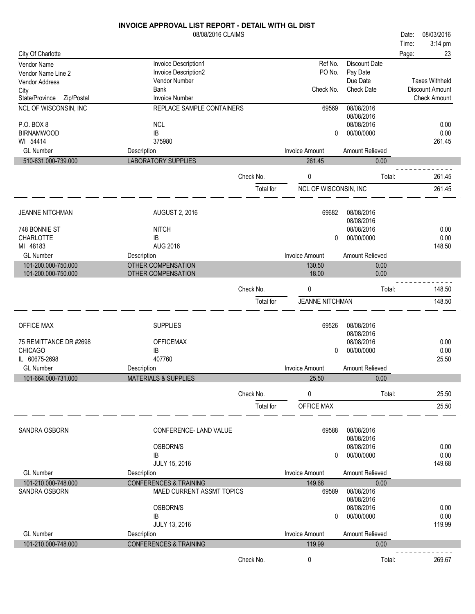|                              | <b>INVOICE APPROVAL LIST REPORT - DETAIL WITH GL DIST</b> |           |                        |                      |       |                        |
|------------------------------|-----------------------------------------------------------|-----------|------------------------|----------------------|-------|------------------------|
|                              | 08/08/2016 CLAIMS                                         |           |                        |                      | Date: | 08/03/2016             |
|                              |                                                           |           |                        |                      | Time: | 3:14 pm                |
| City Of Charlotte            |                                                           |           |                        |                      | Page: | 23                     |
| Vendor Name                  | Invoice Description1                                      |           | Ref No.                | <b>Discount Date</b> |       |                        |
| Vendor Name Line 2           | Invoice Description2                                      |           | PO No.                 | Pay Date             |       |                        |
| Vendor Address               | Vendor Number                                             |           |                        | Due Date             |       | <b>Taxes Withheld</b>  |
| City                         | <b>Bank</b>                                               |           | Check No.              | <b>Check Date</b>    |       | <b>Discount Amount</b> |
| State/Province<br>Zip/Postal | <b>Invoice Number</b>                                     |           |                        |                      |       | <b>Check Amount</b>    |
| NCL OF WISCONSIN, INC        | REPLACE SAMPLE CONTAINERS                                 |           | 69569                  | 08/08/2016           |       |                        |
|                              |                                                           |           |                        | 08/08/2016           |       |                        |
| P.O. BOX 8                   | <b>NCL</b>                                                |           |                        | 08/08/2016           |       | 0.00                   |
| <b>BIRNAMWOOD</b>            | IB                                                        |           | 0                      | 00/00/0000           |       | 0.00                   |
| WI 54414                     | 375980                                                    |           |                        |                      |       | 261.45                 |
| <b>GL Number</b>             | Description                                               |           | <b>Invoice Amount</b>  | Amount Relieved      |       |                        |
| 510-631.000-739.000          | <b>LABORATORY SUPPLIES</b>                                |           | 261.45                 | 0.00                 |       |                        |
|                              |                                                           | Check No. | 0                      | Total:               |       | 261.45                 |
|                              |                                                           |           |                        |                      |       |                        |
|                              |                                                           | Total for | NCL OF WISCONSIN, INC  |                      |       | 261.45                 |
|                              |                                                           |           |                        |                      |       |                        |
| <b>JEANNE NITCHMAN</b>       | <b>AUGUST 2, 2016</b>                                     |           | 69682                  | 08/08/2016           |       |                        |
|                              |                                                           |           |                        | 08/08/2016           |       |                        |
| 748 BONNIE ST                | <b>NITCH</b>                                              |           |                        | 08/08/2016           |       | 0.00                   |
| <b>CHARLOTTE</b>             | IB                                                        |           | 0                      | 00/00/0000           |       | 0.00                   |
| MI 48183                     | <b>AUG 2016</b>                                           |           |                        |                      |       | 148.50                 |
| <b>GL Number</b>             | Description                                               |           | <b>Invoice Amount</b>  | Amount Relieved      |       |                        |
| 101-200.000-750.000          | <b>OTHER COMPENSATION</b>                                 |           | 130.50                 | 0.00                 |       |                        |
| 101-200.000-750.000          | OTHER COMPENSATION                                        |           | 18.00                  | 0.00                 |       |                        |
|                              |                                                           |           |                        |                      |       |                        |
|                              |                                                           | Check No. | 0                      | Total:               |       | 148.50                 |
|                              |                                                           | Total for | <b>JEANNE NITCHMAN</b> |                      |       | 148.50                 |
|                              |                                                           |           |                        |                      |       |                        |
|                              |                                                           |           |                        |                      |       |                        |
| <b>OFFICE MAX</b>            | <b>SUPPLIES</b>                                           |           | 69526                  | 08/08/2016           |       |                        |
|                              |                                                           |           |                        | 08/08/2016           |       |                        |
| 75 REMITTANCE DR #2698       | <b>OFFICEMAX</b>                                          |           |                        | 08/08/2016           |       | 0.00                   |
| <b>CHICAGO</b>               | IB                                                        |           | $\Omega$               | 00/00/0000           |       | 0.00                   |
| IL 60675-2698                | 407760                                                    |           |                        |                      |       | 25.50                  |
| <b>GL Number</b>             | Description                                               |           | Invoice Amount         | Amount Relieved      |       |                        |
| 101-664.000-731.000          | <b>MATERIALS &amp; SUPPLIES</b>                           |           | 25.50                  | 0.00                 |       |                        |
|                              |                                                           | Check No. | 0                      | Total:               |       | 25.50                  |
|                              |                                                           | Total for | OFFICE MAX             |                      |       | 25.50                  |
|                              |                                                           |           |                        |                      |       |                        |
|                              |                                                           |           |                        |                      |       |                        |
| SANDRA OSBORN                | CONFERENCE-LAND VALUE                                     |           | 69588                  | 08/08/2016           |       |                        |
|                              |                                                           |           |                        | 08/08/2016           |       |                        |
|                              | OSBORN/S                                                  |           |                        | 08/08/2016           |       | 0.00                   |
|                              | IB                                                        |           | 0                      | 00/00/0000           |       | 0.00                   |
|                              | JULY 15, 2016                                             |           |                        |                      |       | 149.68                 |
| <b>GL Number</b>             | Description                                               |           | <b>Invoice Amount</b>  | Amount Relieved      |       |                        |
| 101-210.000-748.000          | <b>CONFERENCES &amp; TRAINING</b>                         |           | 149.68                 | 0.00                 |       |                        |
| SANDRA OSBORN                | MAED CURRENT ASSMT TOPICS                                 |           | 69589                  | 08/08/2016           |       |                        |
|                              |                                                           |           |                        | 08/08/2016           |       |                        |
|                              | OSBORN/S                                                  |           |                        | 08/08/2016           |       | 0.00                   |
|                              | IB                                                        |           | 0                      | 00/00/0000           |       | 0.00                   |
|                              | JULY 13, 2016                                             |           |                        |                      |       | 119.99                 |
| <b>GL Number</b>             | Description                                               |           | <b>Invoice Amount</b>  | Amount Relieved      |       |                        |
| 101-210.000-748.000          | <b>CONFERENCES &amp; TRAINING</b>                         |           | 119.99                 | 0.00                 |       |                        |
|                              |                                                           |           |                        |                      |       |                        |
|                              |                                                           | Check No. | 0                      | Total:               |       | 269.67                 |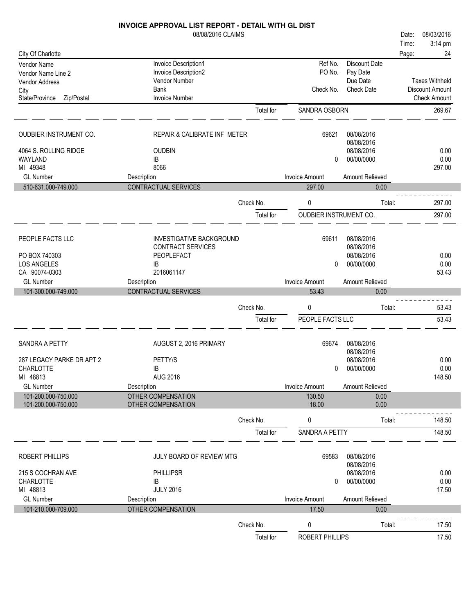|                                            | <b>INVOICE APPROVAL LIST REPORT - DETAIL WITH GL DIST</b> |                        |                                 |                           |       |                       |
|--------------------------------------------|-----------------------------------------------------------|------------------------|---------------------------------|---------------------------|-------|-----------------------|
|                                            | 08/08/2016 CLAIMS                                         |                        |                                 |                           | Date: | 08/03/2016            |
|                                            |                                                           |                        |                                 |                           | Time: | 3:14 pm               |
| City Of Charlotte                          |                                                           |                        |                                 |                           | Page: | 24                    |
| Vendor Name<br>Vendor Name Line 2          | Invoice Description1<br>Invoice Description2              |                        | Ref No.<br>PO No.               | Discount Date<br>Pay Date |       |                       |
| Vendor Address                             | Vendor Number                                             |                        |                                 | Due Date                  |       | <b>Taxes Withheld</b> |
| City                                       | <b>Bank</b>                                               |                        | Check No.                       | <b>Check Date</b>         |       | Discount Amount       |
| State/Province<br>Zip/Postal               | <b>Invoice Number</b>                                     |                        |                                 |                           |       | <b>Check Amount</b>   |
|                                            |                                                           | Total for              | SANDRA OSBORN                   |                           |       | 269.67                |
|                                            |                                                           |                        |                                 |                           |       |                       |
| OUDBIER INSTRUMENT CO.                     | REPAIR & CALIBRATE INF METER                              |                        | 69621                           | 08/08/2016                |       |                       |
|                                            |                                                           |                        |                                 | 08/08/2016                |       |                       |
| 4064 S. ROLLING RIDGE                      | <b>OUDBIN</b>                                             |                        |                                 | 08/08/2016                |       | 0.00                  |
| WAYLAND                                    | IB                                                        |                        | 0                               | 00/00/0000                |       | 0.00                  |
| MI 49348<br><b>GL Number</b>               | 8066                                                      |                        |                                 |                           |       | 297.00                |
| 510-631.000-749.000                        | Description<br><b>CONTRACTUAL SERVICES</b>                |                        | <b>Invoice Amount</b><br>297.00 | Amount Relieved<br>0.00   |       |                       |
|                                            |                                                           |                        |                                 |                           |       |                       |
|                                            |                                                           | Check No.              | 0                               | Total:                    |       | 297.00                |
|                                            |                                                           | Total for              | <b>OUDBIER INSTRUMENT CO.</b>   |                           |       | 297.00                |
|                                            |                                                           |                        |                                 |                           |       |                       |
| PEOPLE FACTS LLC                           | <b>INVESTIGATIVE BACKGROUND</b><br>CONTRACT SERVICES      |                        | 69611                           | 08/08/2016<br>08/08/2016  |       |                       |
| PO BOX 740303                              | PEOPLEFACT                                                |                        |                                 | 08/08/2016                |       | 0.00                  |
| <b>LOS ANGELES</b>                         | IB                                                        |                        | 0                               | 00/00/0000                |       | 0.00                  |
| CA 90074-0303                              | 2016061147                                                |                        |                                 |                           |       | 53.43                 |
| <b>GL Number</b>                           | Description                                               |                        | <b>Invoice Amount</b>           | Amount Relieved           |       |                       |
|                                            |                                                           |                        |                                 |                           |       |                       |
| 101-300.000-749.000                        | CONTRACTUAL SERVICES                                      |                        | 53.43                           | 0.00                      |       |                       |
|                                            |                                                           |                        |                                 |                           |       |                       |
|                                            |                                                           | Check No.              | 0                               | Total:                    |       | 53.43                 |
|                                            |                                                           | Total for              | PEOPLE FACTS LLC                |                           |       | 53.43                 |
| SANDRA A PETTY                             |                                                           |                        | 69674                           | 08/08/2016                |       |                       |
|                                            | AUGUST 2, 2016 PRIMARY                                    |                        |                                 | 08/08/2016                |       |                       |
| 287 LEGACY PARKE DR APT 2                  | PETTY/S                                                   |                        |                                 | 08/08/2016                |       | 0.00                  |
| CHARLOTTE                                  | IB                                                        |                        | $\mathbf{0}$                    | 00/00/0000                |       | 0.00                  |
| MI 48813                                   | <b>AUG 2016</b>                                           |                        |                                 |                           |       | 148.50                |
| <b>GL Number</b>                           | Description                                               |                        | <b>Invoice Amount</b>           | Amount Relieved           |       |                       |
| 101-200.000-750.000<br>101-200.000-750.000 | <b>OTHER COMPENSATION</b><br>OTHER COMPENSATION           |                        | 130.50<br>18.00                 | 0.00<br>0.00              |       |                       |
|                                            |                                                           |                        |                                 |                           |       |                       |
|                                            |                                                           | Check No.              | $\pmb{0}$                       | Total:                    |       | 148.50                |
|                                            |                                                           | Total for              | SANDRA A PETTY                  |                           |       | 148.50                |
| ROBERT PHILLIPS                            | JULY BOARD OF REVIEW MTG                                  |                        | 69583                           | 08/08/2016                |       |                       |
|                                            |                                                           |                        |                                 | 08/08/2016                |       |                       |
| 215 S COCHRAN AVE                          | <b>PHILLIPSR</b>                                          |                        |                                 | 08/08/2016                |       | 0.00                  |
| <b>CHARLOTTE</b>                           | IB                                                        |                        | 0                               | 00/00/0000                |       | 0.00                  |
| MI 48813<br><b>GL Number</b>               | <b>JULY 2016</b>                                          |                        | <b>Invoice Amount</b>           | Amount Relieved           |       | 17.50                 |
| 101-210.000-709.000                        | Description<br><b>OTHER COMPENSATION</b>                  |                        | 17.50                           | 0.00                      |       |                       |
|                                            |                                                           |                        |                                 |                           |       |                       |
|                                            |                                                           | Check No.<br>Total for | 0<br>ROBERT PHILLIPS            | Total:                    |       | 17.50<br>17.50        |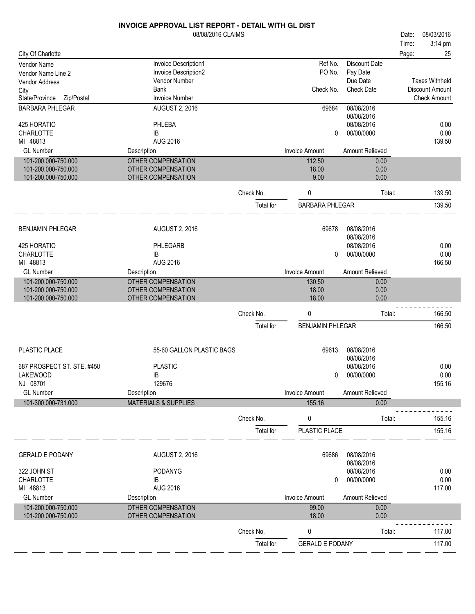|                                            | 08/08/2016 CLAIMS                        |           |                         |                               | Date: | 08/03/2016            |
|--------------------------------------------|------------------------------------------|-----------|-------------------------|-------------------------------|-------|-----------------------|
|                                            |                                          |           |                         |                               | Time: | 3:14 pm               |
| City Of Charlotte                          |                                          |           |                         |                               | Page: | 25                    |
| Vendor Name                                | Invoice Description1                     |           | Ref No.                 | <b>Discount Date</b>          |       |                       |
| Vendor Name Line 2                         | Invoice Description2                     |           | PO No.                  | Pay Date                      |       | <b>Taxes Withheld</b> |
| Vendor Address                             | Vendor Number<br>Bank                    |           | Check No.               | Due Date<br><b>Check Date</b> |       | Discount Amount       |
| City<br>State/Province<br>Zip/Postal       | <b>Invoice Number</b>                    |           |                         |                               |       | <b>Check Amount</b>   |
| <b>BARBARA PHLEGAR</b>                     | <b>AUGUST 2, 2016</b>                    |           | 69684                   | 08/08/2016                    |       |                       |
|                                            |                                          |           |                         | 08/08/2016                    |       |                       |
| 425 HORATIO                                | PHLEBA                                   |           |                         | 08/08/2016                    |       | 0.00                  |
| <b>CHARLOTTE</b>                           | IB                                       |           | 0                       | 00/00/0000                    |       | 0.00                  |
| MI 48813                                   | <b>AUG 2016</b>                          |           |                         |                               |       | 139.50                |
| <b>GL Number</b>                           | Description                              |           | <b>Invoice Amount</b>   | Amount Relieved               |       |                       |
| 101-200.000-750.000                        | OTHER COMPENSATION                       |           | 112.50                  | 0.00                          |       |                       |
| 101-200.000-750.000                        | OTHER COMPENSATION                       |           | 18.00                   | 0.00                          |       |                       |
| 101-200.000-750.000                        | OTHER COMPENSATION                       |           | 9.00                    | 0.00                          |       |                       |
|                                            |                                          | Check No. | 0                       | Total:                        |       | 139.50                |
|                                            |                                          | Total for | <b>BARBARA PHLEGAR</b>  |                               |       | 139.50                |
|                                            |                                          |           |                         |                               |       |                       |
| <b>BENJAMIN PHLEGAR</b>                    | <b>AUGUST 2, 2016</b>                    |           | 69678                   | 08/08/2016                    |       |                       |
|                                            |                                          |           |                         | 08/08/2016                    |       |                       |
| 425 HORATIO                                | PHLEGARB                                 |           |                         | 08/08/2016                    |       | 0.00                  |
| <b>CHARLOTTE</b>                           | IB                                       |           | 0                       | 00/00/0000                    |       | 0.00                  |
| MI 48813                                   | <b>AUG 2016</b>                          |           |                         |                               |       | 166.50                |
| <b>GL Number</b>                           | Description                              |           | <b>Invoice Amount</b>   | Amount Relieved               |       |                       |
| 101-200.000-750.000<br>101-200.000-750.000 | OTHER COMPENSATION<br>OTHER COMPENSATION |           | 130.50<br>18.00         | 0.00<br>0.00                  |       |                       |
| 101-200.000-750.000                        | OTHER COMPENSATION                       |           | 18.00                   | 0.00                          |       |                       |
|                                            |                                          |           |                         |                               |       |                       |
|                                            |                                          | Check No. | 0                       | Total:                        |       | 166.50                |
|                                            |                                          | Total for | <b>BENJAMIN PHLEGAR</b> |                               |       | 166.50                |
|                                            |                                          |           |                         |                               |       |                       |
| PLASTIC PLACE                              | 55-60 GALLON PLASTIC BAGS                |           | 69613                   | 08/08/2016                    |       |                       |
|                                            |                                          |           |                         | 08/08/2016                    |       |                       |
| 687 PROSPECT ST. STE. #450                 | <b>PLASTIC</b><br>IB                     |           |                         | 08/08/2016<br>00/00/0000      |       | 0.00<br>0.00          |
| <b>LAKEWOOD</b><br>NJ 08701                | 129676                                   |           | 0                       |                               |       | 155.16                |
| <b>GL Number</b>                           | Description                              |           | <b>Invoice Amount</b>   | Amount Relieved               |       |                       |
| 101-300.000-731.000                        | <b>MATERIALS &amp; SUPPLIES</b>          |           | 155.16                  | 0.00                          |       |                       |
|                                            |                                          |           |                         |                               |       |                       |
|                                            |                                          | Check No. | 0                       | Total:                        |       | 155.16                |
|                                            |                                          | Total for | PLASTIC PLACE           |                               |       | 155.16                |
|                                            |                                          |           |                         |                               |       |                       |
| <b>GERALD E PODANY</b>                     | <b>AUGUST 2, 2016</b>                    |           | 69686                   | 08/08/2016<br>08/08/2016      |       |                       |
| 322 JOHN ST                                | <b>PODANYG</b>                           |           |                         | 08/08/2016                    |       | 0.00                  |
| CHARLOTTE                                  | IB                                       |           | 0                       | 00/00/0000                    |       | 0.00                  |
| MI 48813                                   | <b>AUG 2016</b>                          |           |                         |                               |       | 117.00                |
| <b>GL Number</b>                           | Description                              |           | <b>Invoice Amount</b>   | Amount Relieved               |       |                       |
| 101-200.000-750.000                        | OTHER COMPENSATION                       |           | 99.00                   | 0.00                          |       |                       |
| 101-200.000-750.000                        | OTHER COMPENSATION                       |           | 18.00                   | 0.00                          |       |                       |
|                                            |                                          | Check No. | 0                       | Total:                        |       | 117.00                |
|                                            |                                          | Total for | <b>GERALD E PODANY</b>  |                               |       | 117.00                |
|                                            |                                          |           |                         |                               |       |                       |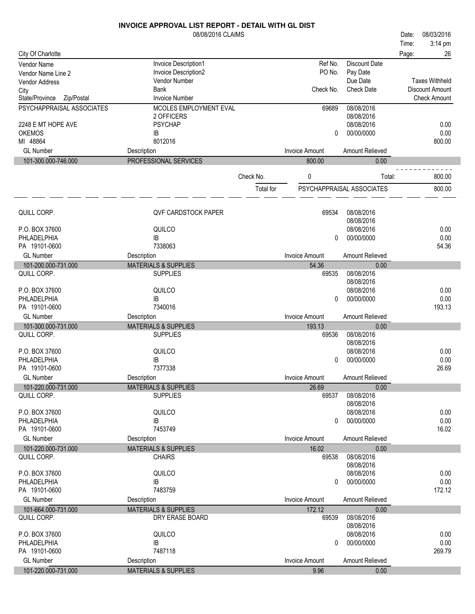|                                    | 08/08/2016 CLAIMS                                  |           |                       |                           | Date: | 08/03/2016            |
|------------------------------------|----------------------------------------------------|-----------|-----------------------|---------------------------|-------|-----------------------|
|                                    |                                                    |           |                       |                           | Time: | 3:14 pm               |
| City Of Charlotte                  |                                                    |           |                       |                           | Page: | 26                    |
| <b>Vendor Name</b>                 | Invoice Description1                               |           | Ref No.               | <b>Discount Date</b>      |       |                       |
| Vendor Name Line 2                 | Invoice Description2                               |           | PO No.                | Pay Date                  |       |                       |
| <b>Vendor Address</b>              | Vendor Number                                      |           |                       | Due Date                  |       | <b>Taxes Withheld</b> |
| City                               | <b>Bank</b>                                        |           | Check No.             | <b>Check Date</b>         |       | Discount Amount       |
| State/Province<br>Zip/Postal       | <b>Invoice Number</b>                              |           |                       |                           |       | <b>Check Amount</b>   |
| PSYCHAPPRAISAL ASSOCIATES          | MCOLES EMPLOYMENT EVAL                             |           | 69689                 | 08/08/2016                |       |                       |
|                                    | 2 OFFICERS                                         |           |                       | 08/08/2016                |       |                       |
| 2248 E MT HOPE AVE                 | <b>PSYCHAP</b>                                     |           |                       | 08/08/2016                |       | 0.00                  |
| <b>OKEMOS</b>                      | IB                                                 |           | 0                     | 00/00/0000                |       | 0.00                  |
| MI 48864                           | 8012016                                            |           |                       |                           |       | 800.00                |
| <b>GL Number</b>                   | Description                                        |           | <b>Invoice Amount</b> | <b>Amount Relieved</b>    |       |                       |
| 101-300.000-746.000                | PROFESSIONAL SERVICES                              |           | 800.00                | 0.00                      |       |                       |
|                                    |                                                    |           |                       |                           |       |                       |
|                                    |                                                    | Check No. | 0                     | Total:                    |       | 800.00                |
|                                    |                                                    | Total for |                       | PSYCHAPPRAISAL ASSOCIATES |       | 800.00                |
|                                    |                                                    |           |                       |                           |       |                       |
|                                    |                                                    |           |                       |                           |       |                       |
| QUILL CORP.                        | <b>QVF CARDSTOCK PAPER</b>                         |           | 69534                 | 08/08/2016                |       |                       |
|                                    |                                                    |           |                       | 08/08/2016                |       |                       |
| P.O. BOX 37600<br>PHLADELPHIA      | QUILCO<br>IB                                       |           | 0                     | 08/08/2016<br>00/00/0000  |       | 0.00<br>0.00          |
| PA 19101-0600                      | 7338063                                            |           |                       |                           |       | 54.36                 |
| <b>GL Number</b>                   | Description                                        |           | <b>Invoice Amount</b> | Amount Relieved           |       |                       |
|                                    |                                                    |           |                       |                           |       |                       |
| 101-200.000-731.000<br>QUILL CORP. | <b>MATERIALS &amp; SUPPLIES</b><br><b>SUPPLIES</b> |           | 54.36<br>69535        | 0.00<br>08/08/2016        |       |                       |
|                                    |                                                    |           |                       | 08/08/2016                |       |                       |
| P.O. BOX 37600                     | QUILCO                                             |           |                       | 08/08/2016                |       | 0.00                  |
| PHLADELPHIA                        | IB                                                 |           | 0                     | 00/00/0000                |       | 0.00                  |
| PA 19101-0600                      | 7340016                                            |           |                       |                           |       | 193.13                |
| <b>GL Number</b>                   | Description                                        |           | <b>Invoice Amount</b> | <b>Amount Relieved</b>    |       |                       |
| 101-300.000-731.000                | <b>MATERIALS &amp; SUPPLIES</b>                    |           | 193.13                | 0.00                      |       |                       |
| QUILL CORP.                        | <b>SUPPLIES</b>                                    |           | 69536                 | 08/08/2016                |       |                       |
|                                    |                                                    |           |                       | 08/08/2016                |       |                       |
| P.O. BOX 37600                     | QUILCO                                             |           |                       | 08/08/2016                |       | 0.00                  |
| PHLADELPHIA                        | IB                                                 |           | 0                     | 00/00/0000                |       | 0.00                  |
| PA 19101-0600                      | 7377338                                            |           |                       |                           |       | 26.69                 |
| <b>GL Number</b>                   | Description                                        |           | <b>Invoice Amount</b> | Amount Relieved           |       |                       |
| 101-220.000-731.000                | <b>MATERIALS &amp; SUPPLIES</b>                    |           | 26.69                 | 0.00                      |       |                       |
| QUILL CORP.                        | <b>SUPPLIES</b>                                    |           | 69537                 | 08/08/2016                |       |                       |
|                                    |                                                    |           |                       | 08/08/2016                |       |                       |
| P.O. BOX 37600                     | QUILCO                                             |           |                       | 08/08/2016                |       | 0.00                  |
| PHLADELPHIA                        | IB                                                 |           | 0                     | 00/00/0000                |       | 0.00                  |
| PA 19101-0600                      | 7453749                                            |           |                       |                           |       | 16.02                 |
| <b>GL Number</b>                   | Description                                        |           | <b>Invoice Amount</b> | Amount Relieved           |       |                       |
| 101-220.000-731.000                | <b>MATERIALS &amp; SUPPLIES</b>                    |           | 16.02                 | 0.00                      |       |                       |
| QUILL CORP.                        | <b>CHAIRS</b>                                      |           | 69538                 | 08/08/2016<br>08/08/2016  |       |                       |
| P.O. BOX 37600                     | QUILCO                                             |           |                       | 08/08/2016                |       | 0.00                  |
| PHLADELPHIA                        | IB                                                 |           | 0                     | 00/00/0000                |       | 0.00                  |
| PA 19101-0600                      | 7483759                                            |           |                       |                           |       | 172.12                |
| <b>GL Number</b>                   | Description                                        |           | <b>Invoice Amount</b> | Amount Relieved           |       |                       |
| 101-664.000-731.000                | <b>MATERIALS &amp; SUPPLIES</b>                    |           | 172.12                | 0.00                      |       |                       |
| QUILL CORP.                        | DRY ERASE BOARD                                    |           | 69539                 | 08/08/2016                |       |                       |
|                                    |                                                    |           |                       | 08/08/2016                |       |                       |
| P.O. BOX 37600                     | QUILCO                                             |           |                       | 08/08/2016                |       | 0.00                  |
| PHLADELPHIA                        | IB                                                 |           | 0                     | 00/00/0000                |       | 0.00                  |
| PA 19101-0600                      | 7487118                                            |           |                       |                           |       | 269.79                |
| <b>GL Number</b>                   | Description                                        |           | <b>Invoice Amount</b> | Amount Relieved           |       |                       |
| 101-220.000-731.000                | <b>MATERIALS &amp; SUPPLIES</b>                    |           | 9.96                  | 0.00                      |       |                       |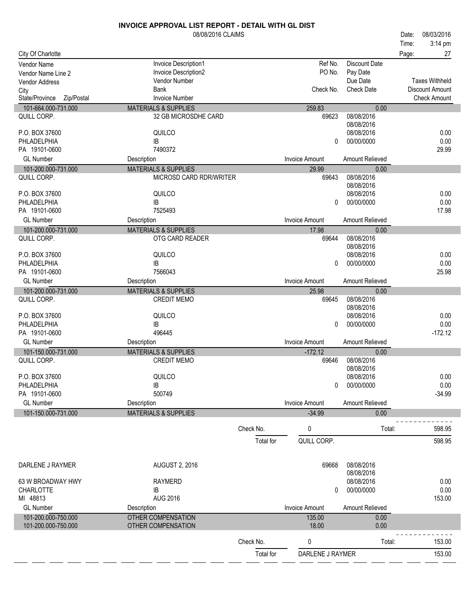|                                    | 08/08/2016 CLAIMS                                       |           |                       |                    | Date: | 08/03/2016            |
|------------------------------------|---------------------------------------------------------|-----------|-----------------------|--------------------|-------|-----------------------|
|                                    |                                                         |           |                       |                    | Time: | 3:14 pm               |
| City Of Charlotte                  |                                                         |           |                       |                    | Page: | 27                    |
| <b>Vendor Name</b>                 | Invoice Description1                                    |           | Ref No.               | Discount Date      |       |                       |
| Vendor Name Line 2                 | Invoice Description2                                    |           | PO No.                | Pay Date           |       |                       |
| <b>Vendor Address</b>              | Vendor Number                                           |           |                       | Due Date           |       | <b>Taxes Withheld</b> |
| City                               | Bank                                                    |           | Check No.             | <b>Check Date</b>  |       | Discount Amount       |
| State/Province<br>Zip/Postal       | <b>Invoice Number</b>                                   |           |                       |                    |       | <b>Check Amount</b>   |
| 101-664.000-731.000<br>QUILL CORP. | <b>MATERIALS &amp; SUPPLIES</b><br>32 GB MICROSDHE CARD |           | 259.83<br>69623       | 0.00<br>08/08/2016 |       |                       |
|                                    |                                                         |           |                       | 08/08/2016         |       |                       |
| P.O. BOX 37600                     | QUILCO                                                  |           |                       | 08/08/2016         |       | 0.00                  |
| PHLADELPHIA                        | IB                                                      |           | 0                     | 00/00/0000         |       | 0.00                  |
| PA 19101-0600                      | 7490372                                                 |           |                       |                    |       | 29.99                 |
| <b>GL Number</b>                   | Description                                             |           | <b>Invoice Amount</b> | Amount Relieved    |       |                       |
| 101-200.000-731.000                | <b>MATERIALS &amp; SUPPLIES</b>                         |           | 29.99                 | 0.00               |       |                       |
| QUILL CORP.                        | MICROSD CARD RDR/WRITER                                 |           | 69643                 | 08/08/2016         |       |                       |
|                                    |                                                         |           |                       | 08/08/2016         |       |                       |
| P.O. BOX 37600                     | QUILCO                                                  |           |                       | 08/08/2016         |       | 0.00                  |
| PHLADELPHIA                        | IB                                                      |           | $\Omega$              | 00/00/0000         |       | 0.00                  |
| PA 19101-0600                      | 7525493                                                 |           |                       |                    |       | 17.98                 |
| <b>GL Number</b>                   | Description                                             |           | <b>Invoice Amount</b> | Amount Relieved    |       |                       |
| 101-200.000-731.000                | <b>MATERIALS &amp; SUPPLIES</b>                         |           | 17.98                 | 0.00               |       |                       |
| QUILL CORP.                        | OTG CARD READER                                         |           | 69644                 | 08/08/2016         |       |                       |
|                                    |                                                         |           |                       | 08/08/2016         |       |                       |
| P.O. BOX 37600                     | QUILCO                                                  |           |                       | 08/08/2016         |       | 0.00                  |
| PHLADELPHIA<br>PA 19101-0600       | IB<br>7566043                                           |           | 0                     | 00/00/0000         |       | 0.00                  |
| <b>GL Number</b>                   |                                                         |           | <b>Invoice Amount</b> | Amount Relieved    |       | 25.98                 |
| 101-200.000-731.000                | Description<br><b>MATERIALS &amp; SUPPLIES</b>          |           |                       |                    |       |                       |
| QUILL CORP.                        | <b>CREDIT MEMO</b>                                      |           | 25.98<br>69645        | 0.00<br>08/08/2016 |       |                       |
|                                    |                                                         |           |                       | 08/08/2016         |       |                       |
| P.O. BOX 37600                     | QUILCO                                                  |           |                       | 08/08/2016         |       | 0.00                  |
| PHLADELPHIA                        | IB                                                      |           | 0                     | 00/00/0000         |       | 0.00                  |
| PA 19101-0600                      | 496445                                                  |           |                       |                    |       | $-172.12$             |
| <b>GL Number</b>                   | Description                                             |           | <b>Invoice Amount</b> | Amount Relieved    |       |                       |
| 101-150.000-731.000                | <b>MATERIALS &amp; SUPPLIES</b>                         |           | $-172.12$             | 0.00               |       |                       |
| QUILL CORP.                        | <b>CREDIT MEMO</b>                                      |           | 69646                 | 08/08/2016         |       |                       |
|                                    |                                                         |           |                       | 08/08/2016         |       |                       |
| P.O. BOX 37600                     | QUILCO                                                  |           |                       | 08/08/2016         |       | 0.00                  |
| PHLADELPHIA                        | IB                                                      |           | 0                     | 00/00/0000         |       | 0.00                  |
| PA 19101-0600                      | 500749                                                  |           |                       |                    |       | $-34.99$              |
| <b>GL Number</b>                   | Description                                             |           | <b>Invoice Amount</b> | Amount Relieved    |       |                       |
| 101-150.000-731.000                | <b>MATERIALS &amp; SUPPLIES</b>                         |           | $-34.99$              | 0.00               |       |                       |
|                                    |                                                         | Check No. | 0                     | Total:             |       | 598.95                |
|                                    |                                                         |           |                       |                    |       |                       |
|                                    |                                                         | Total for | QUILL CORP.           |                    |       | 598.95                |
| DARLENE J RAYMER                   | <b>AUGUST 2, 2016</b>                                   |           | 69668                 | 08/08/2016         |       |                       |
|                                    |                                                         |           |                       | 08/08/2016         |       |                       |
| 63 W BROADWAY HWY                  | RAYMERD                                                 |           |                       | 08/08/2016         |       | 0.00                  |
| CHARLOTTE                          | IB                                                      |           | 0                     | 00/00/0000         |       | 0.00                  |
| MI 48813                           | <b>AUG 2016</b>                                         |           |                       |                    |       | 153.00                |
| <b>GL Number</b>                   | Description                                             |           | Invoice Amount        | Amount Relieved    |       |                       |
| 101-200.000-750.000                | <b>OTHER COMPENSATION</b>                               |           | 135.00                | 0.00               |       |                       |
| 101-200.000-750.000                | OTHER COMPENSATION                                      |           | 18.00                 | 0.00               |       |                       |
|                                    |                                                         | Check No. | 0                     | Total:             |       | 153.00                |
|                                    |                                                         |           |                       |                    |       |                       |
|                                    |                                                         | Total for | DARLENE J RAYMER      |                    |       | 153.00                |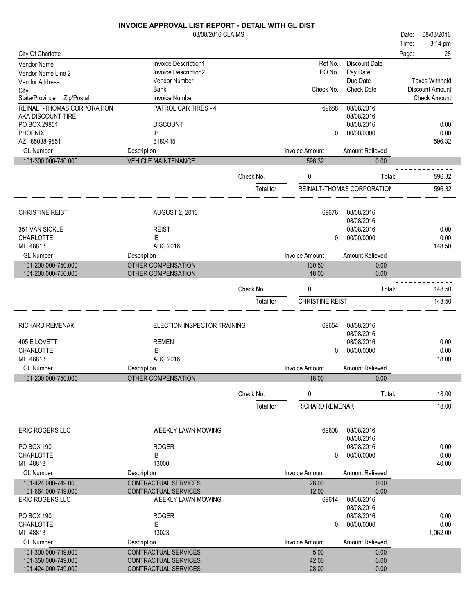|                                      | <b>INVOICE APPROVAL LIST REPORT - DETAIL WITH GL DIST</b> |           |                        |                            |       |                       |
|--------------------------------------|-----------------------------------------------------------|-----------|------------------------|----------------------------|-------|-----------------------|
|                                      | 08/08/2016 CLAIMS                                         |           |                        |                            | Date: | 08/03/2016            |
|                                      |                                                           |           |                        |                            | Time: | 3:14 pm               |
| City Of Charlotte                    |                                                           |           |                        |                            | Page: | 28                    |
| Vendor Name                          | Invoice Description1                                      |           | Ref No.                | <b>Discount Date</b>       |       |                       |
| Vendor Name Line 2                   | Invoice Description2                                      |           | PO No.                 | Pay Date                   |       |                       |
| Vendor Address                       | Vendor Number                                             |           |                        | Due Date                   |       | <b>Taxes Withheld</b> |
|                                      | <b>Bank</b>                                               |           | Check No.              | <b>Check Date</b>          |       | Discount Amount       |
| City<br>State/Province<br>Zip/Postal | <b>Invoice Number</b>                                     |           |                        |                            |       | <b>Check Amount</b>   |
|                                      |                                                           |           |                        |                            |       |                       |
| REINALT-THOMAS CORPORATION           | PATROL CAR TIRES - 4                                      |           | 69688                  | 08/08/2016                 |       |                       |
| AKA DISCOUNT TIRE                    |                                                           |           |                        | 08/08/2016                 |       |                       |
| PO BOX 29851                         | <b>DISCOUNT</b>                                           |           |                        | 08/08/2016                 |       | 0.00                  |
| <b>PHOENIX</b>                       | IB                                                        |           | 0                      | 00/00/0000                 |       | 0.00                  |
| AZ 85038-9851                        | 6180445                                                   |           |                        |                            |       | 596.32                |
| <b>GL Number</b>                     | Description                                               |           | <b>Invoice Amount</b>  | Amount Relieved            |       |                       |
| 101-300.000-740.000                  | <b>VEHICLE MAINTENANCE</b>                                |           | 596.32                 | 0.00                       |       |                       |
|                                      |                                                           |           |                        |                            |       |                       |
|                                      |                                                           | Check No. | 0                      | Total:                     |       | 596.32                |
|                                      |                                                           | Total for |                        | REINALT-THOMAS CORPORATION |       | 596.32                |
|                                      |                                                           |           |                        |                            |       |                       |
|                                      |                                                           |           |                        |                            |       |                       |
| <b>CHRISTINE REIST</b>               | <b>AUGUST 2, 2016</b>                                     |           | 69676                  | 08/08/2016                 |       |                       |
|                                      |                                                           |           |                        | 08/08/2016                 |       |                       |
| 351 VAN SICKLE                       | <b>REIST</b>                                              |           |                        | 08/08/2016                 |       | 0.00                  |
| <b>CHARLOTTE</b>                     | IB                                                        |           | 0                      | 00/00/0000                 |       | 0.00                  |
| MI 48813                             | <b>AUG 2016</b>                                           |           |                        |                            |       | 148.50                |
| <b>GL Number</b>                     | Description                                               |           | <b>Invoice Amount</b>  | Amount Relieved            |       |                       |
| 101-200.000-750.000                  | <b>OTHER COMPENSATION</b>                                 |           | 130.50                 | 0.00                       |       |                       |
| 101-200.000-750.000                  | OTHER COMPENSATION                                        |           | 18.00                  | 0.00                       |       |                       |
|                                      |                                                           |           |                        |                            |       |                       |
|                                      |                                                           | Check No. | 0                      | Total:                     |       | 148.50                |
|                                      |                                                           | Total for | <b>CHRISTINE REIST</b> |                            |       | 148.50                |
|                                      |                                                           |           |                        |                            |       |                       |
|                                      |                                                           |           |                        |                            |       |                       |
| <b>RICHARD REMENAK</b>               | ELECTION INSPECTOR TRAINING                               |           | 69654                  | 08/08/2016                 |       |                       |
|                                      |                                                           |           |                        | 08/08/2016                 |       |                       |
| 405 E LOVETT                         | <b>REMEN</b>                                              |           |                        | 08/08/2016                 |       | 0.00                  |
| <b>CHARLOTTE</b>                     | IB                                                        |           | 0                      | 00/00/0000                 |       | 0.00                  |
| MI 48813                             | <b>AUG 2016</b>                                           |           |                        |                            |       | 18.00                 |
| <b>GL Number</b>                     | Description                                               |           | <b>Invoice Amount</b>  | Amount Relieved            |       |                       |
| 101-200.000-750.000                  | OTHER COMPENSATION                                        |           | 18.00                  | 0.00                       |       |                       |
|                                      |                                                           |           |                        |                            |       |                       |
|                                      |                                                           | Check No. | 0                      | Total:                     |       | 18.00                 |
|                                      |                                                           |           |                        |                            |       |                       |
|                                      |                                                           | Total for | RICHARD REMENAK        |                            |       | 18.00                 |
|                                      |                                                           |           |                        |                            |       |                       |
| ERIC ROGERS LLC                      | <b>WEEKLY LAWN MOWING</b>                                 |           | 69608                  | 08/08/2016                 |       |                       |
|                                      |                                                           |           |                        | 08/08/2016                 |       |                       |
| PO BOX 190                           | <b>ROGER</b>                                              |           |                        | 08/08/2016                 |       | 0.00                  |
| <b>CHARLOTTE</b>                     | IB                                                        |           | 0                      | 00/00/0000                 |       | 0.00                  |
| MI 48813                             | 13000                                                     |           |                        |                            |       | 40.00                 |
| <b>GL Number</b>                     | Description                                               |           | <b>Invoice Amount</b>  | Amount Relieved            |       |                       |
|                                      |                                                           |           |                        |                            |       |                       |
| 101-424.000-749.000                  | <b>CONTRACTUAL SERVICES</b>                               |           | 28.00                  | 0.00                       |       |                       |
| 101-664.000-749.000                  | CONTRACTUAL SERVICES                                      |           | 12.00                  | 0.00                       |       |                       |
| ERIC ROGERS LLC                      | WEEKLY LAWN MOWING                                        |           | 69614                  | 08/08/2016                 |       |                       |
|                                      |                                                           |           |                        | 08/08/2016                 |       |                       |
| PO BOX 190                           | <b>ROGER</b>                                              |           |                        | 08/08/2016                 |       | 0.00                  |
| CHARLOTTE                            | IB                                                        |           | 0                      | 00/00/0000                 |       | 0.00                  |
| MI 48813                             | 13023                                                     |           |                        |                            |       | 1,062.00              |
| <b>GL Number</b>                     | Description                                               |           | <b>Invoice Amount</b>  | Amount Relieved            |       |                       |
| 101-300.000-749.000                  | CONTRACTUAL SERVICES                                      |           | 5.00                   | 0.00                       |       |                       |
| 101-350.000-749.000                  | CONTRACTUAL SERVICES                                      |           | 42.00                  | 0.00                       |       |                       |
| 101-424.000-749.000                  | CONTRACTUAL SERVICES                                      |           | 28.00                  | 0.00                       |       |                       |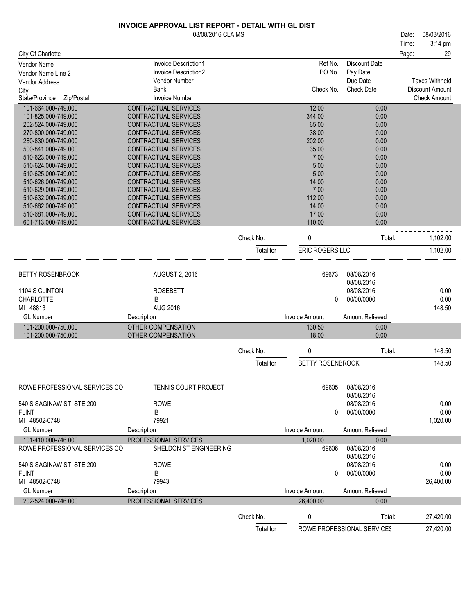|                                            | 08/08/2016 CLAIMS                                   |           |                         |                            | 08/03/2016<br>Date:   |
|--------------------------------------------|-----------------------------------------------------|-----------|-------------------------|----------------------------|-----------------------|
|                                            |                                                     |           |                         |                            | 3:14 pm<br>Time:      |
| City Of Charlotte                          |                                                     |           |                         |                            | 29<br>Page:           |
| Vendor Name                                | Invoice Description1                                |           | Ref No.                 | <b>Discount Date</b>       |                       |
| Vendor Name Line 2                         | Invoice Description2                                |           | PO No.                  | Pay Date                   |                       |
| <b>Vendor Address</b>                      | Vendor Number                                       |           |                         | Due Date                   | <b>Taxes Withheld</b> |
| City                                       | Bank                                                |           | Check No.               | <b>Check Date</b>          | Discount Amount       |
| State/Province<br>Zip/Postal               | <b>Invoice Number</b>                               |           |                         |                            | <b>Check Amount</b>   |
| 101-664.000-749.000                        | CONTRACTUAL SERVICES<br><b>CONTRACTUAL SERVICES</b> |           | 12.00<br>344.00         | 0.00<br>0.00               |                       |
| 101-825.000-749.000<br>202-524.000-749.000 | CONTRACTUAL SERVICES                                |           | 65.00                   | 0.00                       |                       |
| 270-800.000-749.000                        | CONTRACTUAL SERVICES                                |           | 38.00                   | 0.00                       |                       |
| 280-830.000-749.000                        | CONTRACTUAL SERVICES                                |           | 202.00                  | 0.00                       |                       |
| 500-841.000-749.000                        | CONTRACTUAL SERVICES                                |           | 35.00                   | 0.00                       |                       |
| 510-623.000-749.000                        | CONTRACTUAL SERVICES                                |           | 7.00                    | 0.00                       |                       |
| 510-624.000-749.000                        | CONTRACTUAL SERVICES                                |           | 5.00                    | 0.00                       |                       |
| 510-625.000-749.000                        | CONTRACTUAL SERVICES                                |           | 5.00                    | 0.00                       |                       |
| 510-626.000-749.000                        | CONTRACTUAL SERVICES                                |           | 14.00<br>7.00           | 0.00                       |                       |
| 510-629.000-749.000<br>510-632.000-749.000 | CONTRACTUAL SERVICES<br>CONTRACTUAL SERVICES        |           | 112.00                  | 0.00<br>0.00               |                       |
| 510-662.000-749.000                        | CONTRACTUAL SERVICES                                |           | 14.00                   | 0.00                       |                       |
| 510-681.000-749.000                        | <b>CONTRACTUAL SERVICES</b>                         |           | 17.00                   | 0.00                       |                       |
| 601-713.000-749.000                        | CONTRACTUAL SERVICES                                |           | 110.00                  | 0.00                       |                       |
|                                            |                                                     |           |                         |                            |                       |
|                                            |                                                     | Check No. | 0                       | Total:                     | 1,102.00              |
|                                            |                                                     | Total for | ERIC ROGERS LLC         |                            | 1,102.00              |
|                                            |                                                     |           |                         |                            |                       |
| <b>BETTY ROSENBROOK</b>                    | <b>AUGUST 2, 2016</b>                               |           | 69673                   | 08/08/2016                 |                       |
|                                            |                                                     |           |                         | 08/08/2016                 |                       |
| 1104 S CLINTON                             | <b>ROSEBETT</b>                                     |           |                         | 08/08/2016                 | 0.00                  |
| <b>CHARLOTTE</b>                           | IB                                                  |           | 0                       | 00/00/0000                 | 0.00                  |
| MI 48813                                   | <b>AUG 2016</b>                                     |           |                         |                            | 148.50                |
| <b>GL Number</b>                           | Description                                         |           | <b>Invoice Amount</b>   | Amount Relieved            |                       |
| 101-200.000-750.000                        | <b>OTHER COMPENSATION</b>                           |           | 130.50                  | 0.00                       |                       |
| 101-200.000-750.000                        | OTHER COMPENSATION                                  |           | 18.00                   | 0.00                       |                       |
|                                            |                                                     | Check No. | 0                       | Total:                     | 148.50                |
|                                            |                                                     | Total for | <b>BETTY ROSENBROOK</b> |                            | 148.50                |
|                                            |                                                     |           |                         |                            |                       |
|                                            |                                                     |           |                         |                            |                       |
| ROWE PROFESSIONAL SERVICES CO              | TENNIS COURT PROJECT                                |           | 69605                   | 08/08/2016                 |                       |
|                                            |                                                     |           |                         | 08/08/2016                 |                       |
| 540 S SAGINAW ST STE 200<br><b>FLINT</b>   | <b>ROWE</b>                                         |           | 0                       | 08/08/2016<br>00/00/0000   | 0.00<br>0.00          |
| MI 48502-0748                              | IB<br>79921                                         |           |                         |                            | 1,020.00              |
| <b>GL Number</b>                           | Description                                         |           | <b>Invoice Amount</b>   | Amount Relieved            |                       |
| 101-410.000-746.000                        | PROFESSIONAL SERVICES                               |           | 1.020.00                | 0.00                       |                       |
| ROWE PROFESSIONAL SERVICES CO              | SHELDON ST ENGINEERING                              |           | 69606                   | 08/08/2016                 |                       |
|                                            |                                                     |           |                         | 08/08/2016                 |                       |
| 540 S SAGINAW ST STE 200                   | <b>ROWE</b>                                         |           |                         | 08/08/2016                 | 0.00                  |
| <b>FLINT</b>                               | IB                                                  |           | 0                       | 00/00/0000                 | 0.00                  |
| MI 48502-0748                              | 79943                                               |           |                         |                            | 26,400.00             |
| <b>GL Number</b>                           | Description                                         |           | <b>Invoice Amount</b>   | Amount Relieved            |                       |
| 202-524.000-746.000                        | PROFESSIONAL SERVICES                               |           | 26,400.00               | 0.00                       |                       |
|                                            |                                                     | Check No. | 0                       | Total:                     | 27,420.00             |
|                                            |                                                     |           |                         |                            |                       |
|                                            |                                                     | Total for |                         | ROWE PROFESSIONAL SERVICES | 27,420.00             |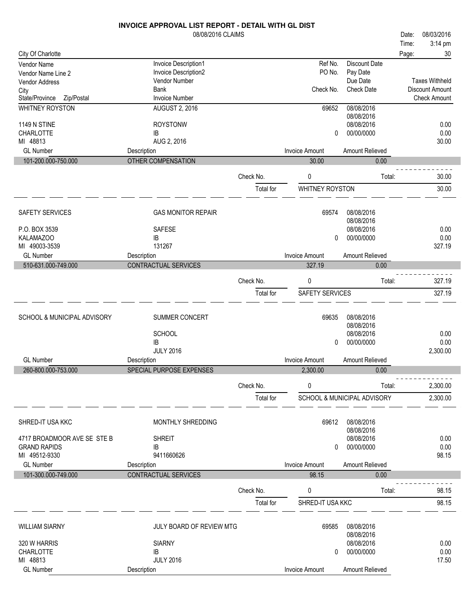|                                      | 08/08/2016 CLAIMS                    |           |                       |                             | Date: | 08/03/2016                             |
|--------------------------------------|--------------------------------------|-----------|-----------------------|-----------------------------|-------|----------------------------------------|
|                                      |                                      |           |                       |                             | Time: | 3:14 pm                                |
| City Of Charlotte                    |                                      |           |                       |                             | Page: | 30                                     |
| Vendor Name                          | Invoice Description1                 |           | Ref No.               | <b>Discount Date</b>        |       |                                        |
| Vendor Name Line 2                   | Invoice Description2                 |           | PO No.                | Pay Date                    |       |                                        |
| Vendor Address                       | Vendor Number                        |           |                       | Due Date                    |       | <b>Taxes Withheld</b>                  |
| City<br>State/Province<br>Zip/Postal | <b>Bank</b><br><b>Invoice Number</b> |           | Check No.             | <b>Check Date</b>           |       | Discount Amount<br><b>Check Amount</b> |
| WHITNEY ROYSTON                      | <b>AUGUST 2, 2016</b>                |           | 69652                 | 08/08/2016                  |       |                                        |
|                                      |                                      |           |                       | 08/08/2016                  |       |                                        |
| <b>1149 N STINE</b>                  | <b>ROYSTONW</b>                      |           |                       | 08/08/2016                  |       | 0.00                                   |
| CHARLOTTE                            | IB                                   |           | 0                     | 00/00/0000                  |       | 0.00                                   |
| MI 48813                             | AUG 2, 2016                          |           |                       |                             |       | 30.00                                  |
| <b>GL Number</b>                     | Description                          |           | <b>Invoice Amount</b> | Amount Relieved             |       |                                        |
| 101-200.000-750.000                  | <b>OTHER COMPENSATION</b>            |           | 30.00                 | 0.00                        |       |                                        |
|                                      |                                      |           |                       |                             |       |                                        |
|                                      |                                      | Check No. | 0                     | Total:                      |       | 30.00                                  |
|                                      |                                      | Total for | WHITNEY ROYSTON       |                             |       | 30.00                                  |
|                                      |                                      |           |                       |                             |       |                                        |
| SAFETY SERVICES                      | <b>GAS MONITOR REPAIR</b>            |           | 69574                 | 08/08/2016                  |       |                                        |
|                                      |                                      |           |                       | 08/08/2016                  |       |                                        |
| P.O. BOX 3539                        | <b>SAFESE</b>                        |           |                       | 08/08/2016                  |       | 0.00                                   |
| <b>KALAMAZOO</b>                     | IB                                   |           | 0                     | 00/00/0000                  |       | 0.00                                   |
| MI 49003-3539                        | 131267                               |           |                       |                             |       | 327.19                                 |
| <b>GL Number</b>                     | Description                          |           | <b>Invoice Amount</b> | Amount Relieved             |       |                                        |
| 510-631.000-749.000                  | CONTRACTUAL SERVICES                 |           | 327.19                | 0.00                        |       |                                        |
|                                      |                                      | Check No. | 0                     | Total:                      |       | 327.19                                 |
|                                      |                                      |           |                       |                             |       |                                        |
|                                      |                                      | Total for | SAFETY SERVICES       |                             |       | 327.19                                 |
|                                      |                                      |           |                       |                             |       |                                        |
| SCHOOL & MUNICIPAL ADVISORY          | SUMMER CONCERT                       |           | 69635                 | 08/08/2016                  |       |                                        |
|                                      |                                      |           |                       | 08/08/2016                  |       |                                        |
|                                      | <b>SCHOOL</b>                        |           |                       | 08/08/2016                  |       | 0.00                                   |
|                                      | IB<br><b>JULY 2016</b>               |           | 0                     | 00/00/0000                  |       | 0.00<br>2,300.00                       |
| <b>GL Number</b>                     | Description                          |           | <b>Invoice Amount</b> | Amount Relieved             |       |                                        |
| 260-800.000-753.000                  | SPECIAL PURPOSE EXPENSES             |           | 2,300.00              | 0.00                        |       |                                        |
|                                      |                                      |           |                       |                             |       |                                        |
|                                      |                                      | Check No. | 0                     | Total:                      |       | 2,300.00                               |
|                                      |                                      | Total for |                       | SCHOOL & MUNICIPAL ADVISORY |       | 2,300.00                               |
|                                      |                                      |           |                       |                             |       |                                        |
|                                      |                                      |           |                       |                             |       |                                        |
| SHRED-IT USA KKC                     | MONTHLY SHREDDING                    |           | 69612                 | 08/08/2016<br>08/08/2016    |       |                                        |
| 4717 BROADMOOR AVE SE STE B          | <b>SHREIT</b>                        |           |                       | 08/08/2016                  |       | 0.00                                   |
| <b>GRAND RAPIDS</b>                  | IB                                   |           | 0                     | 00/00/0000                  |       | 0.00                                   |
| MI 49512-9330                        | 9411660626                           |           |                       |                             |       | 98.15                                  |
| <b>GL Number</b>                     | Description                          |           | Invoice Amount        | Amount Relieved             |       |                                        |
| 101-300.000-749.000                  | CONTRACTUAL SERVICES                 |           | 98.15                 | 0.00                        |       |                                        |
|                                      |                                      |           |                       |                             |       |                                        |
|                                      |                                      | Check No. | 0                     | Total:                      |       | 98.15                                  |
|                                      |                                      | Total for | SHRED-IT USA KKC      |                             |       | 98.15                                  |
|                                      |                                      |           |                       |                             |       |                                        |
| <b>WILLIAM SIARNY</b>                | JULY BOARD OF REVIEW MTG             |           | 69585                 | 08/08/2016                  |       |                                        |
|                                      |                                      |           |                       | 08/08/2016                  |       |                                        |
| 320 W HARRIS                         | <b>SIARNY</b>                        |           |                       | 08/08/2016                  |       | 0.00                                   |
| <b>CHARLOTTE</b>                     | IB                                   |           | 0                     | 00/00/0000                  |       | 0.00                                   |
| MI 48813                             | <b>JULY 2016</b>                     |           |                       |                             |       | 17.50                                  |
| <b>GL Number</b>                     | Description                          |           | Invoice Amount        | Amount Relieved             |       |                                        |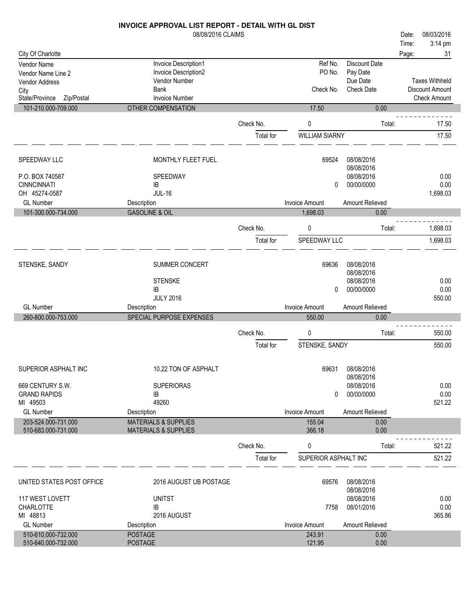|                                                     | 08/08/2016 CLAIMS                              |           |                                 |                         | 08/03/2016<br>Date:                    |
|-----------------------------------------------------|------------------------------------------------|-----------|---------------------------------|-------------------------|----------------------------------------|
|                                                     |                                                |           |                                 |                         | Time:<br>3:14 pm                       |
| City Of Charlotte                                   |                                                |           |                                 |                         | 31<br>Page:                            |
| Vendor Name                                         | Invoice Description1                           |           | Ref No.                         | <b>Discount Date</b>    |                                        |
| Vendor Name Line 2                                  | Invoice Description2                           |           | PO No.                          | Pay Date                |                                        |
| <b>Vendor Address</b>                               | Vendor Number                                  |           |                                 | Due Date                | <b>Taxes Withheld</b>                  |
| City                                                | <b>Bank</b><br><b>Invoice Number</b>           |           | Check No.                       | <b>Check Date</b>       | Discount Amount<br><b>Check Amount</b> |
| State/Province<br>Zip/Postal<br>101-210.000-709.000 | OTHER COMPENSATION                             |           | 17.50                           | 0.00                    |                                        |
|                                                     |                                                |           |                                 |                         |                                        |
|                                                     |                                                | Check No. | $\pmb{0}$                       | Total:                  | 17.50                                  |
|                                                     |                                                | Total for | <b>WILLIAM SIARNY</b>           |                         | 17.50                                  |
|                                                     |                                                |           | 69524                           | 08/08/2016              |                                        |
| SPEEDWAY LLC                                        | MONTHLY FLEET FUEL                             |           |                                 | 08/08/2016              |                                        |
| P.O. BOX 740587                                     | SPEEDWAY                                       |           |                                 | 08/08/2016              | 0.00                                   |
| <b>CINNCINNATI</b>                                  | IB                                             |           | $\Omega$                        | 00/00/0000              | 0.00                                   |
| OH 45274-0587                                       | <b>JUL-16</b>                                  |           |                                 |                         | 1,698.03                               |
| <b>GL Number</b>                                    | Description                                    |           | <b>Invoice Amount</b>           | Amount Relieved         |                                        |
| 101-300.000-734.000                                 | <b>GASOLINE &amp; OIL</b>                      |           | 1,698.03                        | 0.00                    |                                        |
|                                                     |                                                | Check No. | 0                               | Total:                  | 1,698.03                               |
|                                                     |                                                | Total for | SPEEDWAY LLC                    |                         | 1,698.03                               |
|                                                     |                                                |           |                                 |                         |                                        |
| STENSKE, SANDY                                      | SUMMER CONCERT                                 |           | 69636                           | 08/08/2016              |                                        |
|                                                     |                                                |           |                                 | 08/08/2016              |                                        |
|                                                     | <b>STENSKE</b>                                 |           |                                 | 08/08/2016              | 0.00                                   |
|                                                     | IB                                             |           | 0                               | 00/00/0000              | 0.00                                   |
|                                                     | <b>JULY 2016</b>                               |           |                                 |                         | 550.00                                 |
| <b>GL Number</b>                                    | Description                                    |           | <b>Invoice Amount</b>           | Amount Relieved         |                                        |
| 260-800.000-753.000                                 | SPECIAL PURPOSE EXPENSES                       |           | 550.00                          | 0.00                    |                                        |
|                                                     |                                                | Check No. | 0                               | Total:                  | 550.00                                 |
|                                                     |                                                | Total for | STENSKE, SANDY                  |                         | 550.00                                 |
|                                                     |                                                |           |                                 |                         |                                        |
| SUPERIOR ASPHALT INC                                | 10.22 TON OF ASPHALT                           |           | 69631                           | 08/08/2016              |                                        |
|                                                     |                                                |           |                                 | 08/08/2016              |                                        |
| 669 CENTURY S.W.                                    | <b>SUPERIORAS</b>                              |           |                                 | 08/08/2016              | 0.00                                   |
| <b>GRAND RAPIDS</b>                                 | IB                                             |           | $\Omega$                        | 00/00/0000              | 0.00                                   |
| MI 49503                                            | 49260                                          |           |                                 |                         | 521.22                                 |
| <b>GL Number</b><br>203-524.000-731.000             | Description<br><b>MATERIALS &amp; SUPPLIES</b> |           | <b>Invoice Amount</b><br>155.04 | Amount Relieved<br>0.00 |                                        |
| 510-683.000-731.000                                 | <b>MATERIALS &amp; SUPPLIES</b>                |           | 366.18                          | 0.00                    |                                        |
|                                                     |                                                | Check No. | 0                               | Total:                  | 521.22                                 |
|                                                     |                                                | Total for | SUPERIOR ASPHALT INC            |                         | 521.22                                 |
|                                                     |                                                |           |                                 |                         |                                        |
| UNITED STATES POST OFFICE                           | 2016 AUGUST UB POSTAGE                         |           | 69576                           | 08/08/2016              |                                        |
|                                                     |                                                |           |                                 | 08/08/2016              |                                        |
| 117 WEST LOVETT                                     | <b>UNITST</b>                                  |           |                                 | 08/08/2016              | 0.00                                   |
| CHARLOTTE                                           | IB                                             |           | 7758                            | 08/01/2016              | 0.00                                   |
| MI 48813                                            | 2016 AUGUST                                    |           |                                 |                         | 365.86                                 |
| <b>GL Number</b>                                    | Description                                    |           | Invoice Amount                  | Amount Relieved         |                                        |
| 510-610.000-732.000                                 | <b>POSTAGE</b>                                 |           | 243.91                          | 0.00                    |                                        |
| 510-640.000-732.000                                 | <b>POSTAGE</b>                                 |           | 121.95                          | 0.00                    |                                        |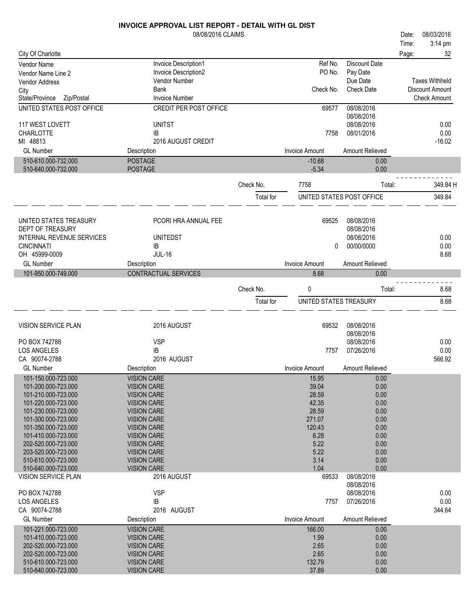|                                                   | <b>INVOICE APPROVAL LIST REPORT - DETAIL WITH GL DIST</b> |           |                        |                           |       |                       |
|---------------------------------------------------|-----------------------------------------------------------|-----------|------------------------|---------------------------|-------|-----------------------|
|                                                   | 08/08/2016 CLAIMS                                         |           |                        |                           | Date: | 08/03/2016            |
|                                                   |                                                           |           |                        |                           | Time: | 3:14 pm               |
| City Of Charlotte                                 |                                                           |           |                        |                           | Page: | 32                    |
| <b>Vendor Name</b>                                | Invoice Description1                                      |           | Ref No.                | Discount Date             |       |                       |
| Vendor Name Line 2                                | Invoice Description2                                      |           | PO No.                 | Pay Date                  |       |                       |
| <b>Vendor Address</b>                             | Vendor Number                                             |           |                        | Due Date                  |       | <b>Taxes Withheld</b> |
| City                                              | <b>Bank</b>                                               |           | Check No.              | <b>Check Date</b>         |       | Discount Amount       |
| State/Province<br>Zip/Postal                      | <b>Invoice Number</b>                                     |           |                        |                           |       | <b>Check Amount</b>   |
| UNITED STATES POST OFFICE                         | <b>CREDIT PER POST OFFICE</b>                             |           | 69577                  | 08/08/2016                |       |                       |
| 117 WEST LOVETT                                   | <b>UNITST</b>                                             |           |                        | 08/08/2016<br>08/08/2016  |       | 0.00                  |
| CHARLOTTE                                         | IB                                                        |           | 7758                   | 08/01/2016                |       | 0.00                  |
| MI 48813                                          | 2016 AUGUST CREDIT                                        |           |                        |                           |       | $-16.02$              |
| <b>GL Number</b>                                  | Description                                               |           | <b>Invoice Amount</b>  | Amount Relieved           |       |                       |
| 510-610.000-732.000                               | <b>POSTAGE</b>                                            |           | $-10.68$               | 0.00                      |       |                       |
| 510-640.000-732.000                               | <b>POSTAGE</b>                                            |           | $-5.34$                | 0.00                      |       |                       |
|                                                   |                                                           |           |                        |                           |       |                       |
|                                                   |                                                           | Check No. | 7758                   | Total:                    |       | 349.84 H              |
|                                                   |                                                           | Total for |                        | UNITED STATES POST OFFICE |       | 349.84                |
|                                                   |                                                           |           |                        |                           |       |                       |
| UNITED STATES TREASURY                            | PCORI HRA ANNUAL FEE                                      |           | 69525                  | 08/08/2016                |       |                       |
| DEPT OF TREASURY                                  |                                                           |           |                        | 08/08/2016                |       |                       |
| <b>INTERNAL REVENUE SERVICES</b>                  | <b>UNITEDST</b>                                           |           |                        | 08/08/2016                |       | 0.00                  |
| <b>CINCINNATI</b>                                 | IB                                                        |           | 0                      | 00/00/0000                |       | 0.00                  |
| OH 45999-0009                                     | <b>JUL-16</b>                                             |           |                        |                           |       | 8.68                  |
| <b>GL Number</b>                                  | Description                                               |           | <b>Invoice Amount</b>  | Amount Relieved           |       |                       |
| 101-950.000-749.000                               | CONTRACTUAL SERVICES                                      |           | 8.68                   | 0.00                      |       |                       |
|                                                   |                                                           | Check No. | 0                      | Total:                    |       | 8.68                  |
|                                                   |                                                           |           |                        |                           |       |                       |
|                                                   |                                                           | Total for | UNITED STATES TREASURY |                           |       | 8.68                  |
|                                                   |                                                           |           |                        |                           |       |                       |
| <b>VISION SERVICE PLAN</b>                        | 2016 AUGUST                                               |           | 69532                  | 08/08/2016                |       |                       |
|                                                   |                                                           |           |                        | 08/08/2016                |       |                       |
| PO BOX 742788                                     | <b>VSP</b>                                                |           |                        | 08/08/2016                |       | 0.00                  |
| <b>LOS ANGELES</b>                                | <b>IB</b><br>2016 AUGUST                                  |           | 7757                   | 07/26/2016                |       | 0.00<br>566.92        |
| CA 90074-2788                                     |                                                           |           |                        | Amount Relieved           |       |                       |
| <b>GL Number</b>                                  | Description                                               |           | <b>Invoice Amount</b>  |                           |       |                       |
| 101-150.000-723.000<br>101-200.000-723.000        | <b>VISION CARE</b><br><b>VISION CARE</b>                  |           | 15.95<br>39.04         | 0.00<br>0.00              |       |                       |
| 101-210.000-723.000                               | <b>VISION CARE</b>                                        |           | 28.59                  | 0.00                      |       |                       |
| 101-220.000-723.000                               | <b>VISION CARE</b>                                        |           | 42.35                  | 0.00                      |       |                       |
| 101-230.000-723.000                               | <b>VISION CARE</b>                                        |           | 28.59                  | 0.00                      |       |                       |
| 101-300.000-723.000                               | <b>VISION CARE</b>                                        |           | 271.07                 | 0.00                      |       |                       |
| 101-350.000-723.000                               | <b>VISION CARE</b>                                        |           | 120.43                 | 0.00                      |       |                       |
| 101-410.000-723.000                               | <b>VISION CARE</b>                                        |           | 6.28                   | 0.00                      |       |                       |
| 202-520.000-723.000                               | <b>VISION CARE</b>                                        |           | 5.22                   | 0.00                      |       |                       |
| 203-520.000-723.000                               | <b>VISION CARE</b>                                        |           | 5.22                   | 0.00                      |       |                       |
| 510-610.000-723.000                               | <b>VISION CARE</b>                                        |           | 3.14                   | 0.00                      |       |                       |
| 510-640.000-723.000<br><b>VISION SERVICE PLAN</b> | <b>VISION CARE</b><br>2016 AUGUST                         |           | 1.04                   | 0.00<br>08/08/2016        |       |                       |
|                                                   |                                                           |           | 69533                  | 08/08/2016                |       |                       |
| PO BOX 742788                                     | <b>VSP</b>                                                |           |                        | 08/08/2016                |       | 0.00                  |
| LOS ANGELES                                       | IB                                                        |           | 7757                   | 07/26/2016                |       | 0.00                  |
| CA 90074-2788                                     | 2016 AUGUST                                               |           |                        |                           |       | 344.64                |
| <b>GL Number</b>                                  | Description                                               |           | <b>Invoice Amount</b>  | Amount Relieved           |       |                       |
| 101-221.000-723.000                               | <b>VISION CARE</b>                                        |           | 166.00                 | 0.00                      |       |                       |
| 101-410.000-723.000                               | <b>VISION CARE</b>                                        |           | 1.99                   | 0.00                      |       |                       |
| 202-520.000-723.000                               | <b>VISION CARE</b>                                        |           | 2.65                   | 0.00                      |       |                       |
| 202-520.000-723.000                               | <b>VISION CARE</b>                                        |           | 2.65                   | 0.00                      |       |                       |
| 510-610.000-723.000                               | <b>VISION CARE</b>                                        |           | 132.79                 | 0.00                      |       |                       |
| 510-640.000-723.000                               | <b>VISION CARE</b>                                        |           | 37.89                  | 0.00                      |       |                       |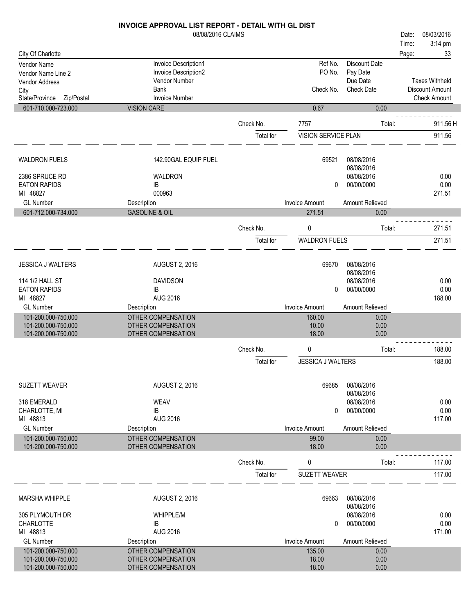|                                      | 08/08/2016 CLAIMS                        |           |                       |                               | 08/03/2016<br>Date:   |
|--------------------------------------|------------------------------------------|-----------|-----------------------|-------------------------------|-----------------------|
|                                      |                                          |           |                       |                               | 3:14 pm<br>Time:      |
| City Of Charlotte                    |                                          |           |                       |                               | Page:<br>33           |
| Vendor Name                          | Invoice Description1                     |           | Ref No.               | <b>Discount Date</b>          |                       |
| Vendor Name Line 2                   | Invoice Description2                     |           | PO No.                | Pay Date                      | <b>Taxes Withheld</b> |
| <b>Vendor Address</b>                | Vendor Number<br><b>Bank</b>             |           | Check No.             | Due Date<br><b>Check Date</b> | Discount Amount       |
| City<br>State/Province<br>Zip/Postal | <b>Invoice Number</b>                    |           |                       |                               | <b>Check Amount</b>   |
| 601-710.000-723.000                  | <b>VISION CARE</b>                       |           | 0.67                  | 0.00                          |                       |
|                                      |                                          |           |                       |                               |                       |
|                                      |                                          | Check No. | 7757                  | Total:                        | 911.56 H              |
|                                      |                                          | Total for | VISION SERVICE PLAN   |                               | 911.56                |
| <b>WALDRON FUELS</b>                 | 142.90GAL EQUIP FUEL                     |           | 69521                 | 08/08/2016                    |                       |
|                                      |                                          |           |                       | 08/08/2016                    |                       |
| 2386 SPRUCE RD                       | WALDRON                                  |           |                       | 08/08/2016                    | 0.00                  |
| <b>EATON RAPIDS</b>                  | IB                                       |           | 0                     | 00/00/0000                    | 0.00                  |
| MI 48827                             | 000963                                   |           |                       |                               | 271.51                |
| <b>GL Number</b>                     | Description                              |           | <b>Invoice Amount</b> | Amount Relieved               |                       |
| 601-712.000-734.000                  | <b>GASOLINE &amp; OIL</b>                |           | 271.51                | 0.00                          |                       |
|                                      |                                          | Check No. | 0                     | Total:                        | 271.51                |
|                                      |                                          | Total for | <b>WALDRON FUELS</b>  |                               | 271.51                |
|                                      |                                          |           |                       |                               |                       |
| <b>JESSICA J WALTERS</b>             | <b>AUGUST 2, 2016</b>                    |           | 69670                 | 08/08/2016                    |                       |
|                                      |                                          |           |                       | 08/08/2016                    |                       |
| 114 1/2 HALL ST                      | <b>DAVIDSON</b>                          |           |                       | 08/08/2016                    | 0.00                  |
| <b>EATON RAPIDS</b>                  | IB                                       |           | 0                     | 00/00/0000                    | 0.00                  |
| MI 48827                             | <b>AUG 2016</b>                          |           |                       |                               | 188.00                |
| <b>GL Number</b>                     | Description                              |           | <b>Invoice Amount</b> | Amount Relieved               |                       |
| 101-200.000-750.000                  | OTHER COMPENSATION                       |           | 160.00                | 0.00                          |                       |
| 101-200.000-750.000                  | OTHER COMPENSATION                       |           | 10.00                 | 0.00                          |                       |
| 101-200.000-750.000                  | OTHER COMPENSATION                       |           | 18.00                 | 0.00                          |                       |
|                                      |                                          | Check No. | 0                     | Total:                        | 188.00                |
|                                      |                                          | Total for | JESSICA J WALTERS     |                               | 188.00                |
|                                      |                                          |           |                       |                               |                       |
| <b>SUZETT WEAVER</b>                 | <b>AUGUST 2, 2016</b>                    |           | 69685                 | 08/08/2016                    |                       |
|                                      |                                          |           |                       | 08/08/2016                    |                       |
| 318 EMERALD                          | <b>WEAV</b>                              |           |                       | 08/08/2016                    | 0.00                  |
| CHARLOTTE, MI                        | IB                                       |           | 0                     | 00/00/0000                    | 0.00                  |
| MI 48813<br><b>GL Number</b>         | AUG 2016                                 |           | <b>Invoice Amount</b> | Amount Relieved               | 117.00                |
| 101-200.000-750.000                  | Description<br><b>OTHER COMPENSATION</b> |           | 99.00                 |                               |                       |
| 101-200.000-750.000                  | OTHER COMPENSATION                       |           | 18.00                 | 0.00<br>0.00                  |                       |
|                                      |                                          | Check No. | 0                     | Total:                        | 117.00                |
|                                      |                                          | Total for | SUZETT WEAVER         |                               | 117.00                |
|                                      |                                          |           |                       |                               |                       |
| <b>MARSHA WHIPPLE</b>                | <b>AUGUST 2, 2016</b>                    |           | 69663                 | 08/08/2016                    |                       |
|                                      |                                          |           |                       | 08/08/2016                    |                       |
| 305 PLYMOUTH DR                      | <b>WHIPPLE/M</b>                         |           |                       | 08/08/2016                    | 0.00                  |
| CHARLOTTE                            | IB                                       |           | $\mathbf{0}$          | 00/00/0000                    | 0.00                  |
| MI 48813                             | AUG 2016                                 |           |                       |                               | 171.00                |
| <b>GL Number</b>                     | Description                              |           | <b>Invoice Amount</b> | Amount Relieved               |                       |
| 101-200.000-750.000                  | OTHER COMPENSATION                       |           | 135.00                | 0.00                          |                       |
| 101-200.000-750.000                  | OTHER COMPENSATION                       |           | 18.00                 | 0.00                          |                       |
| 101-200.000-750.000                  | OTHER COMPENSATION                       |           | 18.00                 | 0.00                          |                       |